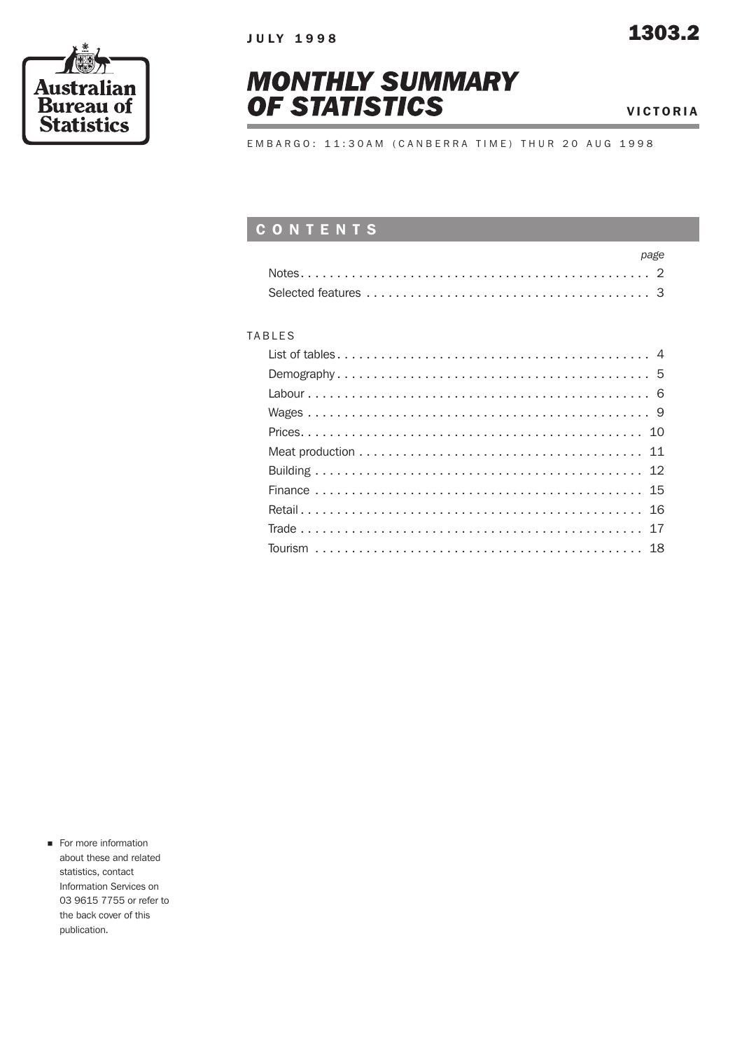



VICTORIA

E M B A R G O : 1 1 : 3 0 A M ( C A N B E R R A T I M E ) T H U R 2 0 A U G 1 9 9 8

### CONTENTS

| page |
|------|
|      |
|      |

#### TABLES

**n** For more information about these and related statistics, contact Information Services on 03 9615 7755 or refer to the back cover of this publication.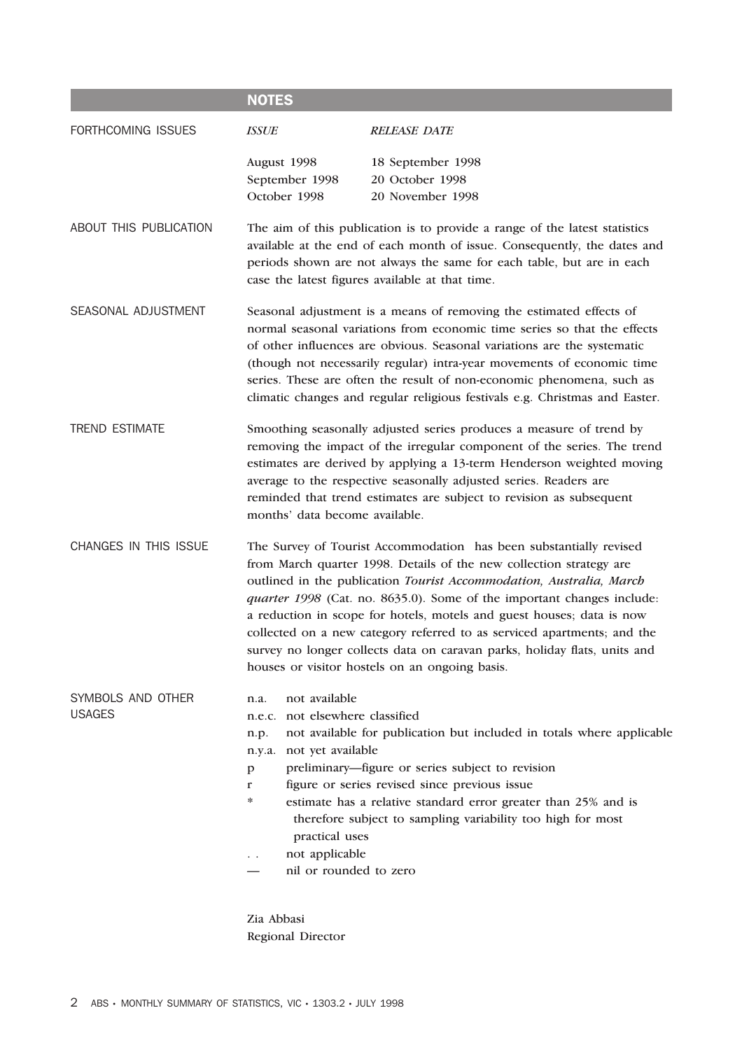|                                    | <b>NOTES</b>                                                                                                                                                                                                                                                                                                                                                                                                                                                 |                                                                                                                                                                                                                                                                                                                                                                                                                                                                                                                                                                               |  |  |  |  |  |  |
|------------------------------------|--------------------------------------------------------------------------------------------------------------------------------------------------------------------------------------------------------------------------------------------------------------------------------------------------------------------------------------------------------------------------------------------------------------------------------------------------------------|-------------------------------------------------------------------------------------------------------------------------------------------------------------------------------------------------------------------------------------------------------------------------------------------------------------------------------------------------------------------------------------------------------------------------------------------------------------------------------------------------------------------------------------------------------------------------------|--|--|--|--|--|--|
| FORTHCOMING ISSUES                 | <b>ISSUE</b>                                                                                                                                                                                                                                                                                                                                                                                                                                                 | <b>RELEASE DATE</b>                                                                                                                                                                                                                                                                                                                                                                                                                                                                                                                                                           |  |  |  |  |  |  |
|                                    | August 1998<br>September 1998<br>October 1998                                                                                                                                                                                                                                                                                                                                                                                                                | 18 September 1998<br>20 October 1998<br>20 November 1998                                                                                                                                                                                                                                                                                                                                                                                                                                                                                                                      |  |  |  |  |  |  |
| ABOUT THIS PUBLICATION             | The aim of this publication is to provide a range of the latest statistics<br>available at the end of each month of issue. Consequently, the dates and<br>periods shown are not always the same for each table, but are in each<br>case the latest figures available at that time.                                                                                                                                                                           |                                                                                                                                                                                                                                                                                                                                                                                                                                                                                                                                                                               |  |  |  |  |  |  |
| SEASONAL ADJUSTMENT                | Seasonal adjustment is a means of removing the estimated effects of<br>normal seasonal variations from economic time series so that the effects<br>of other influences are obvious. Seasonal variations are the systematic<br>(though not necessarily regular) intra-year movements of economic time<br>series. These are often the result of non-economic phenomena, such as<br>climatic changes and regular religious festivals e.g. Christmas and Easter. |                                                                                                                                                                                                                                                                                                                                                                                                                                                                                                                                                                               |  |  |  |  |  |  |
| <b>TREND ESTIMATE</b>              | Smoothing seasonally adjusted series produces a measure of trend by<br>removing the impact of the irregular component of the series. The trend<br>estimates are derived by applying a 13-term Henderson weighted moving<br>average to the respective seasonally adjusted series. Readers are<br>reminded that trend estimates are subject to revision as subsequent<br>months' data become available.                                                        |                                                                                                                                                                                                                                                                                                                                                                                                                                                                                                                                                                               |  |  |  |  |  |  |
| CHANGES IN THIS ISSUE              |                                                                                                                                                                                                                                                                                                                                                                                                                                                              | The Survey of Tourist Accommodation has been substantially revised<br>from March quarter 1998. Details of the new collection strategy are<br>outlined in the publication Tourist Accommodation, Australia, March<br>quarter 1998 (Cat. no. 8635.0). Some of the important changes include:<br>a reduction in scope for hotels, motels and guest houses; data is now<br>collected on a new category referred to as serviced apartments; and the<br>survey no longer collects data on caravan parks, holiday flats, units and<br>houses or visitor hostels on an ongoing basis. |  |  |  |  |  |  |
| SYMBOLS AND OTHER<br><b>USAGES</b> | not available<br>n.a.<br>not elsewhere classified<br>n.e.c.<br>n.p.<br>not yet available<br>n.y.a.<br>p<br>r<br>∗<br>practical uses<br>not applicable<br>nil or rounded to zero                                                                                                                                                                                                                                                                              | not available for publication but included in totals where applicable<br>preliminary—figure or series subject to revision<br>figure or series revised since previous issue<br>estimate has a relative standard error greater than 25% and is<br>therefore subject to sampling variability too high for most                                                                                                                                                                                                                                                                   |  |  |  |  |  |  |

Zia Abbasi Regional Director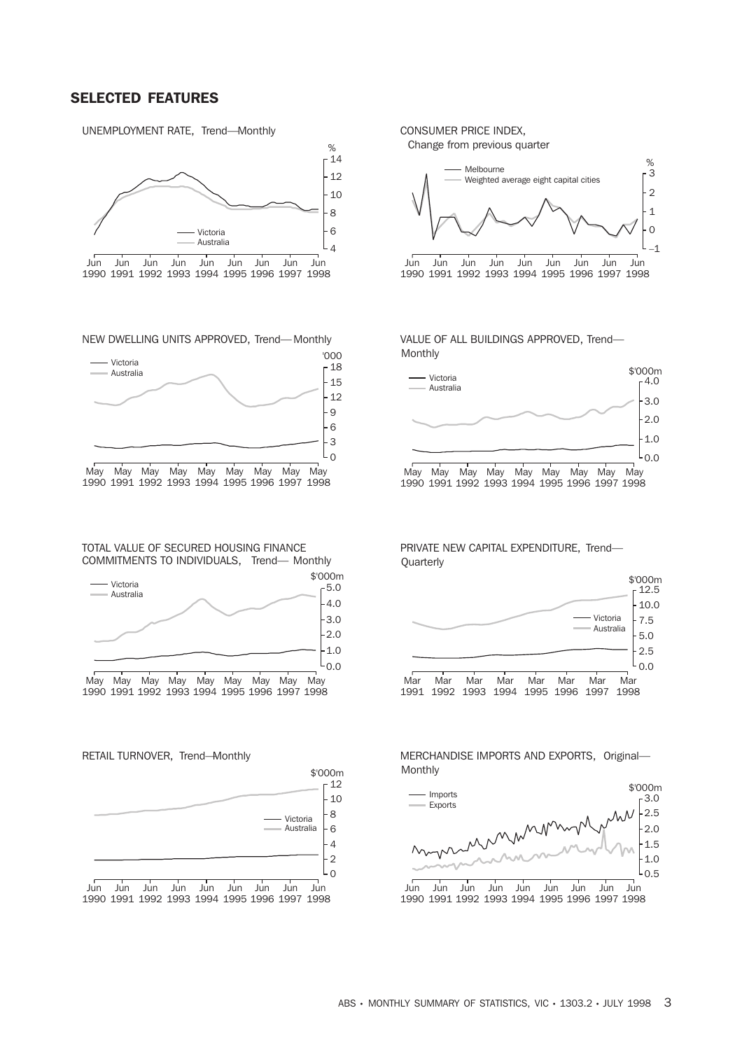#### SELECTED FEATURES

UNEMPLOYMENT RATE, Trend—Monthly



NEW DWELLING UNITS APPROVED, Trend—Monthly



1990 1991 1992 1993 1994 1995 1996 1997 1998

TOTAL VALUE OF SECURED HOUSING FINANCE COMMITMENTS TO INDIVIDUALS, Trend— Monthly



RETAIL TURNOVER, Trend—Monthly



CONSUMER PRICE INDEX,

Change from previous quarter



VALUE OF ALL BUILDINGS APPROVED, Trend— Monthly



PRIVATE NEW CAPITAL EXPENDITURE, Trend— Quarterly



MERCHANDISE IMPORTS AND EXPORTS, Original— Monthly



1990 1991 1992 1993 1994 1995 1996 1997 1998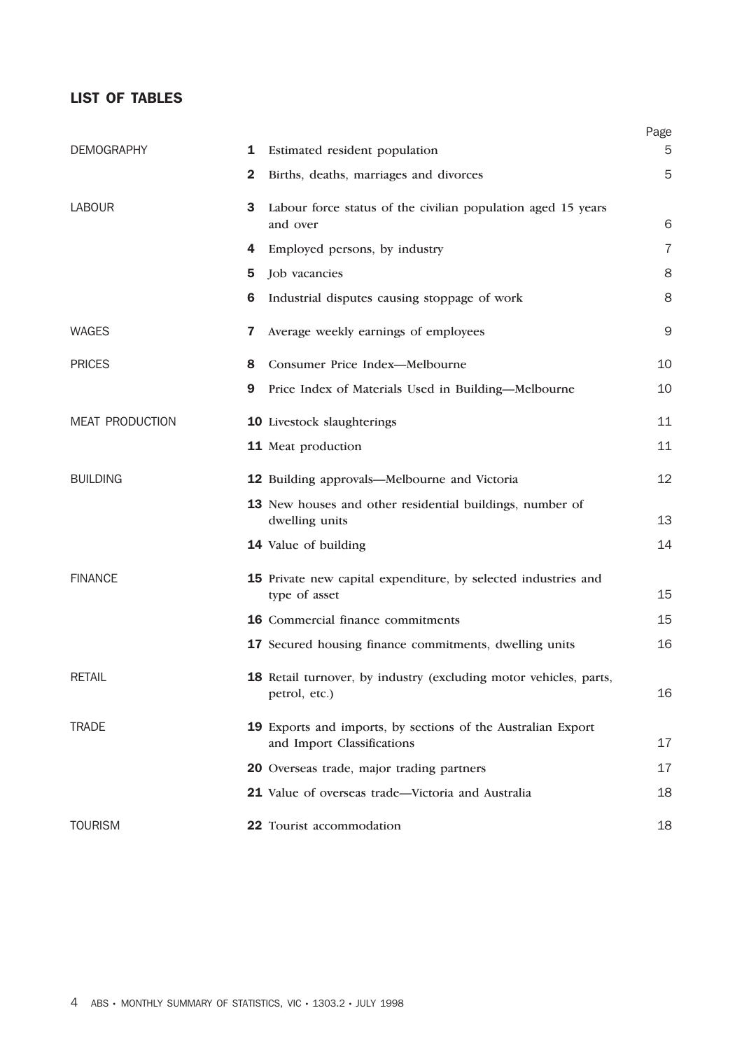#### LIST OF TABLES

|                        |              |                                                                                            | Page |
|------------------------|--------------|--------------------------------------------------------------------------------------------|------|
| <b>DEMOGRAPHY</b>      | 1            | Estimated resident population                                                              | 5    |
|                        | $\mathbf{2}$ | Births, deaths, marriages and divorces                                                     | 5    |
| <b>LABOUR</b>          | 3            | Labour force status of the civilian population aged 15 years                               |      |
|                        |              | and over                                                                                   | 6    |
|                        | 4            | Employed persons, by industry                                                              | 7    |
|                        | 5            | Job vacancies                                                                              | 8    |
|                        | 6            | Industrial disputes causing stoppage of work                                               | 8    |
| <b>WAGES</b>           | 7            | Average weekly earnings of employees                                                       | $9$  |
| <b>PRICES</b>          | 8            | Consumer Price Index-Melbourne                                                             | 10   |
|                        | 9            | Price Index of Materials Used in Building-Melbourne                                        | 10   |
| <b>MEAT PRODUCTION</b> |              | 10 Livestock slaughterings                                                                 | 11   |
|                        |              | 11 Meat production                                                                         | 11   |
| <b>BUILDING</b>        |              | 12 Building approvals—Melbourne and Victoria                                               | 12   |
|                        |              | 13 New houses and other residential buildings, number of<br>dwelling units                 | 13   |
|                        |              | 14 Value of building                                                                       | 14   |
| <b>FINANCE</b>         |              | 15 Private new capital expenditure, by selected industries and<br>type of asset            | 15   |
|                        |              | 16 Commercial finance commitments                                                          | 15   |
|                        |              | 17 Secured housing finance commitments, dwelling units                                     | 16   |
| <b>RETAIL</b>          |              | 18 Retail turnover, by industry (excluding motor vehicles, parts,<br>petrol, etc.)         | 16   |
| <b>TRADE</b>           |              | 19 Exports and imports, by sections of the Australian Export<br>and Import Classifications | 17   |
|                        |              | 20 Overseas trade, major trading partners                                                  | 17   |
|                        |              | 21 Value of overseas trade—Victoria and Australia                                          | 18   |
| <b>TOURISM</b>         |              | 22 Tourist accommodation                                                                   | 18   |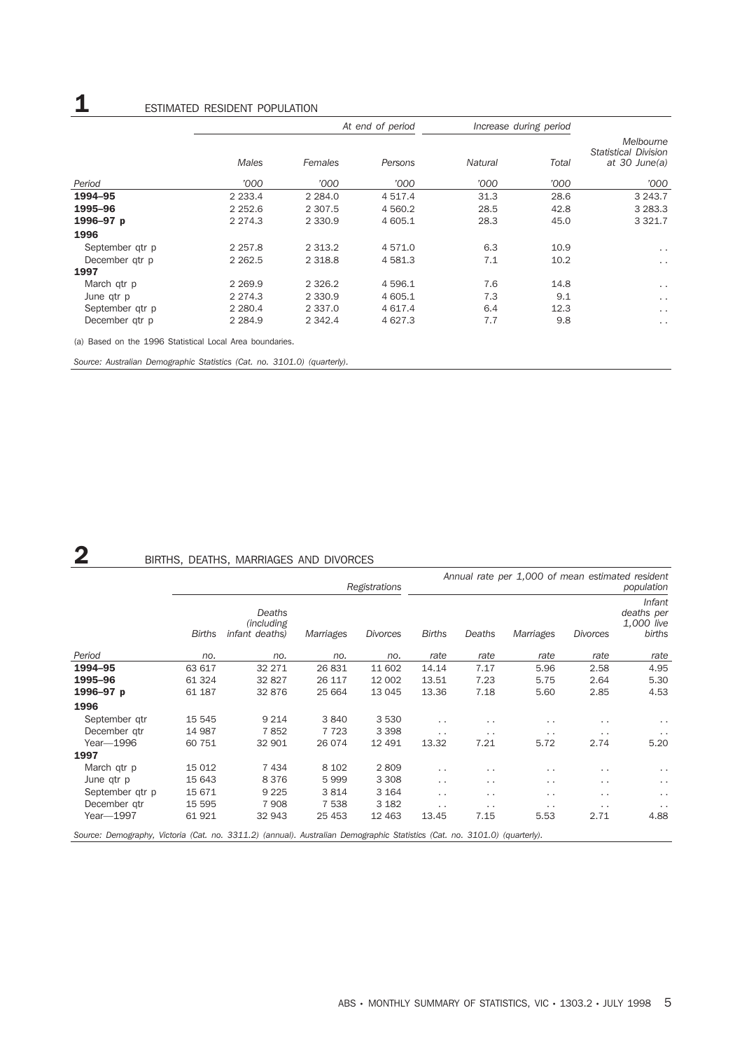## **1** ESTIMATED RESIDENT POPULATION

|                                                          |             |             | At end of period | Increase during period |       |                                                             |
|----------------------------------------------------------|-------------|-------------|------------------|------------------------|-------|-------------------------------------------------------------|
|                                                          | Males       | Females     | Persons          | <b>Natural</b>         | Total | Melbourne<br><b>Statistical Division</b><br>at $30$ June(a) |
| Period                                                   | '000        | '000        | '000             | '000                   | '000  | '000                                                        |
| 1994-95                                                  | 2 2 3 3.4   | 2 2 8 4 .0  | 4 5 1 7 . 4      | 31.3                   | 28.6  | 3 2 4 3 . 7                                                 |
| 1995-96                                                  | 2 2 5 2.6   | 2 3 0 7.5   | 4 5 6 0.2        | 28.5                   | 42.8  | 3 2 8 3 . 3                                                 |
| 1996-97 p                                                | 2 2 7 4 . 3 | 2 3 3 0.9   | 4 605.1          | 28.3                   | 45.0  | 3 3 2 1.7                                                   |
| 1996                                                     |             |             |                  |                        |       |                                                             |
| September gtr p                                          | 2 2 5 7.8   | 2 3 1 3 . 2 | 4 571.0          | 6.3                    | 10.9  | $\cdot$ .                                                   |
| December gtr p                                           | 2 2 6 2 .5  | 2 3 1 8 . 8 | 4 5 8 1.3        | 7.1                    | 10.2  | $\ddotsc$                                                   |
| 1997                                                     |             |             |                  |                        |       |                                                             |
| March qtr p                                              | 2 2 6 9 . 9 | 2 3 2 6.2   | 4 5 9 6.1        | 7.6                    | 14.8  | $\sim$ $\sim$                                               |
| June qtr p                                               | 2 2 7 4 . 3 | 2 3 3 0.9   | 4 605.1          | 7.3                    | 9.1   | $\ddotsc$                                                   |
| September gtr p                                          | 2 2 8 0.4   | 2 3 3 7 .0  | 4 6 1 7 . 4      | 6.4                    | 12.3  | $\ddotsc$                                                   |
| December gtr p                                           | 2 2 8 4 . 9 | 2 3 4 2.4   | 4 627.3          | 7.7                    | 9.8   | $\ddotsc$                                                   |
| (a) Based on the 1996 Statistical Local Area boundaries. |             |             |                  |                        |       |                                                             |

*Source: Australian Demographic Statistics (Cat. no. 3101.0) (quarterly).*

### 2 BIRTHS, DEATHS, MARRIAGES AND DIVORCES

|                                                                                                                           |               | Annual rate per 1,000 of mean estimated resident<br>population |           |                 |                 |           |                 |                 |                                                     |
|---------------------------------------------------------------------------------------------------------------------------|---------------|----------------------------------------------------------------|-----------|-----------------|-----------------|-----------|-----------------|-----------------|-----------------------------------------------------|
|                                                                                                                           | <b>Births</b> | Deaths<br><i>(including)</i><br>infant deaths)                 | Marriages | <b>Divorces</b> | <b>Births</b>   | Deaths    | Marriages       | <b>Divorces</b> | <i>Infant</i><br>deaths per<br>1,000 live<br>births |
| Period                                                                                                                    | no.           | no.                                                            | no.       | no.             | rate            | rate      | rate            | rate            | rate                                                |
| 1994-95                                                                                                                   | 63 617        | 32 271                                                         | 26 831    | 11 602          | 14.14           | 7.17      | 5.96            | 2.58            | 4.95                                                |
| 1995-96                                                                                                                   | 61 324        | 32 827                                                         | 26 117    | 12 002          | 13.51           | 7.23      | 5.75            | 2.64            | 5.30                                                |
| 1996-97 p                                                                                                                 | 61 187        | 32 876                                                         | 25 664    | 13 045          | 13.36           | 7.18      | 5.60            | 2.85            | 4.53                                                |
| 1996                                                                                                                      |               |                                                                |           |                 |                 |           |                 |                 |                                                     |
| September gtr                                                                                                             | 15 545        | 9 2 1 4                                                        | 3840      | 3 5 3 0         | $\cdot$ $\cdot$ | $\cdot$ . | $\cdot$ $\cdot$ | . .             | $\cdot$ .                                           |
| December gtr                                                                                                              | 14 987        | 7852                                                           | 7 7 2 3   | 3 3 9 8         | $\ddotsc$       | $\ddotsc$ | $\ddotsc$       | $\cdot$ .       | $\cdot$ .                                           |
| Year-1996                                                                                                                 | 60 751        | 32 901                                                         | 26 074    | 12 491          | 13.32           | 7.21      | 5.72            | 2.74            | 5.20                                                |
| 1997                                                                                                                      |               |                                                                |           |                 |                 |           |                 |                 |                                                     |
| March qtr p                                                                                                               | 15 012        | 7434                                                           | 8 1 0 2   | 2809            | $\ddotsc$       | $\cdot$ . | $\cdot$ .       | $\cdot$ .       | $\cdot$ .                                           |
| June qtr p                                                                                                                | 15 643        | 8376                                                           | 5999      | 3 3 0 8         | $\ddotsc$       | $\cdot$ . | $\cdot$ $\cdot$ | $\cdot$ .       | $\cdot$ .                                           |
| September qtr p                                                                                                           | 15 671        | 9 2 2 5                                                        | 3814      | 3 1 6 4         | $\cdot$ $\cdot$ | $\cdot$ . | . .             | $\cdot$ .       | $\cdot$ .                                           |
| December gtr                                                                                                              | 15 595        | 7 9 0 8                                                        | 7 5 3 8   | 3 1 8 2         | $\cdot$ .       | $\cdot$ . | $\cdot$ .       | $\cdot$ .       | $\cdot$ .                                           |
| Year-1997                                                                                                                 | 61 921        | 32 943                                                         | 25 453    | 12 4 63         | 13.45           | 7.15      | 5.53            | 2.71            | 4.88                                                |
| Source: Demography, Victoria (Cat. no. 3311.2) (annual). Australian Demographic Statistics (Cat. no. 3101.0) (quarterly). |               |                                                                |           |                 |                 |           |                 |                 |                                                     |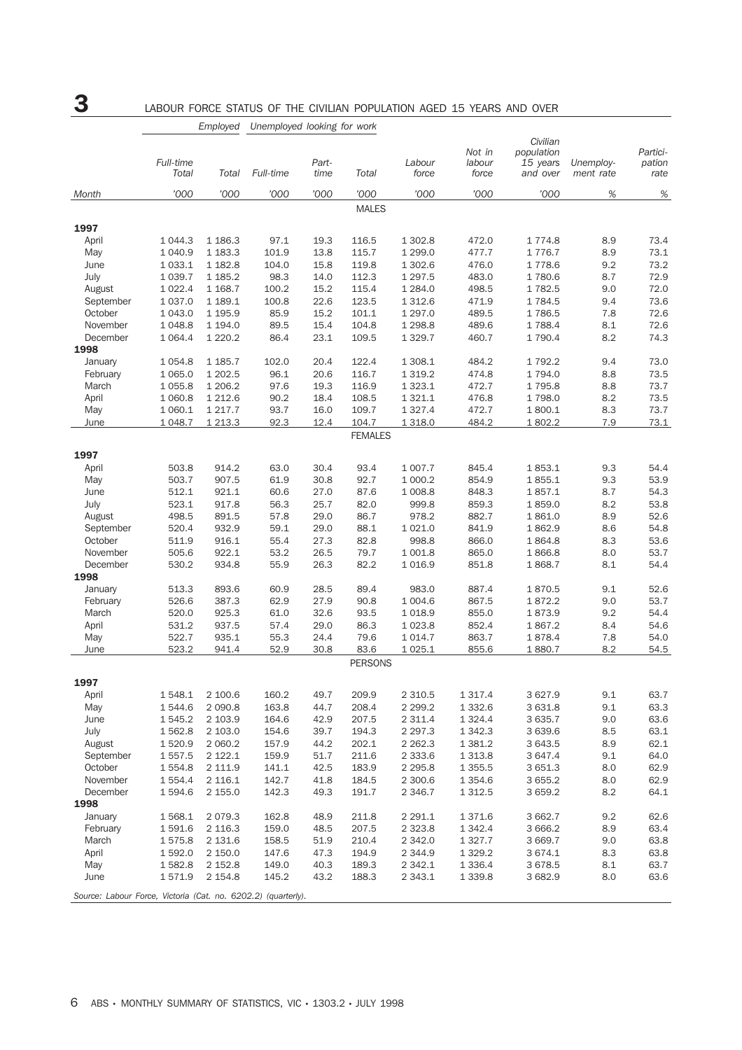# 3 LABOUR FORCE STATUS OF THE CIVILIAN POPULATION AGED 15 YEARS AND OVER

| Civilian<br>Not in<br>population<br>Partici-<br>Full-time<br>Part-<br>Labour<br>pation<br>labour<br>15 years<br>Unemploy-<br>Full-time<br>Total<br>Total<br>Total<br>time<br>force<br>force<br>and over<br>ment rate<br>rate<br>'000<br>'000<br>'000<br>'000<br>'000<br>'000<br>$\%$<br>'000<br>'000<br>%<br>Month<br><b>MALES</b><br>1997<br>73.4<br>April<br>1 0 4 4.3<br>1 1 86.3<br>97.1<br>19.3<br>116.5<br>1 302.8<br>472.0<br>1 774.8<br>8.9<br>1 0 4 0.9<br>1 183.3<br>101.9<br>115.7<br>1 2 9 9.0<br>477.7<br>1776.7<br>8.9<br>73.1<br>May<br>13.8<br>1 182.8<br>104.0<br>15.8<br>119.8<br>1 302.6<br>476.0<br>1778.6<br>9.2<br>73.2<br>June<br>1 0 3 3.1<br>July<br>1 0 3 9.7<br>1 1 8 5 . 2<br>98.3<br>14.0<br>112.3<br>1 2 9 7 .5<br>483.0<br>1780.6<br>8.7<br>72.9<br>498.5<br>9.0<br>72.0<br>August<br>1 0 2 2.4<br>1 1 68.7<br>100.2<br>15.2<br>115.4<br>1 2 8 4 .0<br>1782.5<br>1 0 3 7 .0<br>1 189.1<br>100.8<br>22.6<br>123.5<br>1 3 1 2.6<br>471.9<br>1784.5<br>9.4<br>73.6<br>September<br>72.6<br>October<br>1 0 4 3 .0<br>1 195.9<br>15.2<br>101.1<br>1 2 9 7 .0<br>489.5<br>1786.5<br>7.8<br>85.9<br>November<br>1 0 48.8<br>1 194.0<br>89.5<br>15.4<br>104.8<br>1 2 9 8.8<br>489.6<br>1788.4<br>8.1<br>72.6<br>1 0 6 4 . 4<br>1 2 2 0 . 2<br>23.1<br>109.5<br>1 790.4<br>8.2<br>74.3<br>December<br>86.4<br>1 3 2 9.7<br>460.7<br>1998<br>122.4<br>January<br>1 0 5 4.8<br>1 185.7<br>102.0<br>20.4<br>1 308.1<br>484.2<br>1792.2<br>9.4<br>73.0<br>February<br>1 0 6 5 .0<br>1 202.5<br>20.6<br>116.7<br>1 3 1 9.2<br>474.8<br>1 794.0<br>8.8<br>73.5<br>96.1<br>73.7<br>March<br>8.8<br>1 0 5 5.8<br>1 206.2<br>97.6<br>19.3<br>116.9<br>1 3 2 3 . 1<br>472.7<br>1795.8<br>April<br>1 2 1 2 .6<br>90.2<br>18.4<br>108.5<br>1 3 2 1 . 1<br>476.8<br>1798.0<br>8.2<br>73.5<br>1 0 6 0.8<br>1 2 1 7 . 7<br>93.7<br>16.0<br>109.7<br>1 3 2 7 . 4<br>472.7<br>1800.1<br>8.3<br>73.7<br>May<br>1 0 6 0.1<br>1 2 1 3 . 3<br>92.3<br>12.4<br>104.7<br>484.2<br>7.9<br>73.1<br>June<br>1 0 48.7<br>1 3 1 8 .0<br>1802.2<br><b>FEMALES</b><br>1997<br>503.8<br>914.2<br>63.0<br>30.4<br>93.4<br>1 007.7<br>845.4<br>1853.1<br>9.3<br>54.4<br>April<br>53.9<br>907.5<br>30.8<br>92.7<br>1 000.2<br>854.9<br>1855.1<br>9.3<br>May<br>503.7<br>61.9<br>June<br>512.1<br>921.1<br>27.0<br>87.6<br>1 008.8<br>848.3<br>1857.1<br>8.7<br>54.3<br>60.6<br>July<br>917.8<br>25.7<br>999.8<br>859.3<br>1859.0<br>8.2<br>53.8<br>523.1<br>56.3<br>82.0<br>52.6<br>August<br>498.5<br>891.5<br>57.8<br>29.0<br>86.7<br>978.2<br>882.7<br>1861.0<br>8.9<br>September<br>932.9<br>29.0<br>88.1<br>8.6<br>54.8<br>520.4<br>59.1<br>1 0 2 1 .0<br>841.9<br>1862.9<br>October<br>511.9<br>916.1<br>27.3<br>82.8<br>998.8<br>866.0<br>1864.8<br>8.3<br>53.6<br>55.4<br>November<br>505.6<br>922.1<br>26.5<br>79.7<br>1 001.8<br>865.0<br>8.0<br>53.7<br>53.2<br>1866.8<br>December<br>530.2<br>934.8<br>26.3<br>82.2<br>8.1<br>54.4<br>55.9<br>1016.9<br>851.8<br>1868.7<br>1998<br>513.3<br>893.6<br>28.5<br>89.4<br>983.0<br>887.4<br>9.1<br>52.6<br>January<br>60.9<br>1870.5<br>53.7<br>February<br>526.6<br>387.3<br>27.9<br>867.5<br>1872.2<br>9.0<br>62.9<br>90.8<br>1 0 0 4.6<br>March<br>520.0<br>925.3<br>32.6<br>93.5<br>1018.9<br>855.0<br>1873.9<br>9.2<br>54.4<br>61.0<br>531.2<br>54.6<br>April<br>937.5<br>57.4<br>29.0<br>86.3<br>1 0 2 3.8<br>852.4<br>1867.2<br>8.4<br>522.7<br>935.1<br>55.3<br>24.4<br>79.6<br>1 0 1 4.7<br>863.7<br>1878.4<br>7.8<br>54.0<br>May<br>8.2<br>523.2<br>941.4<br>30.8<br>83.6<br>1 0 25.1<br>855.6<br>54.5<br>52.9<br>1880.7<br>June<br><b>PERSONS</b><br>1997<br>2 100.6<br>160.2<br>49.7<br>209.9<br>2 3 1 0.5<br>1 3 1 7 . 4<br>3 627.9<br>9.1<br>63.7<br>April<br>1 548.1<br>63.3<br>May<br>1544.6<br>2 0 9 0.8<br>163.8<br>44.7<br>208.4<br>2 2 9 9.2<br>1 3 3 2.6<br>3 631.8<br>9.1<br>June<br>1 545.2<br>2 103.9<br>164.6<br>42.9<br>207.5<br>2 3 1 1.4<br>1 3 2 4 . 4<br>3 635.7<br>9.0<br>63.6<br>2 2 9 7 . 3<br>63.1<br>July<br>1 562.8<br>2 103.0<br>154.6<br>39.7<br>194.3<br>1 342.3<br>3 639.6<br>8.5<br>August<br>1520.9<br>2 060.2<br>157.9<br>44.2<br>202.1<br>2 2 6 2 . 3<br>1 3 8 1.2<br>3 643.5<br>8.9<br>62.1<br>211.6<br>64.0<br>September<br>1 557.5<br>2 1 2 2 . 1<br>159.9<br>51.7<br>2 3 3 3 . 6<br>1 3 1 3 .8<br>3 647.4<br>9.1<br>October<br>1 554.8<br>2 111.9<br>141.1<br>42.5<br>183.9<br>2 2 9 5.8<br>1 3 5 5.5<br>8.0<br>62.9<br>3 651.3<br>November<br>142.7<br>62.9<br>1 554.4<br>2 116.1<br>41.8<br>184.5<br>2 300.6<br>1 3 5 4 . 6<br>3 655.2<br>8.0<br>December<br>64.1<br>1 594.6<br>2 155.0<br>142.3<br>49.3<br>191.7<br>2 3 4 6.7<br>1 3 1 2.5<br>3 659.2<br>8.2<br>1998<br>January<br>1 568.1<br>2 0 7 9.3<br>162.8<br>48.9<br>211.8<br>2 2 9 1.1<br>1 371.6<br>3 662.7<br>9.2<br>62.6<br>February<br>1 591.6<br>2 116.3<br>159.0<br>48.5<br>207.5<br>2 3 2 3 . 8<br>1 342.4<br>3 666.2<br>8.9<br>63.4<br>63.8<br>March<br>2 131.6<br>158.5<br>51.9<br>210.4<br>2 3 4 2.0<br>1 3 2 7 . 7<br>3 669.7<br>9.0<br>1575.8<br>April<br>1 592.0<br>2 150.0<br>147.6<br>47.3<br>194.9<br>2 3 4 4 .9<br>1 3 2 9.2<br>3 674.1<br>8.3<br>63.8<br>May<br>149.0<br>189.3<br>2 3 4 2.1<br>8.1<br>63.7<br>1582.8<br>2 152.8<br>40.3<br>1 3 3 6 . 4<br>3678.5<br>June<br>1571.9<br>2 1 5 4.8<br>145.2<br>43.2<br>188.3<br>2 3 4 3 . 1<br>1 3 3 9.8<br>3 682.9<br>8.0<br>63.6<br>Source: Labour Force, Victoria (Cat. no. 6202.2) (quarterly). |  | Employed | Unemployed looking for work |  |  |  |  |
|--------------------------------------------------------------------------------------------------------------------------------------------------------------------------------------------------------------------------------------------------------------------------------------------------------------------------------------------------------------------------------------------------------------------------------------------------------------------------------------------------------------------------------------------------------------------------------------------------------------------------------------------------------------------------------------------------------------------------------------------------------------------------------------------------------------------------------------------------------------------------------------------------------------------------------------------------------------------------------------------------------------------------------------------------------------------------------------------------------------------------------------------------------------------------------------------------------------------------------------------------------------------------------------------------------------------------------------------------------------------------------------------------------------------------------------------------------------------------------------------------------------------------------------------------------------------------------------------------------------------------------------------------------------------------------------------------------------------------------------------------------------------------------------------------------------------------------------------------------------------------------------------------------------------------------------------------------------------------------------------------------------------------------------------------------------------------------------------------------------------------------------------------------------------------------------------------------------------------------------------------------------------------------------------------------------------------------------------------------------------------------------------------------------------------------------------------------------------------------------------------------------------------------------------------------------------------------------------------------------------------------------------------------------------------------------------------------------------------------------------------------------------------------------------------------------------------------------------------------------------------------------------------------------------------------------------------------------------------------------------------------------------------------------------------------------------------------------------------------------------------------------------------------------------------------------------------------------------------------------------------------------------------------------------------------------------------------------------------------------------------------------------------------------------------------------------------------------------------------------------------------------------------------------------------------------------------------------------------------------------------------------------------------------------------------------------------------------------------------------------------------------------------------------------------------------------------------------------------------------------------------------------------------------------------------------------------------------------------------------------------------------------------------------------------------------------------------------------------------------------------------------------------------------------------------------------------------------------------------------------------------------------------------------------------------------------------------------------------------------------------------------------------------------------------------------------------------------------------------------------------------------------------------------------------------------------------------------------------------------------------------------------------------------------------------------------------------------------------------------------------------------------------------------------------------------------------------------------------------------------------------------------------------------------------------------------------------------------------------------------------------------------------------------------------------------------------------------------------------------------------------------------------------------------------------------------------------------------------------------------------------------------------------------------------------------------------------------------------------------------------------------------------------------------------|--|----------|-----------------------------|--|--|--|--|
|                                                                                                                                                                                                                                                                                                                                                                                                                                                                                                                                                                                                                                                                                                                                                                                                                                                                                                                                                                                                                                                                                                                                                                                                                                                                                                                                                                                                                                                                                                                                                                                                                                                                                                                                                                                                                                                                                                                                                                                                                                                                                                                                                                                                                                                                                                                                                                                                                                                                                                                                                                                                                                                                                                                                                                                                                                                                                                                                                                                                                                                                                                                                                                                                                                                                                                                                                                                                                                                                                                                                                                                                                                                                                                                                                                                                                                                                                                                                                                                                                                                                                                                                                                                                                                                                                                                                                                                                                                                                                                                                                                                                                                                                                                                                                                                                                                                                                                                                                                                                                                                                                                                                                                                                                                                                                                                                                                                                                          |  |          |                             |  |  |  |  |
|                                                                                                                                                                                                                                                                                                                                                                                                                                                                                                                                                                                                                                                                                                                                                                                                                                                                                                                                                                                                                                                                                                                                                                                                                                                                                                                                                                                                                                                                                                                                                                                                                                                                                                                                                                                                                                                                                                                                                                                                                                                                                                                                                                                                                                                                                                                                                                                                                                                                                                                                                                                                                                                                                                                                                                                                                                                                                                                                                                                                                                                                                                                                                                                                                                                                                                                                                                                                                                                                                                                                                                                                                                                                                                                                                                                                                                                                                                                                                                                                                                                                                                                                                                                                                                                                                                                                                                                                                                                                                                                                                                                                                                                                                                                                                                                                                                                                                                                                                                                                                                                                                                                                                                                                                                                                                                                                                                                                                          |  |          |                             |  |  |  |  |
|                                                                                                                                                                                                                                                                                                                                                                                                                                                                                                                                                                                                                                                                                                                                                                                                                                                                                                                                                                                                                                                                                                                                                                                                                                                                                                                                                                                                                                                                                                                                                                                                                                                                                                                                                                                                                                                                                                                                                                                                                                                                                                                                                                                                                                                                                                                                                                                                                                                                                                                                                                                                                                                                                                                                                                                                                                                                                                                                                                                                                                                                                                                                                                                                                                                                                                                                                                                                                                                                                                                                                                                                                                                                                                                                                                                                                                                                                                                                                                                                                                                                                                                                                                                                                                                                                                                                                                                                                                                                                                                                                                                                                                                                                                                                                                                                                                                                                                                                                                                                                                                                                                                                                                                                                                                                                                                                                                                                                          |  |          |                             |  |  |  |  |
|                                                                                                                                                                                                                                                                                                                                                                                                                                                                                                                                                                                                                                                                                                                                                                                                                                                                                                                                                                                                                                                                                                                                                                                                                                                                                                                                                                                                                                                                                                                                                                                                                                                                                                                                                                                                                                                                                                                                                                                                                                                                                                                                                                                                                                                                                                                                                                                                                                                                                                                                                                                                                                                                                                                                                                                                                                                                                                                                                                                                                                                                                                                                                                                                                                                                                                                                                                                                                                                                                                                                                                                                                                                                                                                                                                                                                                                                                                                                                                                                                                                                                                                                                                                                                                                                                                                                                                                                                                                                                                                                                                                                                                                                                                                                                                                                                                                                                                                                                                                                                                                                                                                                                                                                                                                                                                                                                                                                                          |  |          |                             |  |  |  |  |
|                                                                                                                                                                                                                                                                                                                                                                                                                                                                                                                                                                                                                                                                                                                                                                                                                                                                                                                                                                                                                                                                                                                                                                                                                                                                                                                                                                                                                                                                                                                                                                                                                                                                                                                                                                                                                                                                                                                                                                                                                                                                                                                                                                                                                                                                                                                                                                                                                                                                                                                                                                                                                                                                                                                                                                                                                                                                                                                                                                                                                                                                                                                                                                                                                                                                                                                                                                                                                                                                                                                                                                                                                                                                                                                                                                                                                                                                                                                                                                                                                                                                                                                                                                                                                                                                                                                                                                                                                                                                                                                                                                                                                                                                                                                                                                                                                                                                                                                                                                                                                                                                                                                                                                                                                                                                                                                                                                                                                          |  |          |                             |  |  |  |  |
|                                                                                                                                                                                                                                                                                                                                                                                                                                                                                                                                                                                                                                                                                                                                                                                                                                                                                                                                                                                                                                                                                                                                                                                                                                                                                                                                                                                                                                                                                                                                                                                                                                                                                                                                                                                                                                                                                                                                                                                                                                                                                                                                                                                                                                                                                                                                                                                                                                                                                                                                                                                                                                                                                                                                                                                                                                                                                                                                                                                                                                                                                                                                                                                                                                                                                                                                                                                                                                                                                                                                                                                                                                                                                                                                                                                                                                                                                                                                                                                                                                                                                                                                                                                                                                                                                                                                                                                                                                                                                                                                                                                                                                                                                                                                                                                                                                                                                                                                                                                                                                                                                                                                                                                                                                                                                                                                                                                                                          |  |          |                             |  |  |  |  |
|                                                                                                                                                                                                                                                                                                                                                                                                                                                                                                                                                                                                                                                                                                                                                                                                                                                                                                                                                                                                                                                                                                                                                                                                                                                                                                                                                                                                                                                                                                                                                                                                                                                                                                                                                                                                                                                                                                                                                                                                                                                                                                                                                                                                                                                                                                                                                                                                                                                                                                                                                                                                                                                                                                                                                                                                                                                                                                                                                                                                                                                                                                                                                                                                                                                                                                                                                                                                                                                                                                                                                                                                                                                                                                                                                                                                                                                                                                                                                                                                                                                                                                                                                                                                                                                                                                                                                                                                                                                                                                                                                                                                                                                                                                                                                                                                                                                                                                                                                                                                                                                                                                                                                                                                                                                                                                                                                                                                                          |  |          |                             |  |  |  |  |
|                                                                                                                                                                                                                                                                                                                                                                                                                                                                                                                                                                                                                                                                                                                                                                                                                                                                                                                                                                                                                                                                                                                                                                                                                                                                                                                                                                                                                                                                                                                                                                                                                                                                                                                                                                                                                                                                                                                                                                                                                                                                                                                                                                                                                                                                                                                                                                                                                                                                                                                                                                                                                                                                                                                                                                                                                                                                                                                                                                                                                                                                                                                                                                                                                                                                                                                                                                                                                                                                                                                                                                                                                                                                                                                                                                                                                                                                                                                                                                                                                                                                                                                                                                                                                                                                                                                                                                                                                                                                                                                                                                                                                                                                                                                                                                                                                                                                                                                                                                                                                                                                                                                                                                                                                                                                                                                                                                                                                          |  |          |                             |  |  |  |  |
|                                                                                                                                                                                                                                                                                                                                                                                                                                                                                                                                                                                                                                                                                                                                                                                                                                                                                                                                                                                                                                                                                                                                                                                                                                                                                                                                                                                                                                                                                                                                                                                                                                                                                                                                                                                                                                                                                                                                                                                                                                                                                                                                                                                                                                                                                                                                                                                                                                                                                                                                                                                                                                                                                                                                                                                                                                                                                                                                                                                                                                                                                                                                                                                                                                                                                                                                                                                                                                                                                                                                                                                                                                                                                                                                                                                                                                                                                                                                                                                                                                                                                                                                                                                                                                                                                                                                                                                                                                                                                                                                                                                                                                                                                                                                                                                                                                                                                                                                                                                                                                                                                                                                                                                                                                                                                                                                                                                                                          |  |          |                             |  |  |  |  |
|                                                                                                                                                                                                                                                                                                                                                                                                                                                                                                                                                                                                                                                                                                                                                                                                                                                                                                                                                                                                                                                                                                                                                                                                                                                                                                                                                                                                                                                                                                                                                                                                                                                                                                                                                                                                                                                                                                                                                                                                                                                                                                                                                                                                                                                                                                                                                                                                                                                                                                                                                                                                                                                                                                                                                                                                                                                                                                                                                                                                                                                                                                                                                                                                                                                                                                                                                                                                                                                                                                                                                                                                                                                                                                                                                                                                                                                                                                                                                                                                                                                                                                                                                                                                                                                                                                                                                                                                                                                                                                                                                                                                                                                                                                                                                                                                                                                                                                                                                                                                                                                                                                                                                                                                                                                                                                                                                                                                                          |  |          |                             |  |  |  |  |
|                                                                                                                                                                                                                                                                                                                                                                                                                                                                                                                                                                                                                                                                                                                                                                                                                                                                                                                                                                                                                                                                                                                                                                                                                                                                                                                                                                                                                                                                                                                                                                                                                                                                                                                                                                                                                                                                                                                                                                                                                                                                                                                                                                                                                                                                                                                                                                                                                                                                                                                                                                                                                                                                                                                                                                                                                                                                                                                                                                                                                                                                                                                                                                                                                                                                                                                                                                                                                                                                                                                                                                                                                                                                                                                                                                                                                                                                                                                                                                                                                                                                                                                                                                                                                                                                                                                                                                                                                                                                                                                                                                                                                                                                                                                                                                                                                                                                                                                                                                                                                                                                                                                                                                                                                                                                                                                                                                                                                          |  |          |                             |  |  |  |  |
|                                                                                                                                                                                                                                                                                                                                                                                                                                                                                                                                                                                                                                                                                                                                                                                                                                                                                                                                                                                                                                                                                                                                                                                                                                                                                                                                                                                                                                                                                                                                                                                                                                                                                                                                                                                                                                                                                                                                                                                                                                                                                                                                                                                                                                                                                                                                                                                                                                                                                                                                                                                                                                                                                                                                                                                                                                                                                                                                                                                                                                                                                                                                                                                                                                                                                                                                                                                                                                                                                                                                                                                                                                                                                                                                                                                                                                                                                                                                                                                                                                                                                                                                                                                                                                                                                                                                                                                                                                                                                                                                                                                                                                                                                                                                                                                                                                                                                                                                                                                                                                                                                                                                                                                                                                                                                                                                                                                                                          |  |          |                             |  |  |  |  |
|                                                                                                                                                                                                                                                                                                                                                                                                                                                                                                                                                                                                                                                                                                                                                                                                                                                                                                                                                                                                                                                                                                                                                                                                                                                                                                                                                                                                                                                                                                                                                                                                                                                                                                                                                                                                                                                                                                                                                                                                                                                                                                                                                                                                                                                                                                                                                                                                                                                                                                                                                                                                                                                                                                                                                                                                                                                                                                                                                                                                                                                                                                                                                                                                                                                                                                                                                                                                                                                                                                                                                                                                                                                                                                                                                                                                                                                                                                                                                                                                                                                                                                                                                                                                                                                                                                                                                                                                                                                                                                                                                                                                                                                                                                                                                                                                                                                                                                                                                                                                                                                                                                                                                                                                                                                                                                                                                                                                                          |  |          |                             |  |  |  |  |
|                                                                                                                                                                                                                                                                                                                                                                                                                                                                                                                                                                                                                                                                                                                                                                                                                                                                                                                                                                                                                                                                                                                                                                                                                                                                                                                                                                                                                                                                                                                                                                                                                                                                                                                                                                                                                                                                                                                                                                                                                                                                                                                                                                                                                                                                                                                                                                                                                                                                                                                                                                                                                                                                                                                                                                                                                                                                                                                                                                                                                                                                                                                                                                                                                                                                                                                                                                                                                                                                                                                                                                                                                                                                                                                                                                                                                                                                                                                                                                                                                                                                                                                                                                                                                                                                                                                                                                                                                                                                                                                                                                                                                                                                                                                                                                                                                                                                                                                                                                                                                                                                                                                                                                                                                                                                                                                                                                                                                          |  |          |                             |  |  |  |  |
|                                                                                                                                                                                                                                                                                                                                                                                                                                                                                                                                                                                                                                                                                                                                                                                                                                                                                                                                                                                                                                                                                                                                                                                                                                                                                                                                                                                                                                                                                                                                                                                                                                                                                                                                                                                                                                                                                                                                                                                                                                                                                                                                                                                                                                                                                                                                                                                                                                                                                                                                                                                                                                                                                                                                                                                                                                                                                                                                                                                                                                                                                                                                                                                                                                                                                                                                                                                                                                                                                                                                                                                                                                                                                                                                                                                                                                                                                                                                                                                                                                                                                                                                                                                                                                                                                                                                                                                                                                                                                                                                                                                                                                                                                                                                                                                                                                                                                                                                                                                                                                                                                                                                                                                                                                                                                                                                                                                                                          |  |          |                             |  |  |  |  |
|                                                                                                                                                                                                                                                                                                                                                                                                                                                                                                                                                                                                                                                                                                                                                                                                                                                                                                                                                                                                                                                                                                                                                                                                                                                                                                                                                                                                                                                                                                                                                                                                                                                                                                                                                                                                                                                                                                                                                                                                                                                                                                                                                                                                                                                                                                                                                                                                                                                                                                                                                                                                                                                                                                                                                                                                                                                                                                                                                                                                                                                                                                                                                                                                                                                                                                                                                                                                                                                                                                                                                                                                                                                                                                                                                                                                                                                                                                                                                                                                                                                                                                                                                                                                                                                                                                                                                                                                                                                                                                                                                                                                                                                                                                                                                                                                                                                                                                                                                                                                                                                                                                                                                                                                                                                                                                                                                                                                                          |  |          |                             |  |  |  |  |
|                                                                                                                                                                                                                                                                                                                                                                                                                                                                                                                                                                                                                                                                                                                                                                                                                                                                                                                                                                                                                                                                                                                                                                                                                                                                                                                                                                                                                                                                                                                                                                                                                                                                                                                                                                                                                                                                                                                                                                                                                                                                                                                                                                                                                                                                                                                                                                                                                                                                                                                                                                                                                                                                                                                                                                                                                                                                                                                                                                                                                                                                                                                                                                                                                                                                                                                                                                                                                                                                                                                                                                                                                                                                                                                                                                                                                                                                                                                                                                                                                                                                                                                                                                                                                                                                                                                                                                                                                                                                                                                                                                                                                                                                                                                                                                                                                                                                                                                                                                                                                                                                                                                                                                                                                                                                                                                                                                                                                          |  |          |                             |  |  |  |  |
|                                                                                                                                                                                                                                                                                                                                                                                                                                                                                                                                                                                                                                                                                                                                                                                                                                                                                                                                                                                                                                                                                                                                                                                                                                                                                                                                                                                                                                                                                                                                                                                                                                                                                                                                                                                                                                                                                                                                                                                                                                                                                                                                                                                                                                                                                                                                                                                                                                                                                                                                                                                                                                                                                                                                                                                                                                                                                                                                                                                                                                                                                                                                                                                                                                                                                                                                                                                                                                                                                                                                                                                                                                                                                                                                                                                                                                                                                                                                                                                                                                                                                                                                                                                                                                                                                                                                                                                                                                                                                                                                                                                                                                                                                                                                                                                                                                                                                                                                                                                                                                                                                                                                                                                                                                                                                                                                                                                                                          |  |          |                             |  |  |  |  |
|                                                                                                                                                                                                                                                                                                                                                                                                                                                                                                                                                                                                                                                                                                                                                                                                                                                                                                                                                                                                                                                                                                                                                                                                                                                                                                                                                                                                                                                                                                                                                                                                                                                                                                                                                                                                                                                                                                                                                                                                                                                                                                                                                                                                                                                                                                                                                                                                                                                                                                                                                                                                                                                                                                                                                                                                                                                                                                                                                                                                                                                                                                                                                                                                                                                                                                                                                                                                                                                                                                                                                                                                                                                                                                                                                                                                                                                                                                                                                                                                                                                                                                                                                                                                                                                                                                                                                                                                                                                                                                                                                                                                                                                                                                                                                                                                                                                                                                                                                                                                                                                                                                                                                                                                                                                                                                                                                                                                                          |  |          |                             |  |  |  |  |
|                                                                                                                                                                                                                                                                                                                                                                                                                                                                                                                                                                                                                                                                                                                                                                                                                                                                                                                                                                                                                                                                                                                                                                                                                                                                                                                                                                                                                                                                                                                                                                                                                                                                                                                                                                                                                                                                                                                                                                                                                                                                                                                                                                                                                                                                                                                                                                                                                                                                                                                                                                                                                                                                                                                                                                                                                                                                                                                                                                                                                                                                                                                                                                                                                                                                                                                                                                                                                                                                                                                                                                                                                                                                                                                                                                                                                                                                                                                                                                                                                                                                                                                                                                                                                                                                                                                                                                                                                                                                                                                                                                                                                                                                                                                                                                                                                                                                                                                                                                                                                                                                                                                                                                                                                                                                                                                                                                                                                          |  |          |                             |  |  |  |  |
|                                                                                                                                                                                                                                                                                                                                                                                                                                                                                                                                                                                                                                                                                                                                                                                                                                                                                                                                                                                                                                                                                                                                                                                                                                                                                                                                                                                                                                                                                                                                                                                                                                                                                                                                                                                                                                                                                                                                                                                                                                                                                                                                                                                                                                                                                                                                                                                                                                                                                                                                                                                                                                                                                                                                                                                                                                                                                                                                                                                                                                                                                                                                                                                                                                                                                                                                                                                                                                                                                                                                                                                                                                                                                                                                                                                                                                                                                                                                                                                                                                                                                                                                                                                                                                                                                                                                                                                                                                                                                                                                                                                                                                                                                                                                                                                                                                                                                                                                                                                                                                                                                                                                                                                                                                                                                                                                                                                                                          |  |          |                             |  |  |  |  |
|                                                                                                                                                                                                                                                                                                                                                                                                                                                                                                                                                                                                                                                                                                                                                                                                                                                                                                                                                                                                                                                                                                                                                                                                                                                                                                                                                                                                                                                                                                                                                                                                                                                                                                                                                                                                                                                                                                                                                                                                                                                                                                                                                                                                                                                                                                                                                                                                                                                                                                                                                                                                                                                                                                                                                                                                                                                                                                                                                                                                                                                                                                                                                                                                                                                                                                                                                                                                                                                                                                                                                                                                                                                                                                                                                                                                                                                                                                                                                                                                                                                                                                                                                                                                                                                                                                                                                                                                                                                                                                                                                                                                                                                                                                                                                                                                                                                                                                                                                                                                                                                                                                                                                                                                                                                                                                                                                                                                                          |  |          |                             |  |  |  |  |
|                                                                                                                                                                                                                                                                                                                                                                                                                                                                                                                                                                                                                                                                                                                                                                                                                                                                                                                                                                                                                                                                                                                                                                                                                                                                                                                                                                                                                                                                                                                                                                                                                                                                                                                                                                                                                                                                                                                                                                                                                                                                                                                                                                                                                                                                                                                                                                                                                                                                                                                                                                                                                                                                                                                                                                                                                                                                                                                                                                                                                                                                                                                                                                                                                                                                                                                                                                                                                                                                                                                                                                                                                                                                                                                                                                                                                                                                                                                                                                                                                                                                                                                                                                                                                                                                                                                                                                                                                                                                                                                                                                                                                                                                                                                                                                                                                                                                                                                                                                                                                                                                                                                                                                                                                                                                                                                                                                                                                          |  |          |                             |  |  |  |  |
|                                                                                                                                                                                                                                                                                                                                                                                                                                                                                                                                                                                                                                                                                                                                                                                                                                                                                                                                                                                                                                                                                                                                                                                                                                                                                                                                                                                                                                                                                                                                                                                                                                                                                                                                                                                                                                                                                                                                                                                                                                                                                                                                                                                                                                                                                                                                                                                                                                                                                                                                                                                                                                                                                                                                                                                                                                                                                                                                                                                                                                                                                                                                                                                                                                                                                                                                                                                                                                                                                                                                                                                                                                                                                                                                                                                                                                                                                                                                                                                                                                                                                                                                                                                                                                                                                                                                                                                                                                                                                                                                                                                                                                                                                                                                                                                                                                                                                                                                                                                                                                                                                                                                                                                                                                                                                                                                                                                                                          |  |          |                             |  |  |  |  |
|                                                                                                                                                                                                                                                                                                                                                                                                                                                                                                                                                                                                                                                                                                                                                                                                                                                                                                                                                                                                                                                                                                                                                                                                                                                                                                                                                                                                                                                                                                                                                                                                                                                                                                                                                                                                                                                                                                                                                                                                                                                                                                                                                                                                                                                                                                                                                                                                                                                                                                                                                                                                                                                                                                                                                                                                                                                                                                                                                                                                                                                                                                                                                                                                                                                                                                                                                                                                                                                                                                                                                                                                                                                                                                                                                                                                                                                                                                                                                                                                                                                                                                                                                                                                                                                                                                                                                                                                                                                                                                                                                                                                                                                                                                                                                                                                                                                                                                                                                                                                                                                                                                                                                                                                                                                                                                                                                                                                                          |  |          |                             |  |  |  |  |
|                                                                                                                                                                                                                                                                                                                                                                                                                                                                                                                                                                                                                                                                                                                                                                                                                                                                                                                                                                                                                                                                                                                                                                                                                                                                                                                                                                                                                                                                                                                                                                                                                                                                                                                                                                                                                                                                                                                                                                                                                                                                                                                                                                                                                                                                                                                                                                                                                                                                                                                                                                                                                                                                                                                                                                                                                                                                                                                                                                                                                                                                                                                                                                                                                                                                                                                                                                                                                                                                                                                                                                                                                                                                                                                                                                                                                                                                                                                                                                                                                                                                                                                                                                                                                                                                                                                                                                                                                                                                                                                                                                                                                                                                                                                                                                                                                                                                                                                                                                                                                                                                                                                                                                                                                                                                                                                                                                                                                          |  |          |                             |  |  |  |  |
|                                                                                                                                                                                                                                                                                                                                                                                                                                                                                                                                                                                                                                                                                                                                                                                                                                                                                                                                                                                                                                                                                                                                                                                                                                                                                                                                                                                                                                                                                                                                                                                                                                                                                                                                                                                                                                                                                                                                                                                                                                                                                                                                                                                                                                                                                                                                                                                                                                                                                                                                                                                                                                                                                                                                                                                                                                                                                                                                                                                                                                                                                                                                                                                                                                                                                                                                                                                                                                                                                                                                                                                                                                                                                                                                                                                                                                                                                                                                                                                                                                                                                                                                                                                                                                                                                                                                                                                                                                                                                                                                                                                                                                                                                                                                                                                                                                                                                                                                                                                                                                                                                                                                                                                                                                                                                                                                                                                                                          |  |          |                             |  |  |  |  |
|                                                                                                                                                                                                                                                                                                                                                                                                                                                                                                                                                                                                                                                                                                                                                                                                                                                                                                                                                                                                                                                                                                                                                                                                                                                                                                                                                                                                                                                                                                                                                                                                                                                                                                                                                                                                                                                                                                                                                                                                                                                                                                                                                                                                                                                                                                                                                                                                                                                                                                                                                                                                                                                                                                                                                                                                                                                                                                                                                                                                                                                                                                                                                                                                                                                                                                                                                                                                                                                                                                                                                                                                                                                                                                                                                                                                                                                                                                                                                                                                                                                                                                                                                                                                                                                                                                                                                                                                                                                                                                                                                                                                                                                                                                                                                                                                                                                                                                                                                                                                                                                                                                                                                                                                                                                                                                                                                                                                                          |  |          |                             |  |  |  |  |
|                                                                                                                                                                                                                                                                                                                                                                                                                                                                                                                                                                                                                                                                                                                                                                                                                                                                                                                                                                                                                                                                                                                                                                                                                                                                                                                                                                                                                                                                                                                                                                                                                                                                                                                                                                                                                                                                                                                                                                                                                                                                                                                                                                                                                                                                                                                                                                                                                                                                                                                                                                                                                                                                                                                                                                                                                                                                                                                                                                                                                                                                                                                                                                                                                                                                                                                                                                                                                                                                                                                                                                                                                                                                                                                                                                                                                                                                                                                                                                                                                                                                                                                                                                                                                                                                                                                                                                                                                                                                                                                                                                                                                                                                                                                                                                                                                                                                                                                                                                                                                                                                                                                                                                                                                                                                                                                                                                                                                          |  |          |                             |  |  |  |  |
|                                                                                                                                                                                                                                                                                                                                                                                                                                                                                                                                                                                                                                                                                                                                                                                                                                                                                                                                                                                                                                                                                                                                                                                                                                                                                                                                                                                                                                                                                                                                                                                                                                                                                                                                                                                                                                                                                                                                                                                                                                                                                                                                                                                                                                                                                                                                                                                                                                                                                                                                                                                                                                                                                                                                                                                                                                                                                                                                                                                                                                                                                                                                                                                                                                                                                                                                                                                                                                                                                                                                                                                                                                                                                                                                                                                                                                                                                                                                                                                                                                                                                                                                                                                                                                                                                                                                                                                                                                                                                                                                                                                                                                                                                                                                                                                                                                                                                                                                                                                                                                                                                                                                                                                                                                                                                                                                                                                                                          |  |          |                             |  |  |  |  |
|                                                                                                                                                                                                                                                                                                                                                                                                                                                                                                                                                                                                                                                                                                                                                                                                                                                                                                                                                                                                                                                                                                                                                                                                                                                                                                                                                                                                                                                                                                                                                                                                                                                                                                                                                                                                                                                                                                                                                                                                                                                                                                                                                                                                                                                                                                                                                                                                                                                                                                                                                                                                                                                                                                                                                                                                                                                                                                                                                                                                                                                                                                                                                                                                                                                                                                                                                                                                                                                                                                                                                                                                                                                                                                                                                                                                                                                                                                                                                                                                                                                                                                                                                                                                                                                                                                                                                                                                                                                                                                                                                                                                                                                                                                                                                                                                                                                                                                                                                                                                                                                                                                                                                                                                                                                                                                                                                                                                                          |  |          |                             |  |  |  |  |
|                                                                                                                                                                                                                                                                                                                                                                                                                                                                                                                                                                                                                                                                                                                                                                                                                                                                                                                                                                                                                                                                                                                                                                                                                                                                                                                                                                                                                                                                                                                                                                                                                                                                                                                                                                                                                                                                                                                                                                                                                                                                                                                                                                                                                                                                                                                                                                                                                                                                                                                                                                                                                                                                                                                                                                                                                                                                                                                                                                                                                                                                                                                                                                                                                                                                                                                                                                                                                                                                                                                                                                                                                                                                                                                                                                                                                                                                                                                                                                                                                                                                                                                                                                                                                                                                                                                                                                                                                                                                                                                                                                                                                                                                                                                                                                                                                                                                                                                                                                                                                                                                                                                                                                                                                                                                                                                                                                                                                          |  |          |                             |  |  |  |  |
|                                                                                                                                                                                                                                                                                                                                                                                                                                                                                                                                                                                                                                                                                                                                                                                                                                                                                                                                                                                                                                                                                                                                                                                                                                                                                                                                                                                                                                                                                                                                                                                                                                                                                                                                                                                                                                                                                                                                                                                                                                                                                                                                                                                                                                                                                                                                                                                                                                                                                                                                                                                                                                                                                                                                                                                                                                                                                                                                                                                                                                                                                                                                                                                                                                                                                                                                                                                                                                                                                                                                                                                                                                                                                                                                                                                                                                                                                                                                                                                                                                                                                                                                                                                                                                                                                                                                                                                                                                                                                                                                                                                                                                                                                                                                                                                                                                                                                                                                                                                                                                                                                                                                                                                                                                                                                                                                                                                                                          |  |          |                             |  |  |  |  |
|                                                                                                                                                                                                                                                                                                                                                                                                                                                                                                                                                                                                                                                                                                                                                                                                                                                                                                                                                                                                                                                                                                                                                                                                                                                                                                                                                                                                                                                                                                                                                                                                                                                                                                                                                                                                                                                                                                                                                                                                                                                                                                                                                                                                                                                                                                                                                                                                                                                                                                                                                                                                                                                                                                                                                                                                                                                                                                                                                                                                                                                                                                                                                                                                                                                                                                                                                                                                                                                                                                                                                                                                                                                                                                                                                                                                                                                                                                                                                                                                                                                                                                                                                                                                                                                                                                                                                                                                                                                                                                                                                                                                                                                                                                                                                                                                                                                                                                                                                                                                                                                                                                                                                                                                                                                                                                                                                                                                                          |  |          |                             |  |  |  |  |
|                                                                                                                                                                                                                                                                                                                                                                                                                                                                                                                                                                                                                                                                                                                                                                                                                                                                                                                                                                                                                                                                                                                                                                                                                                                                                                                                                                                                                                                                                                                                                                                                                                                                                                                                                                                                                                                                                                                                                                                                                                                                                                                                                                                                                                                                                                                                                                                                                                                                                                                                                                                                                                                                                                                                                                                                                                                                                                                                                                                                                                                                                                                                                                                                                                                                                                                                                                                                                                                                                                                                                                                                                                                                                                                                                                                                                                                                                                                                                                                                                                                                                                                                                                                                                                                                                                                                                                                                                                                                                                                                                                                                                                                                                                                                                                                                                                                                                                                                                                                                                                                                                                                                                                                                                                                                                                                                                                                                                          |  |          |                             |  |  |  |  |
|                                                                                                                                                                                                                                                                                                                                                                                                                                                                                                                                                                                                                                                                                                                                                                                                                                                                                                                                                                                                                                                                                                                                                                                                                                                                                                                                                                                                                                                                                                                                                                                                                                                                                                                                                                                                                                                                                                                                                                                                                                                                                                                                                                                                                                                                                                                                                                                                                                                                                                                                                                                                                                                                                                                                                                                                                                                                                                                                                                                                                                                                                                                                                                                                                                                                                                                                                                                                                                                                                                                                                                                                                                                                                                                                                                                                                                                                                                                                                                                                                                                                                                                                                                                                                                                                                                                                                                                                                                                                                                                                                                                                                                                                                                                                                                                                                                                                                                                                                                                                                                                                                                                                                                                                                                                                                                                                                                                                                          |  |          |                             |  |  |  |  |
|                                                                                                                                                                                                                                                                                                                                                                                                                                                                                                                                                                                                                                                                                                                                                                                                                                                                                                                                                                                                                                                                                                                                                                                                                                                                                                                                                                                                                                                                                                                                                                                                                                                                                                                                                                                                                                                                                                                                                                                                                                                                                                                                                                                                                                                                                                                                                                                                                                                                                                                                                                                                                                                                                                                                                                                                                                                                                                                                                                                                                                                                                                                                                                                                                                                                                                                                                                                                                                                                                                                                                                                                                                                                                                                                                                                                                                                                                                                                                                                                                                                                                                                                                                                                                                                                                                                                                                                                                                                                                                                                                                                                                                                                                                                                                                                                                                                                                                                                                                                                                                                                                                                                                                                                                                                                                                                                                                                                                          |  |          |                             |  |  |  |  |
|                                                                                                                                                                                                                                                                                                                                                                                                                                                                                                                                                                                                                                                                                                                                                                                                                                                                                                                                                                                                                                                                                                                                                                                                                                                                                                                                                                                                                                                                                                                                                                                                                                                                                                                                                                                                                                                                                                                                                                                                                                                                                                                                                                                                                                                                                                                                                                                                                                                                                                                                                                                                                                                                                                                                                                                                                                                                                                                                                                                                                                                                                                                                                                                                                                                                                                                                                                                                                                                                                                                                                                                                                                                                                                                                                                                                                                                                                                                                                                                                                                                                                                                                                                                                                                                                                                                                                                                                                                                                                                                                                                                                                                                                                                                                                                                                                                                                                                                                                                                                                                                                                                                                                                                                                                                                                                                                                                                                                          |  |          |                             |  |  |  |  |
|                                                                                                                                                                                                                                                                                                                                                                                                                                                                                                                                                                                                                                                                                                                                                                                                                                                                                                                                                                                                                                                                                                                                                                                                                                                                                                                                                                                                                                                                                                                                                                                                                                                                                                                                                                                                                                                                                                                                                                                                                                                                                                                                                                                                                                                                                                                                                                                                                                                                                                                                                                                                                                                                                                                                                                                                                                                                                                                                                                                                                                                                                                                                                                                                                                                                                                                                                                                                                                                                                                                                                                                                                                                                                                                                                                                                                                                                                                                                                                                                                                                                                                                                                                                                                                                                                                                                                                                                                                                                                                                                                                                                                                                                                                                                                                                                                                                                                                                                                                                                                                                                                                                                                                                                                                                                                                                                                                                                                          |  |          |                             |  |  |  |  |
|                                                                                                                                                                                                                                                                                                                                                                                                                                                                                                                                                                                                                                                                                                                                                                                                                                                                                                                                                                                                                                                                                                                                                                                                                                                                                                                                                                                                                                                                                                                                                                                                                                                                                                                                                                                                                                                                                                                                                                                                                                                                                                                                                                                                                                                                                                                                                                                                                                                                                                                                                                                                                                                                                                                                                                                                                                                                                                                                                                                                                                                                                                                                                                                                                                                                                                                                                                                                                                                                                                                                                                                                                                                                                                                                                                                                                                                                                                                                                                                                                                                                                                                                                                                                                                                                                                                                                                                                                                                                                                                                                                                                                                                                                                                                                                                                                                                                                                                                                                                                                                                                                                                                                                                                                                                                                                                                                                                                                          |  |          |                             |  |  |  |  |
|                                                                                                                                                                                                                                                                                                                                                                                                                                                                                                                                                                                                                                                                                                                                                                                                                                                                                                                                                                                                                                                                                                                                                                                                                                                                                                                                                                                                                                                                                                                                                                                                                                                                                                                                                                                                                                                                                                                                                                                                                                                                                                                                                                                                                                                                                                                                                                                                                                                                                                                                                                                                                                                                                                                                                                                                                                                                                                                                                                                                                                                                                                                                                                                                                                                                                                                                                                                                                                                                                                                                                                                                                                                                                                                                                                                                                                                                                                                                                                                                                                                                                                                                                                                                                                                                                                                                                                                                                                                                                                                                                                                                                                                                                                                                                                                                                                                                                                                                                                                                                                                                                                                                                                                                                                                                                                                                                                                                                          |  |          |                             |  |  |  |  |
|                                                                                                                                                                                                                                                                                                                                                                                                                                                                                                                                                                                                                                                                                                                                                                                                                                                                                                                                                                                                                                                                                                                                                                                                                                                                                                                                                                                                                                                                                                                                                                                                                                                                                                                                                                                                                                                                                                                                                                                                                                                                                                                                                                                                                                                                                                                                                                                                                                                                                                                                                                                                                                                                                                                                                                                                                                                                                                                                                                                                                                                                                                                                                                                                                                                                                                                                                                                                                                                                                                                                                                                                                                                                                                                                                                                                                                                                                                                                                                                                                                                                                                                                                                                                                                                                                                                                                                                                                                                                                                                                                                                                                                                                                                                                                                                                                                                                                                                                                                                                                                                                                                                                                                                                                                                                                                                                                                                                                          |  |          |                             |  |  |  |  |
|                                                                                                                                                                                                                                                                                                                                                                                                                                                                                                                                                                                                                                                                                                                                                                                                                                                                                                                                                                                                                                                                                                                                                                                                                                                                                                                                                                                                                                                                                                                                                                                                                                                                                                                                                                                                                                                                                                                                                                                                                                                                                                                                                                                                                                                                                                                                                                                                                                                                                                                                                                                                                                                                                                                                                                                                                                                                                                                                                                                                                                                                                                                                                                                                                                                                                                                                                                                                                                                                                                                                                                                                                                                                                                                                                                                                                                                                                                                                                                                                                                                                                                                                                                                                                                                                                                                                                                                                                                                                                                                                                                                                                                                                                                                                                                                                                                                                                                                                                                                                                                                                                                                                                                                                                                                                                                                                                                                                                          |  |          |                             |  |  |  |  |
|                                                                                                                                                                                                                                                                                                                                                                                                                                                                                                                                                                                                                                                                                                                                                                                                                                                                                                                                                                                                                                                                                                                                                                                                                                                                                                                                                                                                                                                                                                                                                                                                                                                                                                                                                                                                                                                                                                                                                                                                                                                                                                                                                                                                                                                                                                                                                                                                                                                                                                                                                                                                                                                                                                                                                                                                                                                                                                                                                                                                                                                                                                                                                                                                                                                                                                                                                                                                                                                                                                                                                                                                                                                                                                                                                                                                                                                                                                                                                                                                                                                                                                                                                                                                                                                                                                                                                                                                                                                                                                                                                                                                                                                                                                                                                                                                                                                                                                                                                                                                                                                                                                                                                                                                                                                                                                                                                                                                                          |  |          |                             |  |  |  |  |
|                                                                                                                                                                                                                                                                                                                                                                                                                                                                                                                                                                                                                                                                                                                                                                                                                                                                                                                                                                                                                                                                                                                                                                                                                                                                                                                                                                                                                                                                                                                                                                                                                                                                                                                                                                                                                                                                                                                                                                                                                                                                                                                                                                                                                                                                                                                                                                                                                                                                                                                                                                                                                                                                                                                                                                                                                                                                                                                                                                                                                                                                                                                                                                                                                                                                                                                                                                                                                                                                                                                                                                                                                                                                                                                                                                                                                                                                                                                                                                                                                                                                                                                                                                                                                                                                                                                                                                                                                                                                                                                                                                                                                                                                                                                                                                                                                                                                                                                                                                                                                                                                                                                                                                                                                                                                                                                                                                                                                          |  |          |                             |  |  |  |  |
|                                                                                                                                                                                                                                                                                                                                                                                                                                                                                                                                                                                                                                                                                                                                                                                                                                                                                                                                                                                                                                                                                                                                                                                                                                                                                                                                                                                                                                                                                                                                                                                                                                                                                                                                                                                                                                                                                                                                                                                                                                                                                                                                                                                                                                                                                                                                                                                                                                                                                                                                                                                                                                                                                                                                                                                                                                                                                                                                                                                                                                                                                                                                                                                                                                                                                                                                                                                                                                                                                                                                                                                                                                                                                                                                                                                                                                                                                                                                                                                                                                                                                                                                                                                                                                                                                                                                                                                                                                                                                                                                                                                                                                                                                                                                                                                                                                                                                                                                                                                                                                                                                                                                                                                                                                                                                                                                                                                                                          |  |          |                             |  |  |  |  |
|                                                                                                                                                                                                                                                                                                                                                                                                                                                                                                                                                                                                                                                                                                                                                                                                                                                                                                                                                                                                                                                                                                                                                                                                                                                                                                                                                                                                                                                                                                                                                                                                                                                                                                                                                                                                                                                                                                                                                                                                                                                                                                                                                                                                                                                                                                                                                                                                                                                                                                                                                                                                                                                                                                                                                                                                                                                                                                                                                                                                                                                                                                                                                                                                                                                                                                                                                                                                                                                                                                                                                                                                                                                                                                                                                                                                                                                                                                                                                                                                                                                                                                                                                                                                                                                                                                                                                                                                                                                                                                                                                                                                                                                                                                                                                                                                                                                                                                                                                                                                                                                                                                                                                                                                                                                                                                                                                                                                                          |  |          |                             |  |  |  |  |
|                                                                                                                                                                                                                                                                                                                                                                                                                                                                                                                                                                                                                                                                                                                                                                                                                                                                                                                                                                                                                                                                                                                                                                                                                                                                                                                                                                                                                                                                                                                                                                                                                                                                                                                                                                                                                                                                                                                                                                                                                                                                                                                                                                                                                                                                                                                                                                                                                                                                                                                                                                                                                                                                                                                                                                                                                                                                                                                                                                                                                                                                                                                                                                                                                                                                                                                                                                                                                                                                                                                                                                                                                                                                                                                                                                                                                                                                                                                                                                                                                                                                                                                                                                                                                                                                                                                                                                                                                                                                                                                                                                                                                                                                                                                                                                                                                                                                                                                                                                                                                                                                                                                                                                                                                                                                                                                                                                                                                          |  |          |                             |  |  |  |  |
|                                                                                                                                                                                                                                                                                                                                                                                                                                                                                                                                                                                                                                                                                                                                                                                                                                                                                                                                                                                                                                                                                                                                                                                                                                                                                                                                                                                                                                                                                                                                                                                                                                                                                                                                                                                                                                                                                                                                                                                                                                                                                                                                                                                                                                                                                                                                                                                                                                                                                                                                                                                                                                                                                                                                                                                                                                                                                                                                                                                                                                                                                                                                                                                                                                                                                                                                                                                                                                                                                                                                                                                                                                                                                                                                                                                                                                                                                                                                                                                                                                                                                                                                                                                                                                                                                                                                                                                                                                                                                                                                                                                                                                                                                                                                                                                                                                                                                                                                                                                                                                                                                                                                                                                                                                                                                                                                                                                                                          |  |          |                             |  |  |  |  |
|                                                                                                                                                                                                                                                                                                                                                                                                                                                                                                                                                                                                                                                                                                                                                                                                                                                                                                                                                                                                                                                                                                                                                                                                                                                                                                                                                                                                                                                                                                                                                                                                                                                                                                                                                                                                                                                                                                                                                                                                                                                                                                                                                                                                                                                                                                                                                                                                                                                                                                                                                                                                                                                                                                                                                                                                                                                                                                                                                                                                                                                                                                                                                                                                                                                                                                                                                                                                                                                                                                                                                                                                                                                                                                                                                                                                                                                                                                                                                                                                                                                                                                                                                                                                                                                                                                                                                                                                                                                                                                                                                                                                                                                                                                                                                                                                                                                                                                                                                                                                                                                                                                                                                                                                                                                                                                                                                                                                                          |  |          |                             |  |  |  |  |
|                                                                                                                                                                                                                                                                                                                                                                                                                                                                                                                                                                                                                                                                                                                                                                                                                                                                                                                                                                                                                                                                                                                                                                                                                                                                                                                                                                                                                                                                                                                                                                                                                                                                                                                                                                                                                                                                                                                                                                                                                                                                                                                                                                                                                                                                                                                                                                                                                                                                                                                                                                                                                                                                                                                                                                                                                                                                                                                                                                                                                                                                                                                                                                                                                                                                                                                                                                                                                                                                                                                                                                                                                                                                                                                                                                                                                                                                                                                                                                                                                                                                                                                                                                                                                                                                                                                                                                                                                                                                                                                                                                                                                                                                                                                                                                                                                                                                                                                                                                                                                                                                                                                                                                                                                                                                                                                                                                                                                          |  |          |                             |  |  |  |  |
|                                                                                                                                                                                                                                                                                                                                                                                                                                                                                                                                                                                                                                                                                                                                                                                                                                                                                                                                                                                                                                                                                                                                                                                                                                                                                                                                                                                                                                                                                                                                                                                                                                                                                                                                                                                                                                                                                                                                                                                                                                                                                                                                                                                                                                                                                                                                                                                                                                                                                                                                                                                                                                                                                                                                                                                                                                                                                                                                                                                                                                                                                                                                                                                                                                                                                                                                                                                                                                                                                                                                                                                                                                                                                                                                                                                                                                                                                                                                                                                                                                                                                                                                                                                                                                                                                                                                                                                                                                                                                                                                                                                                                                                                                                                                                                                                                                                                                                                                                                                                                                                                                                                                                                                                                                                                                                                                                                                                                          |  |          |                             |  |  |  |  |
|                                                                                                                                                                                                                                                                                                                                                                                                                                                                                                                                                                                                                                                                                                                                                                                                                                                                                                                                                                                                                                                                                                                                                                                                                                                                                                                                                                                                                                                                                                                                                                                                                                                                                                                                                                                                                                                                                                                                                                                                                                                                                                                                                                                                                                                                                                                                                                                                                                                                                                                                                                                                                                                                                                                                                                                                                                                                                                                                                                                                                                                                                                                                                                                                                                                                                                                                                                                                                                                                                                                                                                                                                                                                                                                                                                                                                                                                                                                                                                                                                                                                                                                                                                                                                                                                                                                                                                                                                                                                                                                                                                                                                                                                                                                                                                                                                                                                                                                                                                                                                                                                                                                                                                                                                                                                                                                                                                                                                          |  |          |                             |  |  |  |  |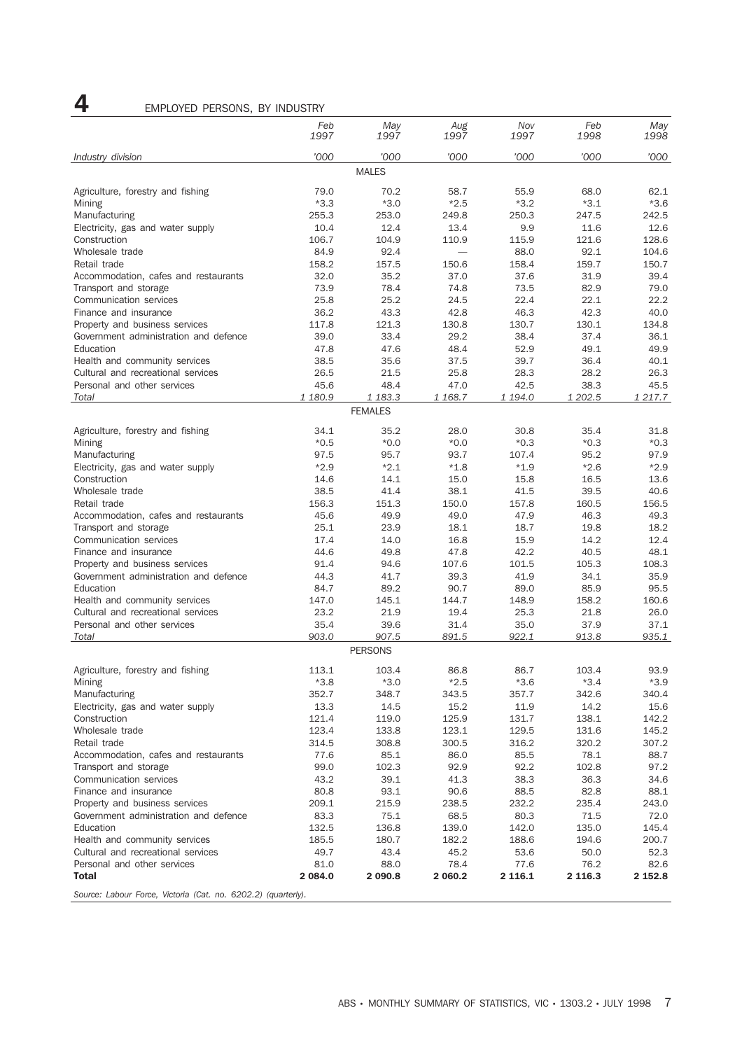### 4 EMPLOYED PERSONS, BY INDUSTRY

| 1997<br>1997<br>1997<br>1997<br>1998<br>1998<br>'000<br>'000<br>'000<br>'000<br>'000<br>'000<br>Industry division<br><b>MALES</b><br>Agriculture, forestry and fishing<br>79.0<br>70.2<br>55.9<br>68.0<br>62.1<br>58.7<br>$*3.3$<br>$*3.0$<br>$*2.5$<br>$*3.2$<br>$*3.1$<br>$*3.6$<br>Mining<br>255.3<br>250.3<br>247.5<br>Manufacturing<br>253.0<br>249.8<br>242.5<br>10.4<br>12.4<br>13.4<br>9.9<br>12.6<br>Electricity, gas and water supply<br>11.6<br>Construction<br>106.7<br>104.9<br>115.9<br>128.6<br>110.9<br>121.6<br>84.9<br>92.4<br>88.0<br>92.1<br>Wholesale trade<br>104.6<br>158.2<br>158.4<br>159.7<br>Retail trade<br>157.5<br>150.6<br>150.7<br>32.0<br>37.6<br>39.4<br>Accommodation, cafes and restaurants<br>35.2<br>37.0<br>31.9<br>Transport and storage<br>73.9<br>78.4<br>74.8<br>73.5<br>82.9<br>79.0<br>25.8<br>25.2<br>24.5<br>22.4<br>22.1<br>22.2<br>Communication services<br>36.2<br>43.3<br>42.8<br>46.3<br>42.3<br>40.0<br>Finance and insurance<br>117.8<br>121.3<br>130.8<br>130.7<br>130.1<br>Property and business services<br>134.8<br>39.0<br>38.4<br>37.4<br>Government administration and defence<br>33.4<br>29.2<br>36.1<br>48.4<br>52.9<br>49.9<br>Education<br>47.8<br>47.6<br>49.1<br>37.5<br>39.7<br>40.1<br>Health and community services<br>38.5<br>35.6<br>36.4<br>Cultural and recreational services<br>25.8<br>26.3<br>26.5<br>21.5<br>28.3<br>28.2<br>Personal and other services<br>45.6<br>48.4<br>42.5<br>47.0<br>38.3<br>45.5<br>1 202.5<br>Total<br>1 180.9<br>1 183.3<br>1 168.7<br>1 194.0<br>1 217.7<br><b>FEMALES</b><br>Agriculture, forestry and fishing<br>34.1<br>35.2<br>28.0<br>30.8<br>35.4<br>31.8<br>$*0.5$<br>$*0.0*$<br>$*0.0*$<br>$*0.3$<br>$*0.3$<br>$*0.3$<br>Mining<br>107.4<br>97.9<br>Manufacturing<br>97.5<br>95.7<br>93.7<br>95.2<br>$*2.9$<br>$*2.1$<br>$*1.9$<br>$*2.9$<br>Electricity, gas and water supply<br>$*1.8$<br>$*2.6$<br>Construction<br>14.6<br>14.1<br>15.0<br>15.8<br>16.5<br>13.6<br>38.5<br>41.4<br>38.1<br>39.5<br>40.6<br>Wholesale trade<br>41.5<br>156.3<br>157.8<br>Retail trade<br>151.3<br>150.0<br>160.5<br>156.5<br>45.6<br>49.9<br>49.0<br>47.9<br>49.3<br>Accommodation, cafes and restaurants<br>46.3<br>Transport and storage<br>25.1<br>23.9<br>18.1<br>18.7<br>19.8<br>18.2<br>16.8<br>12.4<br>Communication services<br>17.4<br>14.0<br>15.9<br>14.2<br>44.6<br>42.2<br>40.5<br>48.1<br>Finance and insurance<br>49.8<br>47.8<br>94.6<br>105.3<br>Property and business services<br>91.4<br>107.6<br>101.5<br>108.3<br>41.7<br>Government administration and defence<br>44.3<br>39.3<br>41.9<br>34.1<br>35.9<br>89.2<br>90.7<br>89.0<br>85.9<br>Education<br>84.7<br>95.5<br>147.0<br>144.7<br>Health and community services<br>145.1<br>148.9<br>158.2<br>160.6<br>23.2<br>19.4<br>Cultural and recreational services<br>21.9<br>25.3<br>21.8<br>26.0<br>Personal and other services<br>35.4<br>39.6<br>31.4<br>35.0<br>37.9<br>37.1<br>Total<br>903.0<br>907.5<br>891.5<br>922.1<br>913.8<br>935.1<br><b>PERSONS</b><br>Agriculture, forestry and fishing<br>113.1<br>103.4<br>86.8<br>86.7<br>103.4<br>93.9<br>$*2.5$<br>$*3.4$<br>$*3.8$<br>$*3.0$<br>$*3.6$<br>$*3.9$<br>Mining<br>352.7<br>Manufacturing<br>348.7<br>343.5<br>357.7<br>342.6<br>340.4<br>13.3<br>14.5<br>15.2<br>11.9<br>14.2<br>15.6<br>Electricity, gas and water supply<br>Construction<br>121.4<br>119.0<br>125.9<br>131.7<br>138.1<br>142.2<br>129.5<br>Wholesale trade<br>123.4<br>133.8<br>123.1<br>131.6<br>145.2<br>Retail trade<br>314.5<br>308.8<br>300.5<br>316.2<br>320.2<br>307.2<br>86.0<br>Accommodation, cafes and restaurants<br>77.6<br>85.1<br>85.5<br>78.1<br>88.7<br>99.0<br>102.3<br>92.9<br>92.2<br>97.2<br>Transport and storage<br>102.8<br>Communication services<br>43.2<br>39.1<br>41.3<br>38.3<br>36.3<br>34.6<br>80.8<br>93.1<br>90.6<br>88.5<br>82.8<br>88.1<br>Finance and insurance<br>Property and business services<br>209.1<br>215.9<br>238.5<br>232.2<br>235.4<br>243.0<br>80.3<br>83.3<br>75.1<br>68.5<br>71.5<br>72.0<br>Government administration and defence<br>Education<br>132.5<br>136.8<br>139.0<br>142.0<br>135.0<br>145.4<br>Health and community services<br>185.5<br>180.7<br>182.2<br>188.6<br>194.6<br>200.7<br>Cultural and recreational services<br>49.7<br>43.4<br>45.2<br>53.6<br>50.0<br>52.3<br>Personal and other services<br>81.0<br>88.0<br>78.4<br>77.6<br>82.6<br>76.2<br><b>Total</b><br>2 0 8 4 . 0<br>2 060.2<br>2 116.1<br>2 1 1 6 . 3<br>2 152.8<br>2 090.8<br>Source: Labour Force, Victoria (Cat. no. 6202.2) (quarterly). |     |     |     |     |     |     |
|--------------------------------------------------------------------------------------------------------------------------------------------------------------------------------------------------------------------------------------------------------------------------------------------------------------------------------------------------------------------------------------------------------------------------------------------------------------------------------------------------------------------------------------------------------------------------------------------------------------------------------------------------------------------------------------------------------------------------------------------------------------------------------------------------------------------------------------------------------------------------------------------------------------------------------------------------------------------------------------------------------------------------------------------------------------------------------------------------------------------------------------------------------------------------------------------------------------------------------------------------------------------------------------------------------------------------------------------------------------------------------------------------------------------------------------------------------------------------------------------------------------------------------------------------------------------------------------------------------------------------------------------------------------------------------------------------------------------------------------------------------------------------------------------------------------------------------------------------------------------------------------------------------------------------------------------------------------------------------------------------------------------------------------------------------------------------------------------------------------------------------------------------------------------------------------------------------------------------------------------------------------------------------------------------------------------------------------------------------------------------------------------------------------------------------------------------------------------------------------------------------------------------------------------------------------------------------------------------------------------------------------------------------------------------------------------------------------------------------------------------------------------------------------------------------------------------------------------------------------------------------------------------------------------------------------------------------------------------------------------------------------------------------------------------------------------------------------------------------------------------------------------------------------------------------------------------------------------------------------------------------------------------------------------------------------------------------------------------------------------------------------------------------------------------------------------------------------------------------------------------------------------------------------------------------------------------------------------------------------------------------------------------------------------------------------------------------------------------------------------------------------------------------------------------------------------------------------------------------------------------------------------------------------------------------------------------------------------------------------------------------------------------------------------------------------------------------------------------------------------------------------------------------------------------------------------------------------------------------------------------------------------------------------------------------------------------------------------------------------------------------------------------------------------------------------------------------------------------------------------------------------------------------------------------------------------------------------------|-----|-----|-----|-----|-----|-----|
|                                                                                                                                                                                                                                                                                                                                                                                                                                                                                                                                                                                                                                                                                                                                                                                                                                                                                                                                                                                                                                                                                                                                                                                                                                                                                                                                                                                                                                                                                                                                                                                                                                                                                                                                                                                                                                                                                                                                                                                                                                                                                                                                                                                                                                                                                                                                                                                                                                                                                                                                                                                                                                                                                                                                                                                                                                                                                                                                                                                                                                                                                                                                                                                                                                                                                                                                                                                                                                                                                                                                                                                                                                                                                                                                                                                                                                                                                                                                                                                                                                                                                                                                                                                                                                                                                                                                                                                                                                                                                                                                                                                            | Feb | May | Aug | Nov | Feb | May |
|                                                                                                                                                                                                                                                                                                                                                                                                                                                                                                                                                                                                                                                                                                                                                                                                                                                                                                                                                                                                                                                                                                                                                                                                                                                                                                                                                                                                                                                                                                                                                                                                                                                                                                                                                                                                                                                                                                                                                                                                                                                                                                                                                                                                                                                                                                                                                                                                                                                                                                                                                                                                                                                                                                                                                                                                                                                                                                                                                                                                                                                                                                                                                                                                                                                                                                                                                                                                                                                                                                                                                                                                                                                                                                                                                                                                                                                                                                                                                                                                                                                                                                                                                                                                                                                                                                                                                                                                                                                                                                                                                                                            |     |     |     |     |     |     |
|                                                                                                                                                                                                                                                                                                                                                                                                                                                                                                                                                                                                                                                                                                                                                                                                                                                                                                                                                                                                                                                                                                                                                                                                                                                                                                                                                                                                                                                                                                                                                                                                                                                                                                                                                                                                                                                                                                                                                                                                                                                                                                                                                                                                                                                                                                                                                                                                                                                                                                                                                                                                                                                                                                                                                                                                                                                                                                                                                                                                                                                                                                                                                                                                                                                                                                                                                                                                                                                                                                                                                                                                                                                                                                                                                                                                                                                                                                                                                                                                                                                                                                                                                                                                                                                                                                                                                                                                                                                                                                                                                                                            |     |     |     |     |     |     |
|                                                                                                                                                                                                                                                                                                                                                                                                                                                                                                                                                                                                                                                                                                                                                                                                                                                                                                                                                                                                                                                                                                                                                                                                                                                                                                                                                                                                                                                                                                                                                                                                                                                                                                                                                                                                                                                                                                                                                                                                                                                                                                                                                                                                                                                                                                                                                                                                                                                                                                                                                                                                                                                                                                                                                                                                                                                                                                                                                                                                                                                                                                                                                                                                                                                                                                                                                                                                                                                                                                                                                                                                                                                                                                                                                                                                                                                                                                                                                                                                                                                                                                                                                                                                                                                                                                                                                                                                                                                                                                                                                                                            |     |     |     |     |     |     |
|                                                                                                                                                                                                                                                                                                                                                                                                                                                                                                                                                                                                                                                                                                                                                                                                                                                                                                                                                                                                                                                                                                                                                                                                                                                                                                                                                                                                                                                                                                                                                                                                                                                                                                                                                                                                                                                                                                                                                                                                                                                                                                                                                                                                                                                                                                                                                                                                                                                                                                                                                                                                                                                                                                                                                                                                                                                                                                                                                                                                                                                                                                                                                                                                                                                                                                                                                                                                                                                                                                                                                                                                                                                                                                                                                                                                                                                                                                                                                                                                                                                                                                                                                                                                                                                                                                                                                                                                                                                                                                                                                                                            |     |     |     |     |     |     |
|                                                                                                                                                                                                                                                                                                                                                                                                                                                                                                                                                                                                                                                                                                                                                                                                                                                                                                                                                                                                                                                                                                                                                                                                                                                                                                                                                                                                                                                                                                                                                                                                                                                                                                                                                                                                                                                                                                                                                                                                                                                                                                                                                                                                                                                                                                                                                                                                                                                                                                                                                                                                                                                                                                                                                                                                                                                                                                                                                                                                                                                                                                                                                                                                                                                                                                                                                                                                                                                                                                                                                                                                                                                                                                                                                                                                                                                                                                                                                                                                                                                                                                                                                                                                                                                                                                                                                                                                                                                                                                                                                                                            |     |     |     |     |     |     |
|                                                                                                                                                                                                                                                                                                                                                                                                                                                                                                                                                                                                                                                                                                                                                                                                                                                                                                                                                                                                                                                                                                                                                                                                                                                                                                                                                                                                                                                                                                                                                                                                                                                                                                                                                                                                                                                                                                                                                                                                                                                                                                                                                                                                                                                                                                                                                                                                                                                                                                                                                                                                                                                                                                                                                                                                                                                                                                                                                                                                                                                                                                                                                                                                                                                                                                                                                                                                                                                                                                                                                                                                                                                                                                                                                                                                                                                                                                                                                                                                                                                                                                                                                                                                                                                                                                                                                                                                                                                                                                                                                                                            |     |     |     |     |     |     |
|                                                                                                                                                                                                                                                                                                                                                                                                                                                                                                                                                                                                                                                                                                                                                                                                                                                                                                                                                                                                                                                                                                                                                                                                                                                                                                                                                                                                                                                                                                                                                                                                                                                                                                                                                                                                                                                                                                                                                                                                                                                                                                                                                                                                                                                                                                                                                                                                                                                                                                                                                                                                                                                                                                                                                                                                                                                                                                                                                                                                                                                                                                                                                                                                                                                                                                                                                                                                                                                                                                                                                                                                                                                                                                                                                                                                                                                                                                                                                                                                                                                                                                                                                                                                                                                                                                                                                                                                                                                                                                                                                                                            |     |     |     |     |     |     |
|                                                                                                                                                                                                                                                                                                                                                                                                                                                                                                                                                                                                                                                                                                                                                                                                                                                                                                                                                                                                                                                                                                                                                                                                                                                                                                                                                                                                                                                                                                                                                                                                                                                                                                                                                                                                                                                                                                                                                                                                                                                                                                                                                                                                                                                                                                                                                                                                                                                                                                                                                                                                                                                                                                                                                                                                                                                                                                                                                                                                                                                                                                                                                                                                                                                                                                                                                                                                                                                                                                                                                                                                                                                                                                                                                                                                                                                                                                                                                                                                                                                                                                                                                                                                                                                                                                                                                                                                                                                                                                                                                                                            |     |     |     |     |     |     |
|                                                                                                                                                                                                                                                                                                                                                                                                                                                                                                                                                                                                                                                                                                                                                                                                                                                                                                                                                                                                                                                                                                                                                                                                                                                                                                                                                                                                                                                                                                                                                                                                                                                                                                                                                                                                                                                                                                                                                                                                                                                                                                                                                                                                                                                                                                                                                                                                                                                                                                                                                                                                                                                                                                                                                                                                                                                                                                                                                                                                                                                                                                                                                                                                                                                                                                                                                                                                                                                                                                                                                                                                                                                                                                                                                                                                                                                                                                                                                                                                                                                                                                                                                                                                                                                                                                                                                                                                                                                                                                                                                                                            |     |     |     |     |     |     |
|                                                                                                                                                                                                                                                                                                                                                                                                                                                                                                                                                                                                                                                                                                                                                                                                                                                                                                                                                                                                                                                                                                                                                                                                                                                                                                                                                                                                                                                                                                                                                                                                                                                                                                                                                                                                                                                                                                                                                                                                                                                                                                                                                                                                                                                                                                                                                                                                                                                                                                                                                                                                                                                                                                                                                                                                                                                                                                                                                                                                                                                                                                                                                                                                                                                                                                                                                                                                                                                                                                                                                                                                                                                                                                                                                                                                                                                                                                                                                                                                                                                                                                                                                                                                                                                                                                                                                                                                                                                                                                                                                                                            |     |     |     |     |     |     |
|                                                                                                                                                                                                                                                                                                                                                                                                                                                                                                                                                                                                                                                                                                                                                                                                                                                                                                                                                                                                                                                                                                                                                                                                                                                                                                                                                                                                                                                                                                                                                                                                                                                                                                                                                                                                                                                                                                                                                                                                                                                                                                                                                                                                                                                                                                                                                                                                                                                                                                                                                                                                                                                                                                                                                                                                                                                                                                                                                                                                                                                                                                                                                                                                                                                                                                                                                                                                                                                                                                                                                                                                                                                                                                                                                                                                                                                                                                                                                                                                                                                                                                                                                                                                                                                                                                                                                                                                                                                                                                                                                                                            |     |     |     |     |     |     |
|                                                                                                                                                                                                                                                                                                                                                                                                                                                                                                                                                                                                                                                                                                                                                                                                                                                                                                                                                                                                                                                                                                                                                                                                                                                                                                                                                                                                                                                                                                                                                                                                                                                                                                                                                                                                                                                                                                                                                                                                                                                                                                                                                                                                                                                                                                                                                                                                                                                                                                                                                                                                                                                                                                                                                                                                                                                                                                                                                                                                                                                                                                                                                                                                                                                                                                                                                                                                                                                                                                                                                                                                                                                                                                                                                                                                                                                                                                                                                                                                                                                                                                                                                                                                                                                                                                                                                                                                                                                                                                                                                                                            |     |     |     |     |     |     |
|                                                                                                                                                                                                                                                                                                                                                                                                                                                                                                                                                                                                                                                                                                                                                                                                                                                                                                                                                                                                                                                                                                                                                                                                                                                                                                                                                                                                                                                                                                                                                                                                                                                                                                                                                                                                                                                                                                                                                                                                                                                                                                                                                                                                                                                                                                                                                                                                                                                                                                                                                                                                                                                                                                                                                                                                                                                                                                                                                                                                                                                                                                                                                                                                                                                                                                                                                                                                                                                                                                                                                                                                                                                                                                                                                                                                                                                                                                                                                                                                                                                                                                                                                                                                                                                                                                                                                                                                                                                                                                                                                                                            |     |     |     |     |     |     |
|                                                                                                                                                                                                                                                                                                                                                                                                                                                                                                                                                                                                                                                                                                                                                                                                                                                                                                                                                                                                                                                                                                                                                                                                                                                                                                                                                                                                                                                                                                                                                                                                                                                                                                                                                                                                                                                                                                                                                                                                                                                                                                                                                                                                                                                                                                                                                                                                                                                                                                                                                                                                                                                                                                                                                                                                                                                                                                                                                                                                                                                                                                                                                                                                                                                                                                                                                                                                                                                                                                                                                                                                                                                                                                                                                                                                                                                                                                                                                                                                                                                                                                                                                                                                                                                                                                                                                                                                                                                                                                                                                                                            |     |     |     |     |     |     |
|                                                                                                                                                                                                                                                                                                                                                                                                                                                                                                                                                                                                                                                                                                                                                                                                                                                                                                                                                                                                                                                                                                                                                                                                                                                                                                                                                                                                                                                                                                                                                                                                                                                                                                                                                                                                                                                                                                                                                                                                                                                                                                                                                                                                                                                                                                                                                                                                                                                                                                                                                                                                                                                                                                                                                                                                                                                                                                                                                                                                                                                                                                                                                                                                                                                                                                                                                                                                                                                                                                                                                                                                                                                                                                                                                                                                                                                                                                                                                                                                                                                                                                                                                                                                                                                                                                                                                                                                                                                                                                                                                                                            |     |     |     |     |     |     |
|                                                                                                                                                                                                                                                                                                                                                                                                                                                                                                                                                                                                                                                                                                                                                                                                                                                                                                                                                                                                                                                                                                                                                                                                                                                                                                                                                                                                                                                                                                                                                                                                                                                                                                                                                                                                                                                                                                                                                                                                                                                                                                                                                                                                                                                                                                                                                                                                                                                                                                                                                                                                                                                                                                                                                                                                                                                                                                                                                                                                                                                                                                                                                                                                                                                                                                                                                                                                                                                                                                                                                                                                                                                                                                                                                                                                                                                                                                                                                                                                                                                                                                                                                                                                                                                                                                                                                                                                                                                                                                                                                                                            |     |     |     |     |     |     |
|                                                                                                                                                                                                                                                                                                                                                                                                                                                                                                                                                                                                                                                                                                                                                                                                                                                                                                                                                                                                                                                                                                                                                                                                                                                                                                                                                                                                                                                                                                                                                                                                                                                                                                                                                                                                                                                                                                                                                                                                                                                                                                                                                                                                                                                                                                                                                                                                                                                                                                                                                                                                                                                                                                                                                                                                                                                                                                                                                                                                                                                                                                                                                                                                                                                                                                                                                                                                                                                                                                                                                                                                                                                                                                                                                                                                                                                                                                                                                                                                                                                                                                                                                                                                                                                                                                                                                                                                                                                                                                                                                                                            |     |     |     |     |     |     |
|                                                                                                                                                                                                                                                                                                                                                                                                                                                                                                                                                                                                                                                                                                                                                                                                                                                                                                                                                                                                                                                                                                                                                                                                                                                                                                                                                                                                                                                                                                                                                                                                                                                                                                                                                                                                                                                                                                                                                                                                                                                                                                                                                                                                                                                                                                                                                                                                                                                                                                                                                                                                                                                                                                                                                                                                                                                                                                                                                                                                                                                                                                                                                                                                                                                                                                                                                                                                                                                                                                                                                                                                                                                                                                                                                                                                                                                                                                                                                                                                                                                                                                                                                                                                                                                                                                                                                                                                                                                                                                                                                                                            |     |     |     |     |     |     |
|                                                                                                                                                                                                                                                                                                                                                                                                                                                                                                                                                                                                                                                                                                                                                                                                                                                                                                                                                                                                                                                                                                                                                                                                                                                                                                                                                                                                                                                                                                                                                                                                                                                                                                                                                                                                                                                                                                                                                                                                                                                                                                                                                                                                                                                                                                                                                                                                                                                                                                                                                                                                                                                                                                                                                                                                                                                                                                                                                                                                                                                                                                                                                                                                                                                                                                                                                                                                                                                                                                                                                                                                                                                                                                                                                                                                                                                                                                                                                                                                                                                                                                                                                                                                                                                                                                                                                                                                                                                                                                                                                                                            |     |     |     |     |     |     |
|                                                                                                                                                                                                                                                                                                                                                                                                                                                                                                                                                                                                                                                                                                                                                                                                                                                                                                                                                                                                                                                                                                                                                                                                                                                                                                                                                                                                                                                                                                                                                                                                                                                                                                                                                                                                                                                                                                                                                                                                                                                                                                                                                                                                                                                                                                                                                                                                                                                                                                                                                                                                                                                                                                                                                                                                                                                                                                                                                                                                                                                                                                                                                                                                                                                                                                                                                                                                                                                                                                                                                                                                                                                                                                                                                                                                                                                                                                                                                                                                                                                                                                                                                                                                                                                                                                                                                                                                                                                                                                                                                                                            |     |     |     |     |     |     |
|                                                                                                                                                                                                                                                                                                                                                                                                                                                                                                                                                                                                                                                                                                                                                                                                                                                                                                                                                                                                                                                                                                                                                                                                                                                                                                                                                                                                                                                                                                                                                                                                                                                                                                                                                                                                                                                                                                                                                                                                                                                                                                                                                                                                                                                                                                                                                                                                                                                                                                                                                                                                                                                                                                                                                                                                                                                                                                                                                                                                                                                                                                                                                                                                                                                                                                                                                                                                                                                                                                                                                                                                                                                                                                                                                                                                                                                                                                                                                                                                                                                                                                                                                                                                                                                                                                                                                                                                                                                                                                                                                                                            |     |     |     |     |     |     |
|                                                                                                                                                                                                                                                                                                                                                                                                                                                                                                                                                                                                                                                                                                                                                                                                                                                                                                                                                                                                                                                                                                                                                                                                                                                                                                                                                                                                                                                                                                                                                                                                                                                                                                                                                                                                                                                                                                                                                                                                                                                                                                                                                                                                                                                                                                                                                                                                                                                                                                                                                                                                                                                                                                                                                                                                                                                                                                                                                                                                                                                                                                                                                                                                                                                                                                                                                                                                                                                                                                                                                                                                                                                                                                                                                                                                                                                                                                                                                                                                                                                                                                                                                                                                                                                                                                                                                                                                                                                                                                                                                                                            |     |     |     |     |     |     |
|                                                                                                                                                                                                                                                                                                                                                                                                                                                                                                                                                                                                                                                                                                                                                                                                                                                                                                                                                                                                                                                                                                                                                                                                                                                                                                                                                                                                                                                                                                                                                                                                                                                                                                                                                                                                                                                                                                                                                                                                                                                                                                                                                                                                                                                                                                                                                                                                                                                                                                                                                                                                                                                                                                                                                                                                                                                                                                                                                                                                                                                                                                                                                                                                                                                                                                                                                                                                                                                                                                                                                                                                                                                                                                                                                                                                                                                                                                                                                                                                                                                                                                                                                                                                                                                                                                                                                                                                                                                                                                                                                                                            |     |     |     |     |     |     |
|                                                                                                                                                                                                                                                                                                                                                                                                                                                                                                                                                                                                                                                                                                                                                                                                                                                                                                                                                                                                                                                                                                                                                                                                                                                                                                                                                                                                                                                                                                                                                                                                                                                                                                                                                                                                                                                                                                                                                                                                                                                                                                                                                                                                                                                                                                                                                                                                                                                                                                                                                                                                                                                                                                                                                                                                                                                                                                                                                                                                                                                                                                                                                                                                                                                                                                                                                                                                                                                                                                                                                                                                                                                                                                                                                                                                                                                                                                                                                                                                                                                                                                                                                                                                                                                                                                                                                                                                                                                                                                                                                                                            |     |     |     |     |     |     |
|                                                                                                                                                                                                                                                                                                                                                                                                                                                                                                                                                                                                                                                                                                                                                                                                                                                                                                                                                                                                                                                                                                                                                                                                                                                                                                                                                                                                                                                                                                                                                                                                                                                                                                                                                                                                                                                                                                                                                                                                                                                                                                                                                                                                                                                                                                                                                                                                                                                                                                                                                                                                                                                                                                                                                                                                                                                                                                                                                                                                                                                                                                                                                                                                                                                                                                                                                                                                                                                                                                                                                                                                                                                                                                                                                                                                                                                                                                                                                                                                                                                                                                                                                                                                                                                                                                                                                                                                                                                                                                                                                                                            |     |     |     |     |     |     |
|                                                                                                                                                                                                                                                                                                                                                                                                                                                                                                                                                                                                                                                                                                                                                                                                                                                                                                                                                                                                                                                                                                                                                                                                                                                                                                                                                                                                                                                                                                                                                                                                                                                                                                                                                                                                                                                                                                                                                                                                                                                                                                                                                                                                                                                                                                                                                                                                                                                                                                                                                                                                                                                                                                                                                                                                                                                                                                                                                                                                                                                                                                                                                                                                                                                                                                                                                                                                                                                                                                                                                                                                                                                                                                                                                                                                                                                                                                                                                                                                                                                                                                                                                                                                                                                                                                                                                                                                                                                                                                                                                                                            |     |     |     |     |     |     |
|                                                                                                                                                                                                                                                                                                                                                                                                                                                                                                                                                                                                                                                                                                                                                                                                                                                                                                                                                                                                                                                                                                                                                                                                                                                                                                                                                                                                                                                                                                                                                                                                                                                                                                                                                                                                                                                                                                                                                                                                                                                                                                                                                                                                                                                                                                                                                                                                                                                                                                                                                                                                                                                                                                                                                                                                                                                                                                                                                                                                                                                                                                                                                                                                                                                                                                                                                                                                                                                                                                                                                                                                                                                                                                                                                                                                                                                                                                                                                                                                                                                                                                                                                                                                                                                                                                                                                                                                                                                                                                                                                                                            |     |     |     |     |     |     |
|                                                                                                                                                                                                                                                                                                                                                                                                                                                                                                                                                                                                                                                                                                                                                                                                                                                                                                                                                                                                                                                                                                                                                                                                                                                                                                                                                                                                                                                                                                                                                                                                                                                                                                                                                                                                                                                                                                                                                                                                                                                                                                                                                                                                                                                                                                                                                                                                                                                                                                                                                                                                                                                                                                                                                                                                                                                                                                                                                                                                                                                                                                                                                                                                                                                                                                                                                                                                                                                                                                                                                                                                                                                                                                                                                                                                                                                                                                                                                                                                                                                                                                                                                                                                                                                                                                                                                                                                                                                                                                                                                                                            |     |     |     |     |     |     |
|                                                                                                                                                                                                                                                                                                                                                                                                                                                                                                                                                                                                                                                                                                                                                                                                                                                                                                                                                                                                                                                                                                                                                                                                                                                                                                                                                                                                                                                                                                                                                                                                                                                                                                                                                                                                                                                                                                                                                                                                                                                                                                                                                                                                                                                                                                                                                                                                                                                                                                                                                                                                                                                                                                                                                                                                                                                                                                                                                                                                                                                                                                                                                                                                                                                                                                                                                                                                                                                                                                                                                                                                                                                                                                                                                                                                                                                                                                                                                                                                                                                                                                                                                                                                                                                                                                                                                                                                                                                                                                                                                                                            |     |     |     |     |     |     |
|                                                                                                                                                                                                                                                                                                                                                                                                                                                                                                                                                                                                                                                                                                                                                                                                                                                                                                                                                                                                                                                                                                                                                                                                                                                                                                                                                                                                                                                                                                                                                                                                                                                                                                                                                                                                                                                                                                                                                                                                                                                                                                                                                                                                                                                                                                                                                                                                                                                                                                                                                                                                                                                                                                                                                                                                                                                                                                                                                                                                                                                                                                                                                                                                                                                                                                                                                                                                                                                                                                                                                                                                                                                                                                                                                                                                                                                                                                                                                                                                                                                                                                                                                                                                                                                                                                                                                                                                                                                                                                                                                                                            |     |     |     |     |     |     |
|                                                                                                                                                                                                                                                                                                                                                                                                                                                                                                                                                                                                                                                                                                                                                                                                                                                                                                                                                                                                                                                                                                                                                                                                                                                                                                                                                                                                                                                                                                                                                                                                                                                                                                                                                                                                                                                                                                                                                                                                                                                                                                                                                                                                                                                                                                                                                                                                                                                                                                                                                                                                                                                                                                                                                                                                                                                                                                                                                                                                                                                                                                                                                                                                                                                                                                                                                                                                                                                                                                                                                                                                                                                                                                                                                                                                                                                                                                                                                                                                                                                                                                                                                                                                                                                                                                                                                                                                                                                                                                                                                                                            |     |     |     |     |     |     |
|                                                                                                                                                                                                                                                                                                                                                                                                                                                                                                                                                                                                                                                                                                                                                                                                                                                                                                                                                                                                                                                                                                                                                                                                                                                                                                                                                                                                                                                                                                                                                                                                                                                                                                                                                                                                                                                                                                                                                                                                                                                                                                                                                                                                                                                                                                                                                                                                                                                                                                                                                                                                                                                                                                                                                                                                                                                                                                                                                                                                                                                                                                                                                                                                                                                                                                                                                                                                                                                                                                                                                                                                                                                                                                                                                                                                                                                                                                                                                                                                                                                                                                                                                                                                                                                                                                                                                                                                                                                                                                                                                                                            |     |     |     |     |     |     |
|                                                                                                                                                                                                                                                                                                                                                                                                                                                                                                                                                                                                                                                                                                                                                                                                                                                                                                                                                                                                                                                                                                                                                                                                                                                                                                                                                                                                                                                                                                                                                                                                                                                                                                                                                                                                                                                                                                                                                                                                                                                                                                                                                                                                                                                                                                                                                                                                                                                                                                                                                                                                                                                                                                                                                                                                                                                                                                                                                                                                                                                                                                                                                                                                                                                                                                                                                                                                                                                                                                                                                                                                                                                                                                                                                                                                                                                                                                                                                                                                                                                                                                                                                                                                                                                                                                                                                                                                                                                                                                                                                                                            |     |     |     |     |     |     |
|                                                                                                                                                                                                                                                                                                                                                                                                                                                                                                                                                                                                                                                                                                                                                                                                                                                                                                                                                                                                                                                                                                                                                                                                                                                                                                                                                                                                                                                                                                                                                                                                                                                                                                                                                                                                                                                                                                                                                                                                                                                                                                                                                                                                                                                                                                                                                                                                                                                                                                                                                                                                                                                                                                                                                                                                                                                                                                                                                                                                                                                                                                                                                                                                                                                                                                                                                                                                                                                                                                                                                                                                                                                                                                                                                                                                                                                                                                                                                                                                                                                                                                                                                                                                                                                                                                                                                                                                                                                                                                                                                                                            |     |     |     |     |     |     |
|                                                                                                                                                                                                                                                                                                                                                                                                                                                                                                                                                                                                                                                                                                                                                                                                                                                                                                                                                                                                                                                                                                                                                                                                                                                                                                                                                                                                                                                                                                                                                                                                                                                                                                                                                                                                                                                                                                                                                                                                                                                                                                                                                                                                                                                                                                                                                                                                                                                                                                                                                                                                                                                                                                                                                                                                                                                                                                                                                                                                                                                                                                                                                                                                                                                                                                                                                                                                                                                                                                                                                                                                                                                                                                                                                                                                                                                                                                                                                                                                                                                                                                                                                                                                                                                                                                                                                                                                                                                                                                                                                                                            |     |     |     |     |     |     |
|                                                                                                                                                                                                                                                                                                                                                                                                                                                                                                                                                                                                                                                                                                                                                                                                                                                                                                                                                                                                                                                                                                                                                                                                                                                                                                                                                                                                                                                                                                                                                                                                                                                                                                                                                                                                                                                                                                                                                                                                                                                                                                                                                                                                                                                                                                                                                                                                                                                                                                                                                                                                                                                                                                                                                                                                                                                                                                                                                                                                                                                                                                                                                                                                                                                                                                                                                                                                                                                                                                                                                                                                                                                                                                                                                                                                                                                                                                                                                                                                                                                                                                                                                                                                                                                                                                                                                                                                                                                                                                                                                                                            |     |     |     |     |     |     |
|                                                                                                                                                                                                                                                                                                                                                                                                                                                                                                                                                                                                                                                                                                                                                                                                                                                                                                                                                                                                                                                                                                                                                                                                                                                                                                                                                                                                                                                                                                                                                                                                                                                                                                                                                                                                                                                                                                                                                                                                                                                                                                                                                                                                                                                                                                                                                                                                                                                                                                                                                                                                                                                                                                                                                                                                                                                                                                                                                                                                                                                                                                                                                                                                                                                                                                                                                                                                                                                                                                                                                                                                                                                                                                                                                                                                                                                                                                                                                                                                                                                                                                                                                                                                                                                                                                                                                                                                                                                                                                                                                                                            |     |     |     |     |     |     |
|                                                                                                                                                                                                                                                                                                                                                                                                                                                                                                                                                                                                                                                                                                                                                                                                                                                                                                                                                                                                                                                                                                                                                                                                                                                                                                                                                                                                                                                                                                                                                                                                                                                                                                                                                                                                                                                                                                                                                                                                                                                                                                                                                                                                                                                                                                                                                                                                                                                                                                                                                                                                                                                                                                                                                                                                                                                                                                                                                                                                                                                                                                                                                                                                                                                                                                                                                                                                                                                                                                                                                                                                                                                                                                                                                                                                                                                                                                                                                                                                                                                                                                                                                                                                                                                                                                                                                                                                                                                                                                                                                                                            |     |     |     |     |     |     |
|                                                                                                                                                                                                                                                                                                                                                                                                                                                                                                                                                                                                                                                                                                                                                                                                                                                                                                                                                                                                                                                                                                                                                                                                                                                                                                                                                                                                                                                                                                                                                                                                                                                                                                                                                                                                                                                                                                                                                                                                                                                                                                                                                                                                                                                                                                                                                                                                                                                                                                                                                                                                                                                                                                                                                                                                                                                                                                                                                                                                                                                                                                                                                                                                                                                                                                                                                                                                                                                                                                                                                                                                                                                                                                                                                                                                                                                                                                                                                                                                                                                                                                                                                                                                                                                                                                                                                                                                                                                                                                                                                                                            |     |     |     |     |     |     |
|                                                                                                                                                                                                                                                                                                                                                                                                                                                                                                                                                                                                                                                                                                                                                                                                                                                                                                                                                                                                                                                                                                                                                                                                                                                                                                                                                                                                                                                                                                                                                                                                                                                                                                                                                                                                                                                                                                                                                                                                                                                                                                                                                                                                                                                                                                                                                                                                                                                                                                                                                                                                                                                                                                                                                                                                                                                                                                                                                                                                                                                                                                                                                                                                                                                                                                                                                                                                                                                                                                                                                                                                                                                                                                                                                                                                                                                                                                                                                                                                                                                                                                                                                                                                                                                                                                                                                                                                                                                                                                                                                                                            |     |     |     |     |     |     |
|                                                                                                                                                                                                                                                                                                                                                                                                                                                                                                                                                                                                                                                                                                                                                                                                                                                                                                                                                                                                                                                                                                                                                                                                                                                                                                                                                                                                                                                                                                                                                                                                                                                                                                                                                                                                                                                                                                                                                                                                                                                                                                                                                                                                                                                                                                                                                                                                                                                                                                                                                                                                                                                                                                                                                                                                                                                                                                                                                                                                                                                                                                                                                                                                                                                                                                                                                                                                                                                                                                                                                                                                                                                                                                                                                                                                                                                                                                                                                                                                                                                                                                                                                                                                                                                                                                                                                                                                                                                                                                                                                                                            |     |     |     |     |     |     |
|                                                                                                                                                                                                                                                                                                                                                                                                                                                                                                                                                                                                                                                                                                                                                                                                                                                                                                                                                                                                                                                                                                                                                                                                                                                                                                                                                                                                                                                                                                                                                                                                                                                                                                                                                                                                                                                                                                                                                                                                                                                                                                                                                                                                                                                                                                                                                                                                                                                                                                                                                                                                                                                                                                                                                                                                                                                                                                                                                                                                                                                                                                                                                                                                                                                                                                                                                                                                                                                                                                                                                                                                                                                                                                                                                                                                                                                                                                                                                                                                                                                                                                                                                                                                                                                                                                                                                                                                                                                                                                                                                                                            |     |     |     |     |     |     |
|                                                                                                                                                                                                                                                                                                                                                                                                                                                                                                                                                                                                                                                                                                                                                                                                                                                                                                                                                                                                                                                                                                                                                                                                                                                                                                                                                                                                                                                                                                                                                                                                                                                                                                                                                                                                                                                                                                                                                                                                                                                                                                                                                                                                                                                                                                                                                                                                                                                                                                                                                                                                                                                                                                                                                                                                                                                                                                                                                                                                                                                                                                                                                                                                                                                                                                                                                                                                                                                                                                                                                                                                                                                                                                                                                                                                                                                                                                                                                                                                                                                                                                                                                                                                                                                                                                                                                                                                                                                                                                                                                                                            |     |     |     |     |     |     |
|                                                                                                                                                                                                                                                                                                                                                                                                                                                                                                                                                                                                                                                                                                                                                                                                                                                                                                                                                                                                                                                                                                                                                                                                                                                                                                                                                                                                                                                                                                                                                                                                                                                                                                                                                                                                                                                                                                                                                                                                                                                                                                                                                                                                                                                                                                                                                                                                                                                                                                                                                                                                                                                                                                                                                                                                                                                                                                                                                                                                                                                                                                                                                                                                                                                                                                                                                                                                                                                                                                                                                                                                                                                                                                                                                                                                                                                                                                                                                                                                                                                                                                                                                                                                                                                                                                                                                                                                                                                                                                                                                                                            |     |     |     |     |     |     |
|                                                                                                                                                                                                                                                                                                                                                                                                                                                                                                                                                                                                                                                                                                                                                                                                                                                                                                                                                                                                                                                                                                                                                                                                                                                                                                                                                                                                                                                                                                                                                                                                                                                                                                                                                                                                                                                                                                                                                                                                                                                                                                                                                                                                                                                                                                                                                                                                                                                                                                                                                                                                                                                                                                                                                                                                                                                                                                                                                                                                                                                                                                                                                                                                                                                                                                                                                                                                                                                                                                                                                                                                                                                                                                                                                                                                                                                                                                                                                                                                                                                                                                                                                                                                                                                                                                                                                                                                                                                                                                                                                                                            |     |     |     |     |     |     |
|                                                                                                                                                                                                                                                                                                                                                                                                                                                                                                                                                                                                                                                                                                                                                                                                                                                                                                                                                                                                                                                                                                                                                                                                                                                                                                                                                                                                                                                                                                                                                                                                                                                                                                                                                                                                                                                                                                                                                                                                                                                                                                                                                                                                                                                                                                                                                                                                                                                                                                                                                                                                                                                                                                                                                                                                                                                                                                                                                                                                                                                                                                                                                                                                                                                                                                                                                                                                                                                                                                                                                                                                                                                                                                                                                                                                                                                                                                                                                                                                                                                                                                                                                                                                                                                                                                                                                                                                                                                                                                                                                                                            |     |     |     |     |     |     |
|                                                                                                                                                                                                                                                                                                                                                                                                                                                                                                                                                                                                                                                                                                                                                                                                                                                                                                                                                                                                                                                                                                                                                                                                                                                                                                                                                                                                                                                                                                                                                                                                                                                                                                                                                                                                                                                                                                                                                                                                                                                                                                                                                                                                                                                                                                                                                                                                                                                                                                                                                                                                                                                                                                                                                                                                                                                                                                                                                                                                                                                                                                                                                                                                                                                                                                                                                                                                                                                                                                                                                                                                                                                                                                                                                                                                                                                                                                                                                                                                                                                                                                                                                                                                                                                                                                                                                                                                                                                                                                                                                                                            |     |     |     |     |     |     |
|                                                                                                                                                                                                                                                                                                                                                                                                                                                                                                                                                                                                                                                                                                                                                                                                                                                                                                                                                                                                                                                                                                                                                                                                                                                                                                                                                                                                                                                                                                                                                                                                                                                                                                                                                                                                                                                                                                                                                                                                                                                                                                                                                                                                                                                                                                                                                                                                                                                                                                                                                                                                                                                                                                                                                                                                                                                                                                                                                                                                                                                                                                                                                                                                                                                                                                                                                                                                                                                                                                                                                                                                                                                                                                                                                                                                                                                                                                                                                                                                                                                                                                                                                                                                                                                                                                                                                                                                                                                                                                                                                                                            |     |     |     |     |     |     |
|                                                                                                                                                                                                                                                                                                                                                                                                                                                                                                                                                                                                                                                                                                                                                                                                                                                                                                                                                                                                                                                                                                                                                                                                                                                                                                                                                                                                                                                                                                                                                                                                                                                                                                                                                                                                                                                                                                                                                                                                                                                                                                                                                                                                                                                                                                                                                                                                                                                                                                                                                                                                                                                                                                                                                                                                                                                                                                                                                                                                                                                                                                                                                                                                                                                                                                                                                                                                                                                                                                                                                                                                                                                                                                                                                                                                                                                                                                                                                                                                                                                                                                                                                                                                                                                                                                                                                                                                                                                                                                                                                                                            |     |     |     |     |     |     |
|                                                                                                                                                                                                                                                                                                                                                                                                                                                                                                                                                                                                                                                                                                                                                                                                                                                                                                                                                                                                                                                                                                                                                                                                                                                                                                                                                                                                                                                                                                                                                                                                                                                                                                                                                                                                                                                                                                                                                                                                                                                                                                                                                                                                                                                                                                                                                                                                                                                                                                                                                                                                                                                                                                                                                                                                                                                                                                                                                                                                                                                                                                                                                                                                                                                                                                                                                                                                                                                                                                                                                                                                                                                                                                                                                                                                                                                                                                                                                                                                                                                                                                                                                                                                                                                                                                                                                                                                                                                                                                                                                                                            |     |     |     |     |     |     |
|                                                                                                                                                                                                                                                                                                                                                                                                                                                                                                                                                                                                                                                                                                                                                                                                                                                                                                                                                                                                                                                                                                                                                                                                                                                                                                                                                                                                                                                                                                                                                                                                                                                                                                                                                                                                                                                                                                                                                                                                                                                                                                                                                                                                                                                                                                                                                                                                                                                                                                                                                                                                                                                                                                                                                                                                                                                                                                                                                                                                                                                                                                                                                                                                                                                                                                                                                                                                                                                                                                                                                                                                                                                                                                                                                                                                                                                                                                                                                                                                                                                                                                                                                                                                                                                                                                                                                                                                                                                                                                                                                                                            |     |     |     |     |     |     |
|                                                                                                                                                                                                                                                                                                                                                                                                                                                                                                                                                                                                                                                                                                                                                                                                                                                                                                                                                                                                                                                                                                                                                                                                                                                                                                                                                                                                                                                                                                                                                                                                                                                                                                                                                                                                                                                                                                                                                                                                                                                                                                                                                                                                                                                                                                                                                                                                                                                                                                                                                                                                                                                                                                                                                                                                                                                                                                                                                                                                                                                                                                                                                                                                                                                                                                                                                                                                                                                                                                                                                                                                                                                                                                                                                                                                                                                                                                                                                                                                                                                                                                                                                                                                                                                                                                                                                                                                                                                                                                                                                                                            |     |     |     |     |     |     |
|                                                                                                                                                                                                                                                                                                                                                                                                                                                                                                                                                                                                                                                                                                                                                                                                                                                                                                                                                                                                                                                                                                                                                                                                                                                                                                                                                                                                                                                                                                                                                                                                                                                                                                                                                                                                                                                                                                                                                                                                                                                                                                                                                                                                                                                                                                                                                                                                                                                                                                                                                                                                                                                                                                                                                                                                                                                                                                                                                                                                                                                                                                                                                                                                                                                                                                                                                                                                                                                                                                                                                                                                                                                                                                                                                                                                                                                                                                                                                                                                                                                                                                                                                                                                                                                                                                                                                                                                                                                                                                                                                                                            |     |     |     |     |     |     |
|                                                                                                                                                                                                                                                                                                                                                                                                                                                                                                                                                                                                                                                                                                                                                                                                                                                                                                                                                                                                                                                                                                                                                                                                                                                                                                                                                                                                                                                                                                                                                                                                                                                                                                                                                                                                                                                                                                                                                                                                                                                                                                                                                                                                                                                                                                                                                                                                                                                                                                                                                                                                                                                                                                                                                                                                                                                                                                                                                                                                                                                                                                                                                                                                                                                                                                                                                                                                                                                                                                                                                                                                                                                                                                                                                                                                                                                                                                                                                                                                                                                                                                                                                                                                                                                                                                                                                                                                                                                                                                                                                                                            |     |     |     |     |     |     |
|                                                                                                                                                                                                                                                                                                                                                                                                                                                                                                                                                                                                                                                                                                                                                                                                                                                                                                                                                                                                                                                                                                                                                                                                                                                                                                                                                                                                                                                                                                                                                                                                                                                                                                                                                                                                                                                                                                                                                                                                                                                                                                                                                                                                                                                                                                                                                                                                                                                                                                                                                                                                                                                                                                                                                                                                                                                                                                                                                                                                                                                                                                                                                                                                                                                                                                                                                                                                                                                                                                                                                                                                                                                                                                                                                                                                                                                                                                                                                                                                                                                                                                                                                                                                                                                                                                                                                                                                                                                                                                                                                                                            |     |     |     |     |     |     |
|                                                                                                                                                                                                                                                                                                                                                                                                                                                                                                                                                                                                                                                                                                                                                                                                                                                                                                                                                                                                                                                                                                                                                                                                                                                                                                                                                                                                                                                                                                                                                                                                                                                                                                                                                                                                                                                                                                                                                                                                                                                                                                                                                                                                                                                                                                                                                                                                                                                                                                                                                                                                                                                                                                                                                                                                                                                                                                                                                                                                                                                                                                                                                                                                                                                                                                                                                                                                                                                                                                                                                                                                                                                                                                                                                                                                                                                                                                                                                                                                                                                                                                                                                                                                                                                                                                                                                                                                                                                                                                                                                                                            |     |     |     |     |     |     |
|                                                                                                                                                                                                                                                                                                                                                                                                                                                                                                                                                                                                                                                                                                                                                                                                                                                                                                                                                                                                                                                                                                                                                                                                                                                                                                                                                                                                                                                                                                                                                                                                                                                                                                                                                                                                                                                                                                                                                                                                                                                                                                                                                                                                                                                                                                                                                                                                                                                                                                                                                                                                                                                                                                                                                                                                                                                                                                                                                                                                                                                                                                                                                                                                                                                                                                                                                                                                                                                                                                                                                                                                                                                                                                                                                                                                                                                                                                                                                                                                                                                                                                                                                                                                                                                                                                                                                                                                                                                                                                                                                                                            |     |     |     |     |     |     |
|                                                                                                                                                                                                                                                                                                                                                                                                                                                                                                                                                                                                                                                                                                                                                                                                                                                                                                                                                                                                                                                                                                                                                                                                                                                                                                                                                                                                                                                                                                                                                                                                                                                                                                                                                                                                                                                                                                                                                                                                                                                                                                                                                                                                                                                                                                                                                                                                                                                                                                                                                                                                                                                                                                                                                                                                                                                                                                                                                                                                                                                                                                                                                                                                                                                                                                                                                                                                                                                                                                                                                                                                                                                                                                                                                                                                                                                                                                                                                                                                                                                                                                                                                                                                                                                                                                                                                                                                                                                                                                                                                                                            |     |     |     |     |     |     |
|                                                                                                                                                                                                                                                                                                                                                                                                                                                                                                                                                                                                                                                                                                                                                                                                                                                                                                                                                                                                                                                                                                                                                                                                                                                                                                                                                                                                                                                                                                                                                                                                                                                                                                                                                                                                                                                                                                                                                                                                                                                                                                                                                                                                                                                                                                                                                                                                                                                                                                                                                                                                                                                                                                                                                                                                                                                                                                                                                                                                                                                                                                                                                                                                                                                                                                                                                                                                                                                                                                                                                                                                                                                                                                                                                                                                                                                                                                                                                                                                                                                                                                                                                                                                                                                                                                                                                                                                                                                                                                                                                                                            |     |     |     |     |     |     |
|                                                                                                                                                                                                                                                                                                                                                                                                                                                                                                                                                                                                                                                                                                                                                                                                                                                                                                                                                                                                                                                                                                                                                                                                                                                                                                                                                                                                                                                                                                                                                                                                                                                                                                                                                                                                                                                                                                                                                                                                                                                                                                                                                                                                                                                                                                                                                                                                                                                                                                                                                                                                                                                                                                                                                                                                                                                                                                                                                                                                                                                                                                                                                                                                                                                                                                                                                                                                                                                                                                                                                                                                                                                                                                                                                                                                                                                                                                                                                                                                                                                                                                                                                                                                                                                                                                                                                                                                                                                                                                                                                                                            |     |     |     |     |     |     |
|                                                                                                                                                                                                                                                                                                                                                                                                                                                                                                                                                                                                                                                                                                                                                                                                                                                                                                                                                                                                                                                                                                                                                                                                                                                                                                                                                                                                                                                                                                                                                                                                                                                                                                                                                                                                                                                                                                                                                                                                                                                                                                                                                                                                                                                                                                                                                                                                                                                                                                                                                                                                                                                                                                                                                                                                                                                                                                                                                                                                                                                                                                                                                                                                                                                                                                                                                                                                                                                                                                                                                                                                                                                                                                                                                                                                                                                                                                                                                                                                                                                                                                                                                                                                                                                                                                                                                                                                                                                                                                                                                                                            |     |     |     |     |     |     |
|                                                                                                                                                                                                                                                                                                                                                                                                                                                                                                                                                                                                                                                                                                                                                                                                                                                                                                                                                                                                                                                                                                                                                                                                                                                                                                                                                                                                                                                                                                                                                                                                                                                                                                                                                                                                                                                                                                                                                                                                                                                                                                                                                                                                                                                                                                                                                                                                                                                                                                                                                                                                                                                                                                                                                                                                                                                                                                                                                                                                                                                                                                                                                                                                                                                                                                                                                                                                                                                                                                                                                                                                                                                                                                                                                                                                                                                                                                                                                                                                                                                                                                                                                                                                                                                                                                                                                                                                                                                                                                                                                                                            |     |     |     |     |     |     |
|                                                                                                                                                                                                                                                                                                                                                                                                                                                                                                                                                                                                                                                                                                                                                                                                                                                                                                                                                                                                                                                                                                                                                                                                                                                                                                                                                                                                                                                                                                                                                                                                                                                                                                                                                                                                                                                                                                                                                                                                                                                                                                                                                                                                                                                                                                                                                                                                                                                                                                                                                                                                                                                                                                                                                                                                                                                                                                                                                                                                                                                                                                                                                                                                                                                                                                                                                                                                                                                                                                                                                                                                                                                                                                                                                                                                                                                                                                                                                                                                                                                                                                                                                                                                                                                                                                                                                                                                                                                                                                                                                                                            |     |     |     |     |     |     |
|                                                                                                                                                                                                                                                                                                                                                                                                                                                                                                                                                                                                                                                                                                                                                                                                                                                                                                                                                                                                                                                                                                                                                                                                                                                                                                                                                                                                                                                                                                                                                                                                                                                                                                                                                                                                                                                                                                                                                                                                                                                                                                                                                                                                                                                                                                                                                                                                                                                                                                                                                                                                                                                                                                                                                                                                                                                                                                                                                                                                                                                                                                                                                                                                                                                                                                                                                                                                                                                                                                                                                                                                                                                                                                                                                                                                                                                                                                                                                                                                                                                                                                                                                                                                                                                                                                                                                                                                                                                                                                                                                                                            |     |     |     |     |     |     |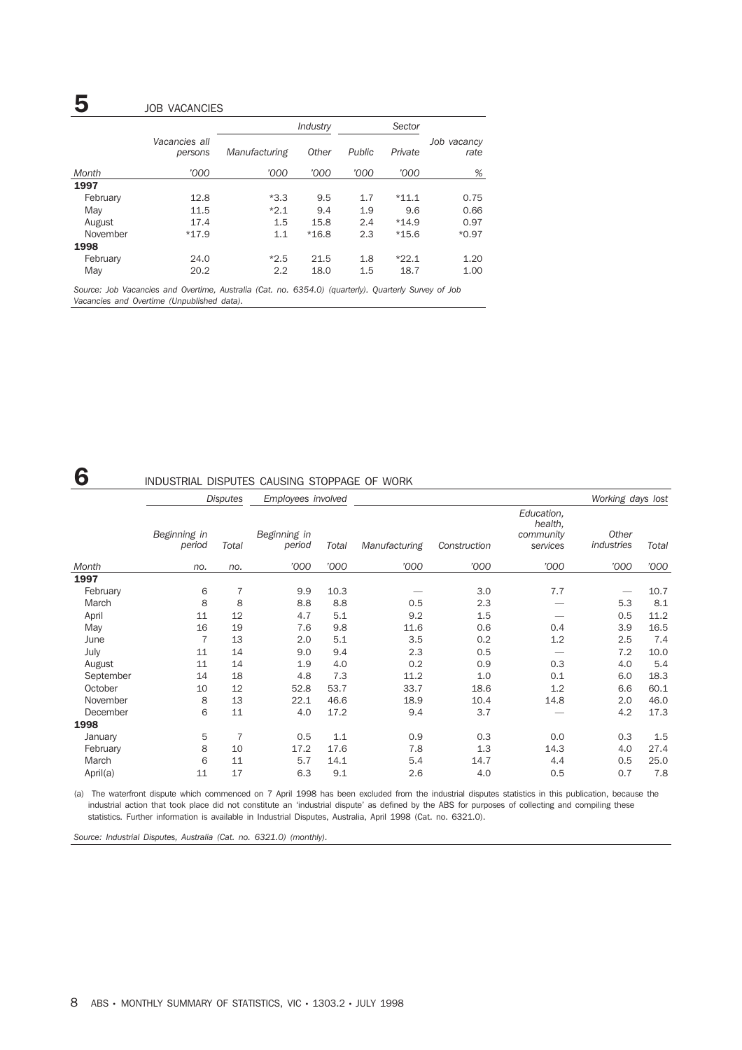## **5 JOB VACANCIES**

|          |                          |               | Industry |        | Sector  |                     |
|----------|--------------------------|---------------|----------|--------|---------|---------------------|
|          | Vacancies all<br>persons | Manufacturing | Other    | Public | Private | Job vacancy<br>rate |
| Month    | '000                     | '000          | '000     | '000   | '000    | %                   |
| 1997     |                          |               |          |        |         |                     |
| February | 12.8                     | $*3.3$        | 9.5      | 1.7    | $*11.1$ | 0.75                |
| May      | 11.5                     | $*2.1$        | 9.4      | 1.9    | 9.6     | 0.66                |
| August   | 17.4                     | 1.5           | 15.8     | 2.4    | $*14.9$ | 0.97                |
| November | $*17.9$                  | 1.1           | $*16.8$  | 2.3    | $*15.6$ | $*0.97$             |
| 1998     |                          |               |          |        |         |                     |
| February | 24.0                     | $*2.5$        | 21.5     | 1.8    | $*22.1$ | 1.20                |
| May      | 20.2                     | 2.2           | 18.0     | 1.5    | 18.7    | 1.00                |

*Source: Job Vacancies and Overtime, Australia (Cat. no. 6354.0) (quarterly). Quarterly Survey of Job Vacancies and Overtime (Unpublished data).*

## 6 INDUSTRIAL DISPUTES CAUSING STOPPAGE OF WORK

|           | <b>Disputes</b>        |                | Employees involved     |       |               |              |                                                | Working days lost   |       |
|-----------|------------------------|----------------|------------------------|-------|---------------|--------------|------------------------------------------------|---------------------|-------|
|           | Beginning in<br>period | Total          | Beginning in<br>period | Total | Manufacturing | Construction | Education,<br>health,<br>community<br>services | Other<br>industries | Total |
| Month     | no.                    | no.            | '000                   | '000  | '000          | '000         | '000                                           | '000                | '000  |
| 1997      |                        |                |                        |       |               |              |                                                |                     |       |
| February  | 6                      | 7              | 9.9                    | 10.3  |               | 3.0          | 7.7                                            |                     | 10.7  |
| March     | 8                      | 8              | 8.8                    | 8.8   | 0.5           | 2.3          |                                                | 5.3                 | 8.1   |
| April     | 11                     | 12             | 4.7                    | 5.1   | 9.2           | 1.5          |                                                | 0.5                 | 11.2  |
| May       | 16                     | 19             | 7.6                    | 9.8   | 11.6          | 0.6          | 0.4                                            | 3.9                 | 16.5  |
| June      | $\overline{7}$         | 13             | 2.0                    | 5.1   | 3.5           | 0.2          | 1.2                                            | 2.5                 | 7.4   |
| July      | 11                     | 14             | 9.0                    | 9.4   | 2.3           | 0.5          |                                                | 7.2                 | 10.0  |
| August    | 11                     | 14             | 1.9                    | 4.0   | 0.2           | 0.9          | 0.3                                            | 4.0                 | 5.4   |
| September | 14                     | 18             | 4.8                    | 7.3   | 11.2          | 1.0          | 0.1                                            | 6.0                 | 18.3  |
| October   | 10                     | 12             | 52.8                   | 53.7  | 33.7          | 18.6         | 1.2                                            | 6.6                 | 60.1  |
| November  | 8                      | 13             | 22.1                   | 46.6  | 18.9          | 10.4         | 14.8                                           | 2.0                 | 46.0  |
| December  | 6                      | 11             | 4.0                    | 17.2  | 9.4           | 3.7          |                                                | 4.2                 | 17.3  |
| 1998      |                        |                |                        |       |               |              |                                                |                     |       |
| January   | 5                      | $\overline{7}$ | 0.5                    | 1.1   | 0.9           | 0.3          | 0.0                                            | 0.3                 | 1.5   |
| February  | 8                      | 10             | 17.2                   | 17.6  | 7.8           | 1.3          | 14.3                                           | 4.0                 | 27.4  |
| March     | 6                      | 11             | 5.7                    | 14.1  | 5.4           | 14.7         | 4.4                                            | 0.5                 | 25.0  |
| April(a)  | 11                     | 17             | 6.3                    | 9.1   | 2.6           | 4.0          | 0.5                                            | 0.7                 | 7.8   |

(a) The waterfront dispute which commenced on 7 April 1998 has been excluded from the industrial disputes statistics in this publication, because the industrial action that took place did not constitute an 'industrial dispute' as defined by the ABS for purposes of collecting and compiling these statistics. Further information is available in Industrial Disputes, Australia, April 1998 (Cat. no. 6321.0).

*Source: Industrial Disputes, Australia (Cat. no. 6321.0) (monthly).*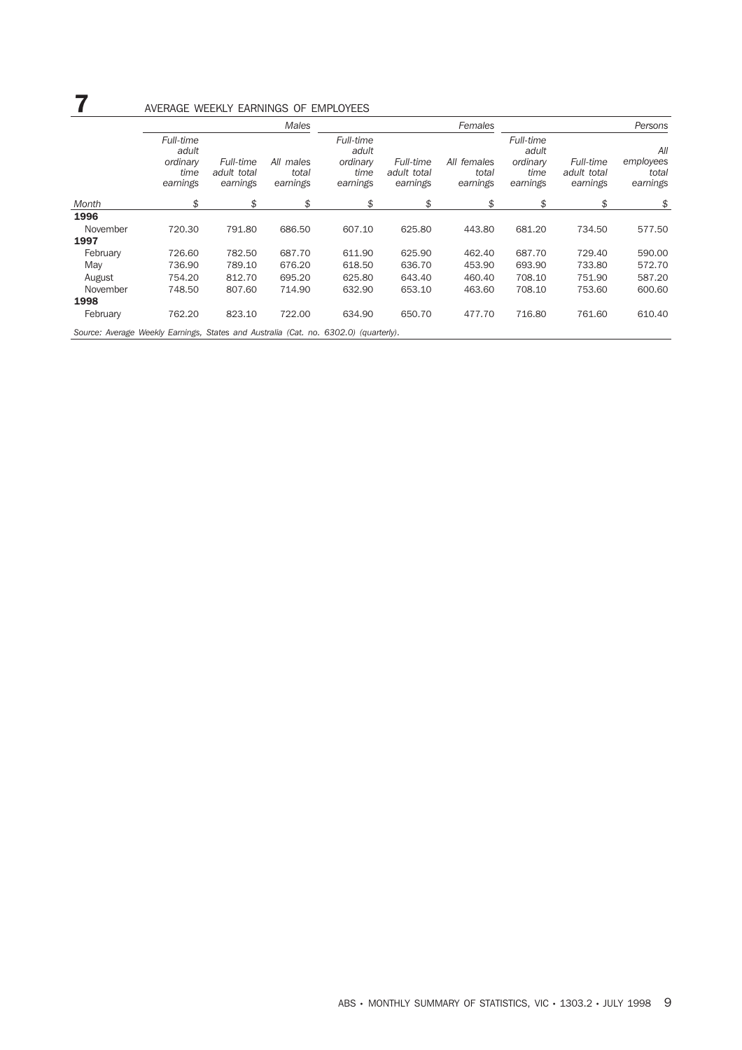# **7** AVERAGE WEEKLY EARNINGS OF EMPLOYEES

|                                                                                      |                                                    |                                      | Males                          |                                                    |                                             | Females                          | Persons                                            |                                      |                                       |  |
|--------------------------------------------------------------------------------------|----------------------------------------------------|--------------------------------------|--------------------------------|----------------------------------------------------|---------------------------------------------|----------------------------------|----------------------------------------------------|--------------------------------------|---------------------------------------|--|
|                                                                                      | Full-time<br>adult<br>ordinary<br>time<br>earnings | Full-time<br>adult total<br>earnings | All males<br>total<br>earnings | Full-time<br>adult<br>ordinary<br>time<br>earnings | <b>Full-time</b><br>adult total<br>earnings | All females<br>total<br>earnings | Full-time<br>adult<br>ordinary<br>time<br>earnings | Full-time<br>adult total<br>earnings | All<br>employees<br>total<br>earnings |  |
| Month                                                                                | \$                                                 | \$                                   | \$                             | \$                                                 | \$                                          | \$                               | \$                                                 | \$                                   | \$                                    |  |
| 1996                                                                                 |                                                    |                                      |                                |                                                    |                                             |                                  |                                                    |                                      |                                       |  |
| November                                                                             | 720.30                                             | 791.80                               | 686.50                         | 607.10                                             | 625.80                                      | 443.80                           | 681.20                                             | 734.50                               | 577.50                                |  |
| 1997                                                                                 |                                                    |                                      |                                |                                                    |                                             |                                  |                                                    |                                      |                                       |  |
| February                                                                             | 726.60                                             | 782.50                               | 687.70                         | 611.90                                             | 625.90                                      | 462.40                           | 687.70                                             | 729.40                               | 590.00                                |  |
| May                                                                                  | 736.90                                             | 789.10                               | 676.20                         | 618.50                                             | 636.70                                      | 453.90                           | 693.90                                             | 733.80                               | 572.70                                |  |
| August                                                                               | 754.20                                             | 812.70                               | 695.20                         | 625.80                                             | 643.40                                      | 460.40                           | 708.10                                             | 751.90                               | 587.20                                |  |
| November                                                                             | 748.50                                             | 807.60                               | 714.90                         | 632.90                                             | 653.10                                      | 463.60                           | 708.10                                             | 753.60                               | 600.60                                |  |
| 1998                                                                                 |                                                    |                                      |                                |                                                    |                                             |                                  |                                                    |                                      |                                       |  |
| February                                                                             | 762.20                                             | 823.10                               | 722.00                         | 634.90                                             | 650.70                                      | 477.70                           | 716.80                                             | 761.60                               | 610.40                                |  |
| Source: Average Weekly Earnings, States and Australia (Cat. no. 6302.0) (quarterly). |                                                    |                                      |                                |                                                    |                                             |                                  |                                                    |                                      |                                       |  |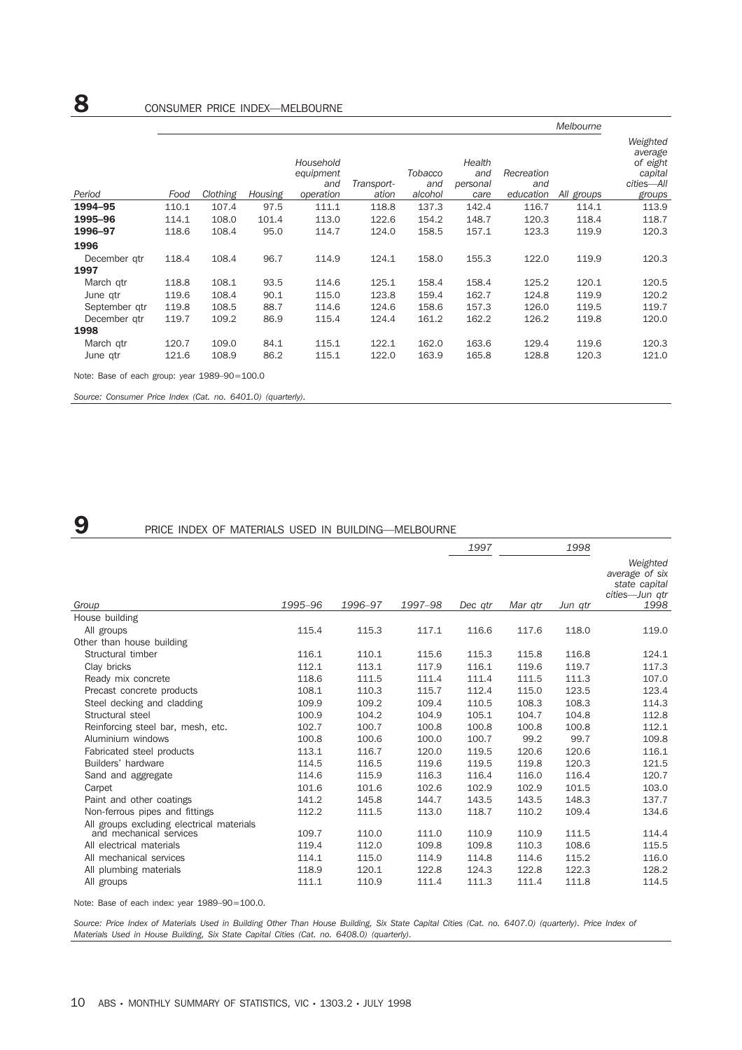|                                              | Melbourne |          |         |                                            |                     |                                  |                                   |                                |            |                                                                    |  |
|----------------------------------------------|-----------|----------|---------|--------------------------------------------|---------------------|----------------------------------|-----------------------------------|--------------------------------|------------|--------------------------------------------------------------------|--|
| Period                                       | Food      | Clothing | Housing | Household<br>equipment<br>and<br>operation | Transport-<br>ation | <b>Tobacco</b><br>and<br>alcohol | Health<br>and<br>personal<br>care | Recreation<br>and<br>education | All groups | Weighted<br>average<br>of eight<br>capital<br>cities-All<br>groups |  |
| 1994-95                                      | 110.1     | 107.4    | 97.5    | 111.1                                      | 118.8               | 137.3                            | 142.4                             | 116.7                          | 114.1      | 113.9                                                              |  |
| 1995-96                                      | 114.1     | 108.0    | 101.4   | 113.0                                      | 122.6               | 154.2                            | 148.7                             | 120.3                          | 118.4      | 118.7                                                              |  |
| 1996-97                                      | 118.6     | 108.4    | 95.0    | 114.7                                      | 124.0               | 158.5                            | 157.1                             | 123.3                          | 119.9      | 120.3                                                              |  |
| 1996                                         |           |          |         |                                            |                     |                                  |                                   |                                |            |                                                                    |  |
| December gtr                                 | 118.4     | 108.4    | 96.7    | 114.9                                      | 124.1               | 158.0                            | 155.3                             | 122.0                          | 119.9      | 120.3                                                              |  |
| 1997                                         |           |          |         |                                            |                     |                                  |                                   |                                |            |                                                                    |  |
| March gtr                                    | 118.8     | 108.1    | 93.5    | 114.6                                      | 125.1               | 158.4                            | 158.4                             | 125.2                          | 120.1      | 120.5                                                              |  |
| June qtr                                     | 119.6     | 108.4    | 90.1    | 115.0                                      | 123.8               | 159.4                            | 162.7                             | 124.8                          | 119.9      | 120.2                                                              |  |
| September gtr                                | 119.8     | 108.5    | 88.7    | 114.6                                      | 124.6               | 158.6                            | 157.3                             | 126.0                          | 119.5      | 119.7                                                              |  |
| December gtr                                 | 119.7     | 109.2    | 86.9    | 115.4                                      | 124.4               | 161.2                            | 162.2                             | 126.2                          | 119.8      | 120.0                                                              |  |
| 1998                                         |           |          |         |                                            |                     |                                  |                                   |                                |            |                                                                    |  |
| March gtr                                    | 120.7     | 109.0    | 84.1    | 115.1                                      | 122.1               | 162.0                            | 163.6                             | 129.4                          | 119.6      | 120.3                                                              |  |
| June gtr                                     | 121.6     | 108.9    | 86.2    | 115.1                                      | 122.0               | 163.9                            | 165.8                             | 128.8                          | 120.3      | 121.0                                                              |  |
| Note: Base of each group: year 1989-90=100.0 |           |          |         |                                            |                     |                                  |                                   |                                |            |                                                                    |  |

*Source: Consumer Price Index (Cat. no. 6401.0) (quarterly).*

### **9** PRICE INDEX OF MATERIALS USED IN BUILDING—MELBOURNE

|                                                                                                  |                |                |                | 1997           |                | 1998           |                                                                       |
|--------------------------------------------------------------------------------------------------|----------------|----------------|----------------|----------------|----------------|----------------|-----------------------------------------------------------------------|
| Group                                                                                            | 1995-96        | 1996-97        | 1997-98        | Dec atr        | Mar gtr        | Jun qtr        | Weighted<br>average of six<br>state capital<br>cities-Jun qtr<br>1998 |
| House building                                                                                   |                |                |                |                |                |                |                                                                       |
| All groups                                                                                       | 115.4          | 115.3          | 117.1          | 116.6          | 117.6          | 118.0          | 119.0                                                                 |
| Other than house building                                                                        |                |                |                |                |                |                |                                                                       |
| Structural timber                                                                                | 116.1          | 110.1          | 115.6          | 115.3          | 115.8          | 116.8          | 124.1                                                                 |
| Clay bricks                                                                                      | 112.1          | 113.1          | 117.9          | 116.1          | 119.6          | 119.7          | 117.3                                                                 |
| Ready mix concrete                                                                               | 118.6          | 111.5          | 111.4          | 111.4          | 111.5          | 111.3          | 107.0                                                                 |
| Precast concrete products                                                                        | 108.1          | 110.3          | 115.7          | 112.4          | 115.0          | 123.5          | 123.4                                                                 |
| Steel decking and cladding                                                                       | 109.9          | 109.2          | 109.4          | 110.5          | 108.3          | 108.3          | 114.3                                                                 |
| Structural steel                                                                                 | 100.9          | 104.2          | 104.9          | 105.1          | 104.7          | 104.8          | 112.8                                                                 |
| Reinforcing steel bar, mesh, etc.                                                                | 102.7          | 100.7          | 100.8          | 100.8          | 100.8          | 100.8          | 112.1                                                                 |
| Aluminium windows                                                                                | 100.8          | 100.6          | 100.0          | 100.7          | 99.2           | 99.7           | 109.8                                                                 |
| Fabricated steel products                                                                        | 113.1          | 116.7          | 120.0          | 119.5          | 120.6          | 120.6          | 116.1                                                                 |
| Builders' hardware                                                                               | 114.5          | 116.5          | 119.6          | 119.5          | 119.8          | 120.3          | 121.5                                                                 |
| Sand and aggregate                                                                               | 114.6          | 115.9          | 116.3          | 116.4          | 116.0          | 116.4          | 120.7                                                                 |
| Carpet                                                                                           | 101.6          | 101.6          | 102.6          | 102.9          | 102.9          | 101.5          | 103.0                                                                 |
| Paint and other coatings                                                                         | 141.2          | 145.8          | 144.7          | 143.5          | 143.5          | 148.3          | 137.7                                                                 |
| Non-ferrous pipes and fittings                                                                   | 112.2          | 111.5          | 113.0          | 118.7          | 110.2          | 109.4          | 134.6                                                                 |
| All groups excluding electrical materials<br>and mechanical services<br>All electrical materials | 109.7<br>119.4 | 110.0<br>112.0 | 111.0<br>109.8 | 110.9<br>109.8 | 110.9<br>110.3 | 111.5<br>108.6 | 114.4<br>115.5                                                        |
| All mechanical services                                                                          | 114.1          | 115.0          | 114.9          | 114.8          | 114.6          | 115.2          | 116.0                                                                 |
| All plumbing materials                                                                           | 118.9          | 120.1          | 122.8          | 124.3          | 122.8          | 122.3          | 128.2                                                                 |
| All groups                                                                                       | 111.1          | 110.9          | 111.4          | 111.3          | 111.4          | 111.8          | 114.5                                                                 |

Note: Base of each index: year 1989–90=100.0.

*Source: Price Index of Materials Used in Building Other Than House Building, Six State Capital Cities (Cat. no. 6407.0) (quarterly). Price Index of Materials Used in House Building, Six State Capital Cities (Cat. no. 6408.0) (quarterly).*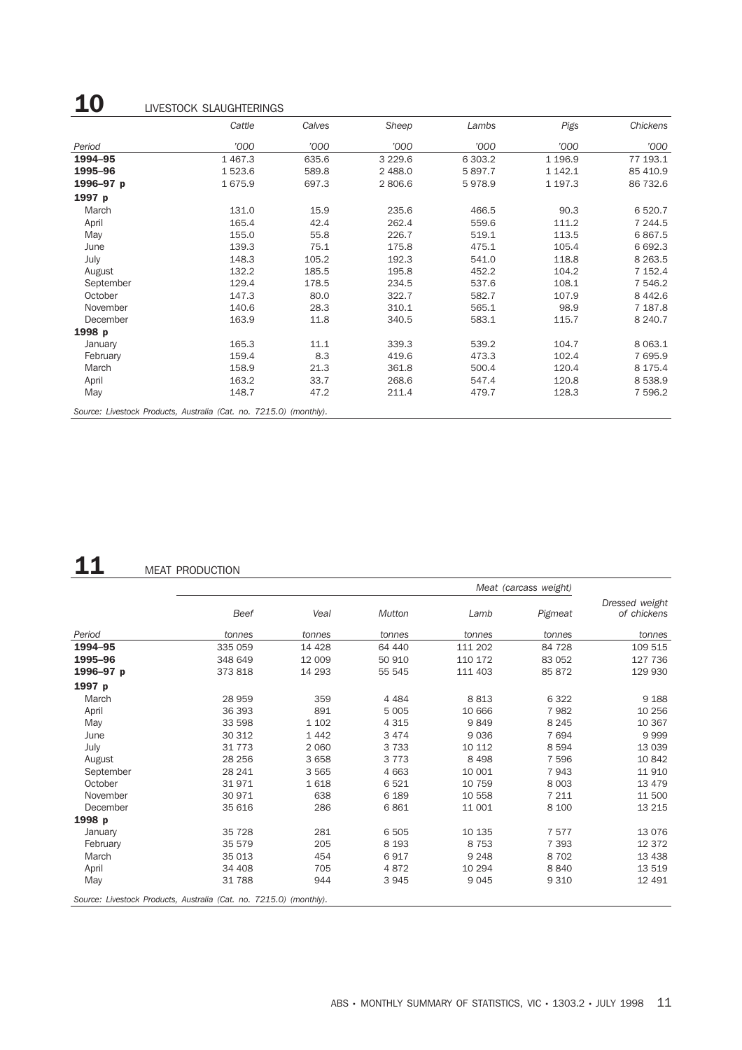# 10 LIVESTOCK SLAUGHTERINGS

|                                                                    | Cattle      | Calves | Sheep     | Lambs   | Pigs      | Chickens  |
|--------------------------------------------------------------------|-------------|--------|-----------|---------|-----------|-----------|
| Period                                                             | '000        | '000   | '000      | '000    | '000      | '000      |
| 1994-95                                                            | 1 4 6 7 . 3 | 635.6  | 3 2 2 9.6 | 6 303.2 | 1 1 9 6.9 | 77 193.1  |
| 1995-96                                                            | 1523.6      | 589.8  | 2 488.0   | 5897.7  | 1 142.1   | 85 410.9  |
| 1996-97 p                                                          | 1675.9      | 697.3  | 2 806.6   | 5978.9  | 1 197.3   | 86 732.6  |
| 1997 p                                                             |             |        |           |         |           |           |
| March                                                              | 131.0       | 15.9   | 235.6     | 466.5   | 90.3      | 6 5 20.7  |
| April                                                              | 165.4       | 42.4   | 262.4     | 559.6   | 111.2     | 7 244.5   |
| May                                                                | 155.0       | 55.8   | 226.7     | 519.1   | 113.5     | 6867.5    |
| June                                                               | 139.3       | 75.1   | 175.8     | 475.1   | 105.4     | 6 692.3   |
| July                                                               | 148.3       | 105.2  | 192.3     | 541.0   | 118.8     | 8 2 6 3.5 |
| August                                                             | 132.2       | 185.5  | 195.8     | 452.2   | 104.2     | 7 152.4   |
| September                                                          | 129.4       | 178.5  | 234.5     | 537.6   | 108.1     | 7 546.2   |
| October                                                            | 147.3       | 80.0   | 322.7     | 582.7   | 107.9     | 8 4 4 2.6 |
| November                                                           | 140.6       | 28.3   | 310.1     | 565.1   | 98.9      | 7 187.8   |
| December                                                           | 163.9       | 11.8   | 340.5     | 583.1   | 115.7     | 8 2 4 0.7 |
| 1998 p                                                             |             |        |           |         |           |           |
| January                                                            | 165.3       | 11.1   | 339.3     | 539.2   | 104.7     | 8 0 63.1  |
| February                                                           | 159.4       | 8.3    | 419.6     | 473.3   | 102.4     | 7 695.9   |
| March                                                              | 158.9       | 21.3   | 361.8     | 500.4   | 120.4     | 8 175.4   |
| April                                                              | 163.2       | 33.7   | 268.6     | 547.4   | 120.8     | 8 5 3 8.9 |
| May                                                                | 148.7       | 47.2   | 211.4     | 479.7   | 128.3     | 7 596.2   |
| Source: Livestock Products, Australia (Cat. no. 7215.0) (monthly). |             |        |           |         |           |           |

# 11 MEAT PRODUCTION

|           |                                                                    |         |         |         | Meat (carcass weight) |                               |
|-----------|--------------------------------------------------------------------|---------|---------|---------|-----------------------|-------------------------------|
|           | Beef                                                               | Veal    | Mutton  | Lamb    | Pigmeat               | Dressed weight<br>of chickens |
| Period    | tonnes                                                             | tonnes  | tonnes  | tonnes  | tonnes                | tonnes                        |
| 1994-95   | 335 059                                                            | 14 4 28 | 64 440  | 111 202 | 84 728                | 109 515                       |
| 1995-96   | 348 649                                                            | 12 009  | 50 910  | 110 172 | 83 052                | 127 736                       |
| 1996-97 p | 373 818                                                            | 14 293  | 55 545  | 111 403 | 85 872                | 129 930                       |
| 1997 p    |                                                                    |         |         |         |                       |                               |
| March     | 28 959                                                             | 359     | 4 4 8 4 | 8813    | 6 3 2 2               | 9 1 8 8                       |
| April     | 36 393                                                             | 891     | 5 0 0 5 | 10 666  | 7982                  | 10 256                        |
| May       | 33 598                                                             | 1 1 0 2 | 4 3 1 5 | 9849    | 8 2 4 5               | 10 367                        |
| June      | 30 312                                                             | 1442    | 3 4 7 4 | 9036    | 7694                  | 9999                          |
| July      | 31 7 7 3                                                           | 2 0 6 0 | 3733    | 10 112  | 8594                  | 13 0 39                       |
| August    | 28 25 6                                                            | 3 6 5 8 | 3 7 7 3 | 8 4 9 8 | 7 5 9 6               | 10 842                        |
| September | 28 241                                                             | 3565    | 4 6 6 3 | 10 001  | 7943                  | 11 910                        |
| October   | 31971                                                              | 1618    | 6521    | 10 759  | 8 0 0 3               | 13 4 79                       |
| November  | 30 971                                                             | 638     | 6 1 8 9 | 10 558  | 7 2 1 1               | 11 500                        |
| December  | 35 616                                                             | 286     | 6861    | 11 001  | 8 100                 | 13 215                        |
| 1998 p    |                                                                    |         |         |         |                       |                               |
| January   | 35 7 28                                                            | 281     | 6 5 0 5 | 10 135  | 7577                  | 13 0 76                       |
| February  | 35 579                                                             | 205     | 8 1 9 3 | 8 7 5 3 | 7 3 9 3               | 12 372                        |
| March     | 35 013                                                             | 454     | 6917    | 9 2 4 8 | 8702                  | 13 4 38                       |
| April     | 34 408                                                             | 705     | 4872    | 10 294  | 8840                  | 13 519                        |
| May       | 31788                                                              | 944     | 3945    | 9 0 4 5 | 9 3 1 0               | 12 491                        |
|           | Source: Livestock Products, Australia (Cat. no. 7215.0) (monthly). |         |         |         |                       |                               |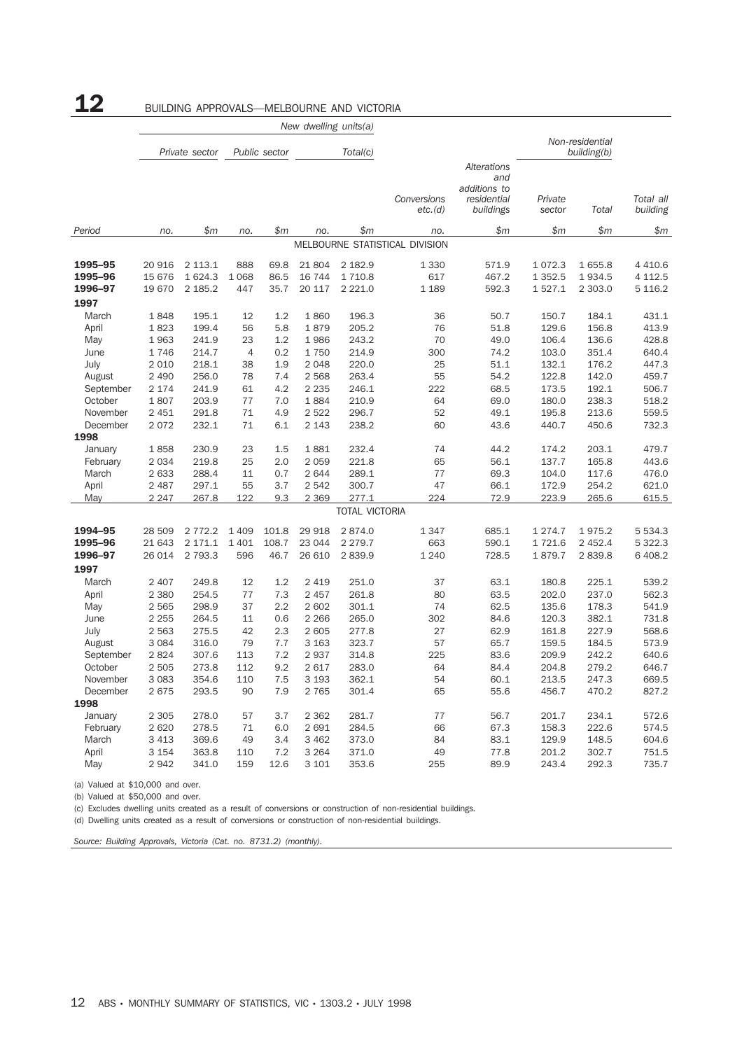|                    |                  |                        |                    |                | New dwelling units(a) |                       |                                |                                                                       |                   |                                |                          |
|--------------------|------------------|------------------------|--------------------|----------------|-----------------------|-----------------------|--------------------------------|-----------------------------------------------------------------------|-------------------|--------------------------------|--------------------------|
|                    |                  | Private sector         |                    | Public sector  |                       | Total(c)              |                                |                                                                       |                   | Non-residential<br>building(b) |                          |
|                    |                  |                        |                    |                |                       |                       | Conversions<br>etc.(d)         | <b>Alterations</b><br>and<br>additions to<br>residential<br>buildings | Private<br>sector | Total                          | Total all<br>building    |
| Period             | no.              | \$m\$                  | no.                | \$m\$          | no.                   | \$m\$                 | no.                            | \$m                                                                   | \$m               | \$m\$                          | \$m\$                    |
|                    |                  |                        |                    |                |                       |                       | MELBOURNE STATISTICAL DIVISION |                                                                       |                   |                                |                          |
| 1995-95            | 20 916           | 2 113.1                | 888                | 69.8           | 21 804                | 2 182.9               | 1 3 3 0                        | 571.9                                                                 | 1072.3            | 1655.8                         | 4 4 1 0.6                |
| 1995-96            | 15 676           | 1 624.3                | 1 0 6 8            | 86.5           | 16 744                | 1 7 1 0.8             | 617                            | 467.2                                                                 | 1 3 5 2.5         | 1934.5                         | 4 1 1 2.5                |
| 1996-97            | 19 670           | 2 185.2                | 447                | 35.7           | 20 117                | 2 2 2 1.0             | 1 1 8 9                        | 592.3                                                                 | 1527.1            | 2 303.0                        | 5 1 1 6.2                |
| 1997               |                  |                        |                    |                |                       |                       |                                |                                                                       |                   |                                |                          |
| March              | 1848             | 195.1                  | 12                 | 1.2            | 1860                  | 196.3                 | 36                             | 50.7                                                                  | 150.7             | 184.1                          | 431.1                    |
| April              | 1823             | 199.4                  | 56                 | 5.8            | 1879                  | 205.2                 | 76                             | 51.8                                                                  | 129.6             | 156.8                          | 413.9                    |
| May                | 1963             | 241.9                  | 23                 | 1.2            | 1986                  | 243.2                 | 70                             | 49.0                                                                  | 106.4             | 136.6                          | 428.8                    |
| June               | 1746             | 214.7                  | 4                  | 0.2            | 1750                  | 214.9                 | 300                            | 74.2                                                                  | 103.0             | 351.4                          | 640.4                    |
| July               | 2 0 1 0          | 218.1                  | 38                 | 1.9            | 2 0 4 8               | 220.0                 | 25                             | 51.1                                                                  | 132.1             | 176.2                          | 447.3                    |
| August             | 2 4 9 0          | 256.0                  | 78                 | 7.4            | 2 5 6 8               | 263.4                 | 55                             | 54.2                                                                  | 122.8             | 142.0                          | 459.7                    |
| September          | 2 1 7 4          | 241.9                  | 61                 | 4.2            | 2 2 3 5               | 246.1                 | 222                            | 68.5                                                                  | 173.5             | 192.1                          | 506.7                    |
| October            | 1807             | 203.9                  | 77                 | 7.0            | 1884                  | 210.9                 | 64                             | 69.0                                                                  | 180.0             | 238.3                          | 518.2                    |
| November           | 2 4 5 1          | 291.8                  | 71                 | 4.9            | 2522                  | 296.7                 | 52                             | 49.1                                                                  | 195.8             | 213.6                          | 559.5                    |
| December           | 2072             | 232.1                  | 71                 | 6.1            | 2 1 4 3               | 238.2                 | 60                             | 43.6                                                                  | 440.7             | 450.6                          | 732.3                    |
| 1998<br>January    | 1858             | 230.9                  | 23                 | 1.5            | 1881                  | 232.4                 | 74                             | 44.2                                                                  | 174.2             | 203.1                          | 479.7                    |
| February           | 2 0 3 4          | 219.8                  | 25                 | 2.0            | 2 0 5 9               | 221.8                 | 65                             | 56.1                                                                  | 137.7             | 165.8                          | 443.6                    |
| March              | 2 633            | 288.4                  | 11                 | 0.7            | 2644                  | 289.1                 | 77                             | 69.3                                                                  | 104.0             | 117.6                          | 476.0                    |
| April              | 2 4 8 7          | 297.1                  | 55                 | 3.7            | 2542                  | 300.7                 | 47                             | 66.1                                                                  | 172.9             | 254.2                          | 621.0                    |
| May                | 2 2 4 7          | 267.8                  | 122                | 9.3            | 2 3 6 9               | 277.1                 | 224                            | 72.9                                                                  | 223.9             | 265.6                          | 615.5                    |
|                    |                  |                        |                    |                |                       | <b>TOTAL VICTORIA</b> |                                |                                                                       |                   |                                |                          |
|                    |                  |                        |                    |                |                       |                       |                                |                                                                       |                   |                                |                          |
| 1994-95<br>1995-96 | 28 509<br>21 643 | 2 7 7 2 . 2<br>2 171.1 | 1 4 0 9<br>1 4 0 1 | 101.8<br>108.7 | 29 918<br>23 044      | 2874.0<br>2 2 7 9 . 7 | 1 3 4 7<br>663                 | 685.1<br>590.1                                                        | 1 274.7<br>1721.6 | 1975.2<br>2 4 5 2.4            | 5 5 3 4 . 3<br>5 3 2 2.3 |
| 1996-97            | 26 014           | 2 793.3                | 596                | 46.7           | 26 610                | 2839.9                | 1 2 4 0                        | 728.5                                                                 | 1879.7            | 2839.8                         | 6 408.2                  |
| 1997               |                  |                        |                    |                |                       |                       |                                |                                                                       |                   |                                |                          |
| March              | 2 4 0 7          | 249.8                  | 12                 | 1.2            | 2 4 1 9               | 251.0                 | 37                             | 63.1                                                                  | 180.8             | 225.1                          | 539.2                    |
| April              | 2 3 8 0          | 254.5                  | 77                 | 7.3            | 2 4 5 7               | 261.8                 | 80                             | 63.5                                                                  | 202.0             | 237.0                          | 562.3                    |
| May                | 2 5 6 5          | 298.9                  | 37                 | 2.2            | 2 602                 | 301.1                 | 74                             | 62.5                                                                  | 135.6             | 178.3                          | 541.9                    |
| June               | 2 2 5 5          | 264.5                  | 11                 | 0.6            | 2 2 6 6               | 265.0                 | 302                            | 84.6                                                                  | 120.3             | 382.1                          | 731.8                    |
| July               | 2 5 6 3          | 275.5                  | 42                 | 2.3            | 2 605                 | 277.8                 | 27                             | 62.9                                                                  | 161.8             | 227.9                          | 568.6                    |
| August             | 3 0 8 4          | 316.0                  | 79                 | 7.7            | 3 1 6 3               | 323.7                 | 57                             | 65.7                                                                  | 159.5             | 184.5                          | 573.9                    |
| September          | 2824             | 307.6                  | 113                | 7.2            | 2937                  | 314.8                 | 225                            | 83.6                                                                  | 209.9             | 242.2                          | 640.6                    |
| October            | 2 505            | 273.8                  | 112                | 9.2            | 2617                  | 283.0                 | 64                             | 84.4                                                                  | 204.8             | 279.2                          | 646.7                    |
| November           | 3 0 8 3          | 354.6                  | 110                | 7.5            | 3 193                 | 362.1                 | 54                             | 60.1                                                                  | 213.5             | 247.3                          | 669.5                    |
| December           | 2675             | 293.5                  | 90                 | 7.9            | 2 7 6 5               | 301.4                 | 65                             | 55.6                                                                  | 456.7             | 470.2                          | 827.2                    |
| 1998               |                  |                        |                    |                |                       |                       |                                |                                                                       |                   |                                |                          |
| January            | 2 3 0 5          | 278.0                  | 57                 | 3.7            | 2 3 6 2               | 281.7                 | 77                             | 56.7                                                                  | 201.7             | 234.1                          | 572.6                    |
| February           | 2 6 2 0          | 278.5                  | 71                 | 6.0            | 2 6 9 1               | 284.5                 | 66                             | 67.3                                                                  | 158.3             | 222.6                          | 574.5                    |
| March              | 3 4 1 3          | 369.6                  | 49                 | 3.4            | 3 4 6 2               | 373.0                 | 84                             | 83.1                                                                  | 129.9             | 148.5                          | 604.6                    |
| April              | 3 1 5 4          | 363.8                  | 110                | 7.2            | 3 2 6 4               | 371.0                 | 49                             | 77.8                                                                  | 201.2             | 302.7                          | 751.5                    |
| May                | 2942             | 341.0                  | 159                | 12.6           | 3 1 0 1               | 353.6                 | 255                            | 89.9                                                                  | 243.4             | 292.3                          | 735.7                    |

(a) Valued at \$10,000 and over.

(b) Valued at \$50,000 and over.

(c) Excludes dwelling units created as a result of conversions or construction of non-residential buildings.

(d) Dwelling units created as a result of conversions or construction of non-residential buildings.

*Source: Building Approvals, Victoria (Cat. no. 8731.2) (monthly).*

## 12 BUILDING APPROVALS—MELBOURNE AND VICTORIA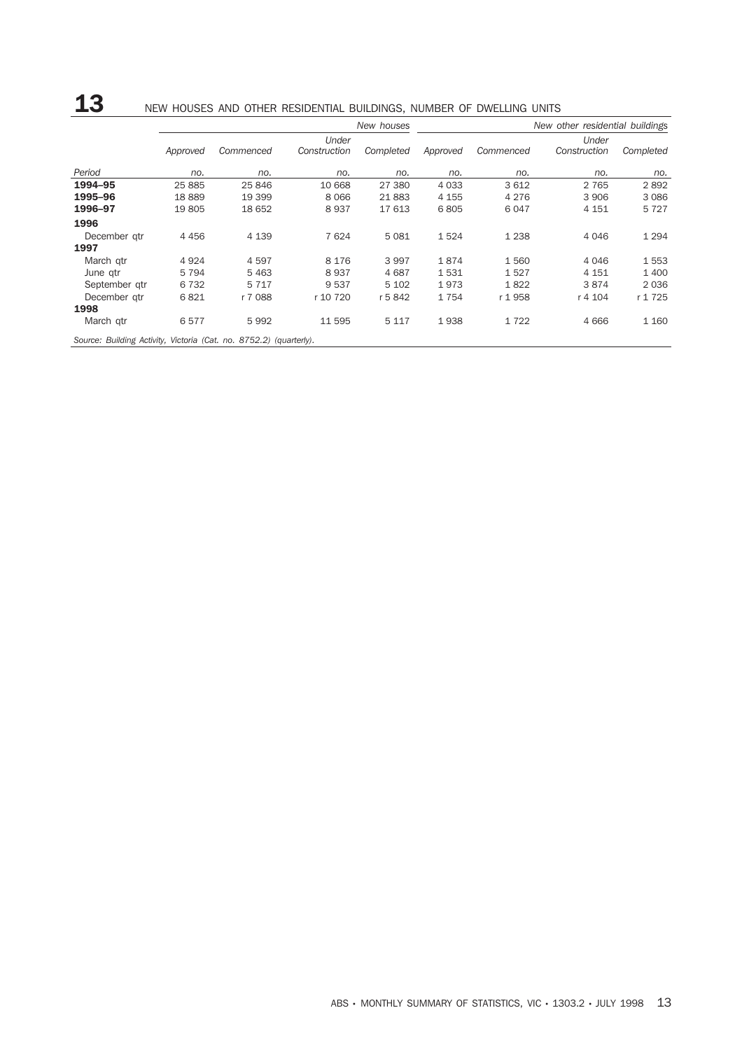## 13 NEW HOUSES AND OTHER RESIDENTIAL BUILDINGS, NUMBER OF DWELLING UNITS

|                                                                    |          |           |              | New houses |          |           | New other residential buildings |           |
|--------------------------------------------------------------------|----------|-----------|--------------|------------|----------|-----------|---------------------------------|-----------|
|                                                                    |          |           | Under        |            |          |           | Under                           |           |
|                                                                    | Approved | Commenced | Construction | Completed  | Approved | Commenced | Construction                    | Completed |
| Period                                                             | no.      | no.       | no.          | no.        | no.      | no.       | no.                             | no.       |
| 1994-95                                                            | 25 885   | 25 846    | 10 668       | 27 380     | 4 0 3 3  | 3612      | 2 7 6 5                         | 2892      |
| 1995-96                                                            | 18889    | 19 399    | 8 0 6 6      | 21883      | 4 1 5 5  | 4 2 7 6   | 3 9 0 6                         | 3 0 8 6   |
| 1996-97                                                            | 19 805   | 18 652    | 8937         | 17 613     | 6805     | 6047      | 4 1 5 1                         | 5727      |
| 1996                                                               |          |           |              |            |          |           |                                 |           |
| December gtr                                                       | 4 4 5 6  | 4 1 3 9   | 7 6 24       | 5081       | 1524     | 1 2 3 8   | 4 0 4 6                         | 1 2 9 4   |
| 1997                                                               |          |           |              |            |          |           |                                 |           |
| March gtr                                                          | 4 9 2 4  | 4597      | 8 1 7 6      | 3997       | 1874     | 1560      | 4 0 4 6                         | 1553      |
| June gtr                                                           | 5 7 9 4  | 5 4 6 3   | 8937         | 4687       | 1531     | 1527      | 4 1 5 1                         | 1400      |
| September gtr                                                      | 6 7 3 2  | 5 7 1 7   | 9 5 3 7      | 5 1 0 2    | 1973     | 1822      | 3874                            | 2036      |
| December gtr                                                       | 6821     | r 7 088   | r 10 720     | r 5842     | 1754     | r 1958    | r 4 104                         | r 1725    |
| 1998                                                               |          |           |              |            |          |           |                                 |           |
| March gtr                                                          | 6577     | 5992      | 11 595       | 5 1 1 7    | 1938     | 1722      | 4666                            | 1 160     |
| Source: Building Activity, Victoria (Cat. no. 8752.2) (quarterly). |          |           |              |            |          |           |                                 |           |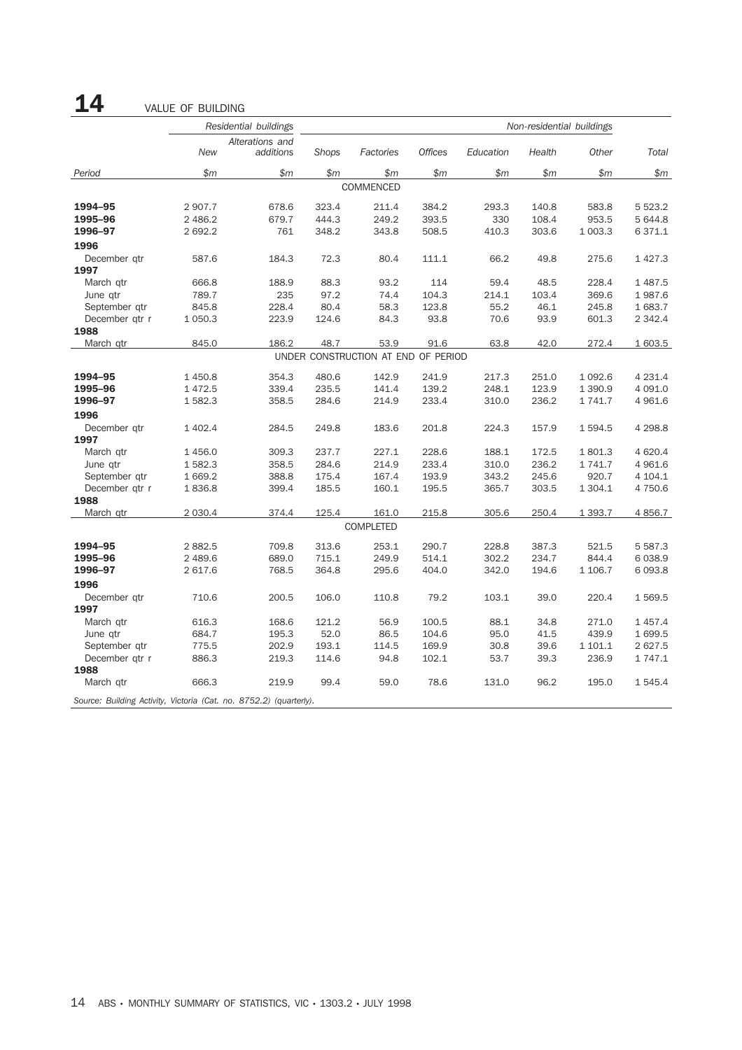14 VALUE OF BUILDING

|                                                                    |            | Residential buildings        | Non-residential buildings |                                     |                |           |        |             |              |
|--------------------------------------------------------------------|------------|------------------------------|---------------------------|-------------------------------------|----------------|-----------|--------|-------------|--------------|
|                                                                    | <b>New</b> | Alterations and<br>additions | Shops                     | Factories                           | <b>Offices</b> | Education | Health | Other       | <b>Total</b> |
| Period                                                             | \$m\$      | \$m\$                        | \$m                       | \$m\$                               | \$m            | \$m       | \$m\$  | \$m\$       | \$m\$        |
|                                                                    |            |                              |                           | COMMENCED                           |                |           |        |             |              |
| 1994-95                                                            | 2 907.7    | 678.6                        | 323.4                     | 211.4                               | 384.2          | 293.3     | 140.8  | 583.8       | 5 5 2 3.2    |
| 1995-96                                                            | 2 486.2    | 679.7                        | 444.3                     | 249.2                               | 393.5          | 330       | 108.4  | 953.5       | 5 644.8      |
| 1996-97                                                            | 2 692.2    | 761                          | 348.2                     | 343.8                               | 508.5          | 410.3     | 303.6  | 1 003.3     | 6371.1       |
| 1996                                                               |            |                              |                           |                                     |                |           |        |             |              |
| December qtr                                                       | 587.6      | 184.3                        | 72.3                      | 80.4                                | 111.1          | 66.2      | 49.8   | 275.6       | 1 4 2 7 . 3  |
| 1997                                                               |            |                              |                           |                                     |                |           |        |             |              |
| March gtr                                                          | 666.8      | 188.9                        | 88.3                      | 93.2                                | 114            | 59.4      | 48.5   | 228.4       | 1 4 8 7 . 5  |
| June qtr                                                           | 789.7      | 235                          | 97.2                      | 74.4                                | 104.3          | 214.1     | 103.4  | 369.6       | 1987.6       |
| September qtr                                                      | 845.8      | 228.4                        | 80.4                      | 58.3                                | 123.8          | 55.2      | 46.1   | 245.8       | 1683.7       |
| December qtr r                                                     | 1 0 5 0.3  | 223.9                        | 124.6                     | 84.3                                | 93.8           | 70.6      | 93.9   | 601.3       | 2 3 4 2 . 4  |
| 1988                                                               |            |                              |                           |                                     |                |           |        |             |              |
| March qtr                                                          | 845.0      | 186.2                        | 48.7                      | 53.9                                | 91.6           | 63.8      | 42.0   | 272.4       | 1 603.5      |
|                                                                    |            |                              |                           | UNDER CONSTRUCTION AT END OF PERIOD |                |           |        |             |              |
| 1994-95                                                            | 1 450.8    | 354.3                        | 480.6                     | 142.9                               | 241.9          | 217.3     | 251.0  | 1 0 9 2.6   | 4 2 3 1.4    |
| 1995-96                                                            | 1 4 7 2.5  | 339.4                        | 235.5                     | 141.4                               | 139.2          | 248.1     | 123.9  | 1 390.9     | 4 0 9 1.0    |
| 1996-97                                                            | 1 582.3    | 358.5                        | 284.6                     | 214.9                               | 233.4          | 310.0     | 236.2  | 1 741.7     | 4 9 6 1.6    |
| 1996                                                               |            |                              |                           |                                     |                |           |        |             |              |
| December qtr                                                       | 1 402.4    | 284.5                        | 249.8                     | 183.6                               | 201.8          | 224.3     | 157.9  | 1594.5      | 4 2 9 8.8    |
| 1997                                                               |            |                              |                           |                                     |                |           |        |             |              |
| March gtr                                                          | 1 456.0    | 309.3                        | 237.7                     | 227.1                               | 228.6          | 188.1     | 172.5  | 1801.3      | 4 6 20.4     |
| June qtr                                                           | 1 582.3    | 358.5                        | 284.6                     | 214.9                               | 233.4          | 310.0     | 236.2  | 1 741.7     | 4 9 6 1.6    |
| September qtr                                                      | 1 669.2    | 388.8                        | 175.4                     | 167.4                               | 193.9          | 343.2     | 245.6  | 920.7       | 4 104.1      |
| December qtr r                                                     | 1836.8     | 399.4                        | 185.5                     | 160.1                               | 195.5          | 365.7     | 303.5  | 1 3 0 4 . 1 | 4 750.6      |
| 1988                                                               |            |                              |                           |                                     |                |           |        |             |              |
| March qtr                                                          | 2 0 3 0.4  | 374.4                        | 125.4                     | 161.0                               | 215.8          | 305.6     | 250.4  | 1 3 9 3.7   | 4 8 5 6.7    |
|                                                                    |            |                              |                           | COMPLETED                           |                |           |        |             |              |
| 1994-95                                                            | 2 8 8 2.5  | 709.8                        | 313.6                     | 253.1                               | 290.7          | 228.8     | 387.3  | 521.5       | 5 5 8 7 . 3  |
| 1995-96                                                            | 2 489.6    | 689.0                        | 715.1                     | 249.9                               | 514.1          | 302.2     | 234.7  | 844.4       | 6 0 38.9     |
| 1996-97                                                            | 2 617.6    | 768.5                        | 364.8                     | 295.6                               | 404.0          | 342.0     | 194.6  | 1 106.7     | 6 0 9 3.8    |
| 1996                                                               |            |                              |                           |                                     |                |           |        |             |              |
| December gtr                                                       | 710.6      | 200.5                        | 106.0                     | 110.8                               | 79.2           | 103.1     | 39.0   | 220.4       | 1569.5       |
| 1997                                                               |            |                              |                           |                                     |                |           |        |             |              |
| March qtr                                                          | 616.3      | 168.6                        | 121.2                     | 56.9                                | 100.5          | 88.1      | 34.8   | 271.0       | 1 457.4      |
| June gtr                                                           | 684.7      | 195.3                        | 52.0                      | 86.5                                | 104.6          | 95.0      | 41.5   | 439.9       | 1 699.5      |
| September qtr                                                      | 775.5      | 202.9                        | 193.1                     | 114.5                               | 169.9          | 30.8      | 39.6   | 1 101.1     | 2 627.5      |
| December qtr r                                                     | 886.3      | 219.3                        | 114.6                     | 94.8                                | 102.1          | 53.7      | 39.3   | 236.9       | 1 7 4 7 . 1  |
| 1988                                                               |            |                              |                           |                                     |                |           |        |             |              |
| March qtr                                                          | 666.3      | 219.9                        | 99.4                      | 59.0                                | 78.6           | 131.0     | 96.2   | 195.0       | 1545.4       |
| Source: Building Activity, Victoria (Cat. no. 8752.2) (quarterly). |            |                              |                           |                                     |                |           |        |             |              |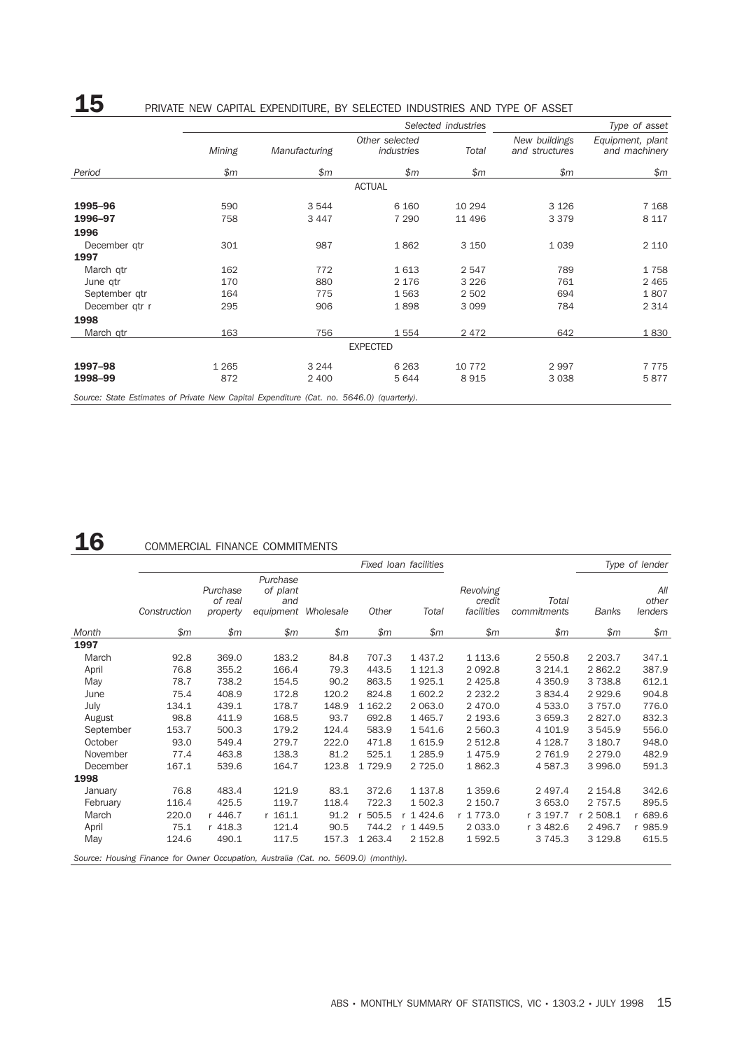## 15 PRIVATE NEW CAPITAL EXPENDITURE, BY SELECTED INDUSTRIES AND TYPE OF ASSET

|                                                                                           |         |               | Selected industries          | Type of asset |                                 |                                   |
|-------------------------------------------------------------------------------------------|---------|---------------|------------------------------|---------------|---------------------------------|-----------------------------------|
|                                                                                           | Mining  | Manufacturing | Other selected<br>industries | Total         | New buildings<br>and structures | Equipment, plant<br>and machinery |
| Period                                                                                    | \$m\$   | \$m           | \$m\$                        | \$m\$         | \$m\$                           | \$m                               |
|                                                                                           |         |               | <b>ACTUAL</b>                |               |                                 |                                   |
| 1995-96                                                                                   | 590     | 3 5 4 4       | 6 1 6 0                      | 10 294        | 3 1 2 6                         | 7 1 6 8                           |
| 1996-97                                                                                   | 758     | 3 4 4 7       | 7 2 9 0                      | 11 496        | 3 3 7 9                         | 8 1 1 7                           |
| 1996                                                                                      |         |               |                              |               |                                 |                                   |
| December qtr                                                                              | 301     | 987           | 1862                         | 3 1 5 0       | 1 0 3 9                         | 2 1 1 0                           |
| 1997                                                                                      |         |               |                              |               |                                 |                                   |
| March gtr                                                                                 | 162     | 772           | 1613                         | 2 5 4 7       | 789                             | 1758                              |
| June qtr                                                                                  | 170     | 880           | 2 1 7 6                      | 3 2 2 6       | 761                             | 2 4 6 5                           |
| September gtr                                                                             | 164     | 775           | 1563                         | 2 5 0 2       | 694                             | 1807                              |
| December qtr r                                                                            | 295     | 906           | 1898                         | 3 0 9 9       | 784                             | 2 3 1 4                           |
| 1998                                                                                      |         |               |                              |               |                                 |                                   |
| March qtr                                                                                 | 163     | 756           | 1554                         | 2 4 7 2       | 642                             | 1830                              |
|                                                                                           |         |               | <b>EXPECTED</b>              |               |                                 |                                   |
| 1997-98                                                                                   | 1 2 6 5 | 3 2 4 4       | 6 2 6 3                      | 10 772        | 2997                            | 7775                              |
| 1998-99                                                                                   | 872     | 2 4 0 0       | 5644                         | 8915          | 3 0 3 8                         | 5877                              |
| Source: State Estimates of Private New Capital Expenditure (Cat. no. 5646.0) (quarterly). |         |               |                              |               |                                 |                                   |

# 16 COMMERCIAL FINANCE COMMITMENTS

|           |                                                                                      |                                 |                                          |           |             | Fixed Ioan facilities |                                   |                      |              | Type of lender          |
|-----------|--------------------------------------------------------------------------------------|---------------------------------|------------------------------------------|-----------|-------------|-----------------------|-----------------------------------|----------------------|--------------|-------------------------|
|           | Construction                                                                         | Purchase<br>of real<br>property | Purchase<br>of plant<br>and<br>equipment | Wholesale | Other       | Total                 | Revolving<br>credit<br>facilities | Total<br>commitments | <b>Banks</b> | All<br>other<br>lenders |
| Month     | \$m                                                                                  | \$m                             | \$m\$                                    | \$m\$     | \$m         | \$m\$                 | \$m\$                             | \$m\$                | \$m\$        | \$m\$                   |
| 1997      |                                                                                      |                                 |                                          |           |             |                       |                                   |                      |              |                         |
| March     | 92.8                                                                                 | 369.0                           | 183.2                                    | 84.8      | 707.3       | 1 4 3 7 . 2           | 1 1 1 3 . 6                       | 2 550.8              | 2 2 0 3.7    | 347.1                   |
| April     | 76.8                                                                                 | 355.2                           | 166.4                                    | 79.3      | 443.5       | 1 1 2 1 . 3           | 2 0 9 2.8                         | 3 2 1 4 . 1          | 2862.2       | 387.9                   |
| May       | 78.7                                                                                 | 738.2                           | 154.5                                    | 90.2      | 863.5       | 1925.1                | 2 4 2 5.8                         | 4 3 5 0.9            | 3 7 3 8.8    | 612.1                   |
| June      | 75.4                                                                                 | 408.9                           | 172.8                                    | 120.2     | 824.8       | 1 602.2               | 2 2 3 2.2                         | 3 8 3 4 . 4          | 2929.6       | 904.8                   |
| July      | 134.1                                                                                | 439.1                           | 178.7                                    | 148.9     | 1 1 6 2.2   | 2 0 6 3 .0            | 2 470.0                           | 4 533.0              | 3 7 5 7 .0   | 776.0                   |
| August    | 98.8                                                                                 | 411.9                           | 168.5                                    | 93.7      | 692.8       | 1 4 6 5.7             | 2 193.6                           | 3 659.3              | 2827.0       | 832.3                   |
| September | 153.7                                                                                | 500.3                           | 179.2                                    | 124.4     | 583.9       | 1541.6                | 2 560.3                           | 4 101.9              | 3 5 4 5 . 9  | 556.0                   |
| October   | 93.0                                                                                 | 549.4                           | 279.7                                    | 222.0     | 471.8       | 1615.9                | 2 512.8                           | 4 1 28.7             | 3 180.7      | 948.0                   |
| November  | 77.4                                                                                 | 463.8                           | 138.3                                    | 81.2      | 525.1       | 1 2 8 5.9             | 1475.9                            | 2 7 6 1.9            | 2 2 7 9 . 0  | 482.9                   |
| December  | 167.1                                                                                | 539.6                           | 164.7                                    | 123.8     | 1 7 2 9.9   | 2 7 2 5.0             | 1862.3                            | 4 587.3              | 3 9 9 6.0    | 591.3                   |
| 1998      |                                                                                      |                                 |                                          |           |             |                       |                                   |                      |              |                         |
| January   | 76.8                                                                                 | 483.4                           | 121.9                                    | 83.1      | 372.6       | 1 1 3 7 . 8           | 1 3 5 9.6                         | 2 497.4              | 2 1 5 4.8    | 342.6                   |
| February  | 116.4                                                                                | 425.5                           | 119.7                                    | 118.4     | 722.3       | 1 502.3               | 2 150.7                           | 3 653.0              | 2 7 5 7 . 5  | 895.5                   |
| March     | 220.0                                                                                | r 446.7                         | r 161.1                                  | 91.2      | 505.5       | 1424.6                | r 1773.0                          | r 3 197.7            | 2 508.1      | 689.6                   |
| April     | 75.1                                                                                 | r 418.3                         | 121.4                                    | 90.5      | 744.2       | r 1449.5              | 2 0 3 3 .0                        | r 3 482.6            | 2 4 9 6.7    | r 985.9                 |
| May       | 124.6                                                                                | 490.1                           | 117.5                                    | 157.3     | 1 2 6 3 . 4 | 2 152.8               | 1592.5                            | 3 7 4 5 . 3          | 3 1 2 9.8    | 615.5                   |
|           | Source: Housing Finance for Owner Occupation, Australia (Cat. no. 5609.0) (monthly). |                                 |                                          |           |             |                       |                                   |                      |              |                         |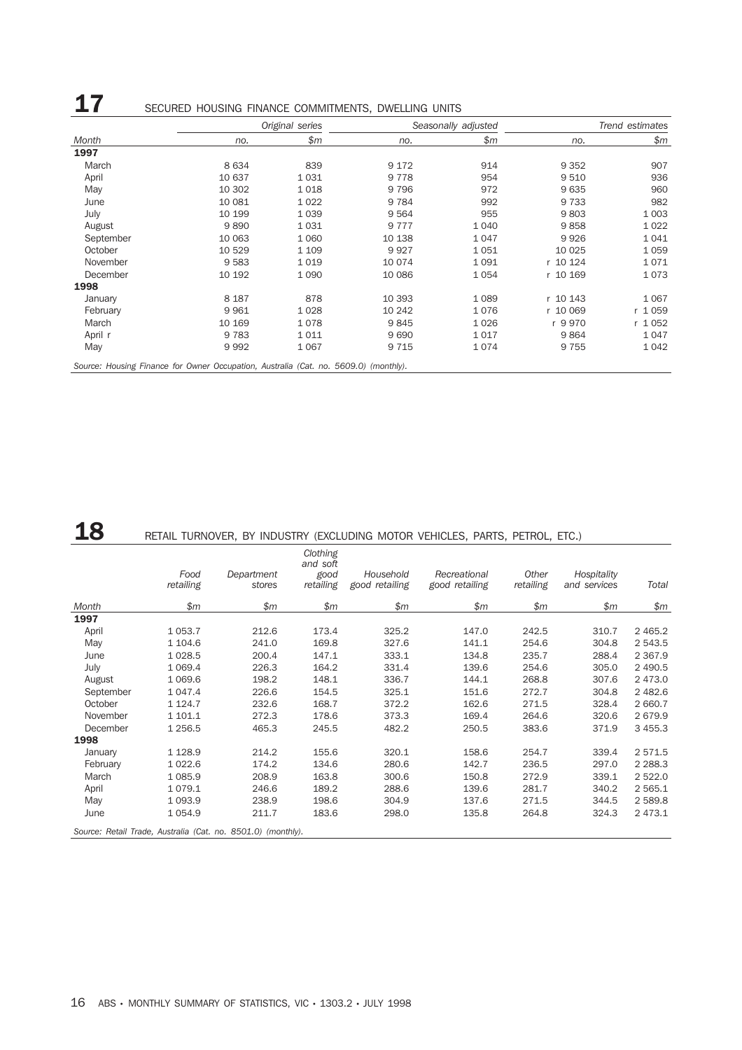|           |         | Original series |         | Seasonally adjusted | Trend estimates |           |  |
|-----------|---------|-----------------|---------|---------------------|-----------------|-----------|--|
| Month     | no.     | \$m\$           | no.     | \$m                 | no.             | \$m\$     |  |
| 1997      |         |                 |         |                     |                 |           |  |
| March     | 8634    | 839             | 9 1 7 2 | 914                 | 9 3 5 2         | 907       |  |
| April     | 10 637  | 1031            | 9 7 7 8 | 954                 | 9 5 1 0         | 936       |  |
| May       | 10 302  | 1018            | 9 7 9 6 | 972                 | 9635            | 960       |  |
| June      | 10 081  | 1 0 2 2         | 9 7 8 4 | 992                 | 9 7 3 3         | 982       |  |
| July      | 10 199  | 1 0 3 9         | 9564    | 955                 | 9803            | 1 0 0 3   |  |
| August    | 9890    | 1031            | 9 7 7 7 | 1 0 4 0             | 9858            | 1 0 2 2   |  |
| September | 10 063  | 1 0 6 0         | 10 138  | 1047                | 9926            | 1041      |  |
| October   | 10 529  | 1 1 0 9         | 9927    | 1051                | 10 0 25         | 1059      |  |
| November  | 9583    | 1019            | 10 074  | 1091                | r 10 124        | 1071      |  |
| December  | 10 192  | 1 0 9 0         | 10 086  | 1054                | r 10 169        | 1073      |  |
| 1998      |         |                 |         |                     |                 |           |  |
| January   | 8 1 8 7 | 878             | 10 393  | 1 0 8 9             | r 10 143        | 1 0 6 7   |  |
| February  | 9961    | 1028            | 10 24 2 | 1076                | r 10 069        | 1059<br>r |  |
| March     | 10 169  | 1078            | 9845    | 1026                | r 9970          | 1 0 5 2   |  |
| April r   | 9 7 8 3 | 1011            | 9690    | 1017                | 9864            | 1047      |  |
| May       | 9992    | 1 0 6 7         | 9 7 1 5 | 1074                | 9 7 5 5         | 1042      |  |

# 18 RETAIL TURNOVER, BY INDUSTRY (EXCLUDING MOTOR VEHICLES, PARTS, PETROL, ETC.)

|           | Food<br>retailing | Department<br>stores                                         | Clothing<br>and soft<br>good<br>retailing | Household<br>good retailing | Recreational<br>good retailing | Other<br>retailing | Hospitality<br>and services | Total      |
|-----------|-------------------|--------------------------------------------------------------|-------------------------------------------|-----------------------------|--------------------------------|--------------------|-----------------------------|------------|
| Month     | \$m\$             | \$m\$                                                        | \$m                                       | \$m\$                       | \$m                            | \$m\$              | \$m                         | \$m        |
| 1997      |                   |                                                              |                                           |                             |                                |                    |                             |            |
| April     | 1 0 5 3.7         | 212.6                                                        | 173.4                                     | 325.2                       | 147.0                          | 242.5              | 310.7                       | 2 4 6 5.2  |
| May       | 1 104.6           | 241.0                                                        | 169.8                                     | 327.6                       | 141.1                          | 254.6              | 304.8                       | 2 543.5    |
| June      | 1 0 28.5          | 200.4                                                        | 147.1                                     | 333.1                       | 134.8                          | 235.7              | 288.4                       | 2 3 6 7 .9 |
| July      | 1 0 6 9.4         | 226.3                                                        | 164.2                                     | 331.4                       | 139.6                          | 254.6              | 305.0                       | 2 490.5    |
| August    | 1 0 6 9.6         | 198.2                                                        | 148.1                                     | 336.7                       | 144.1                          | 268.8              | 307.6                       | 2 473.0    |
| September | 1 047.4           | 226.6                                                        | 154.5                                     | 325.1                       | 151.6                          | 272.7              | 304.8                       | 2 4 8 2.6  |
| October   | 1 1 2 4 . 7       | 232.6                                                        | 168.7                                     | 372.2                       | 162.6                          | 271.5              | 328.4                       | 2 660.7    |
| November  | 1 101.1           | 272.3                                                        | 178.6                                     | 373.3                       | 169.4                          | 264.6              | 320.6                       | 2679.9     |
| December  | 1 256.5           | 465.3                                                        | 245.5                                     | 482.2                       | 250.5                          | 383.6              | 371.9                       | 3 455.3    |
| 1998      |                   |                                                              |                                           |                             |                                |                    |                             |            |
| January   | 1 1 28.9          | 214.2                                                        | 155.6                                     | 320.1                       | 158.6                          | 254.7              | 339.4                       | 2 571.5    |
| February  | 1 0 2 2.6         | 174.2                                                        | 134.6                                     | 280.6                       | 142.7                          | 236.5              | 297.0                       | 2 2 8 8.3  |
| March     | 1 0 8 5.9         | 208.9                                                        | 163.8                                     | 300.6                       | 150.8                          | 272.9              | 339.1                       | 2 5 2 2.0  |
| April     | 1079.1            | 246.6                                                        | 189.2                                     | 288.6                       | 139.6                          | 281.7              | 340.2                       | 2 565.1    |
| May       | 1 0 9 3.9         | 238.9                                                        | 198.6                                     | 304.9                       | 137.6                          | 271.5              | 344.5                       | 2 589.8    |
| June      | 1 0 5 4.9         | 211.7                                                        | 183.6                                     | 298.0                       | 135.8                          | 264.8              | 324.3                       | 2 473.1    |
|           |                   | Source: Retail Trade, Australia (Cat. no. 8501.0) (monthly). |                                           |                             |                                |                    |                             |            |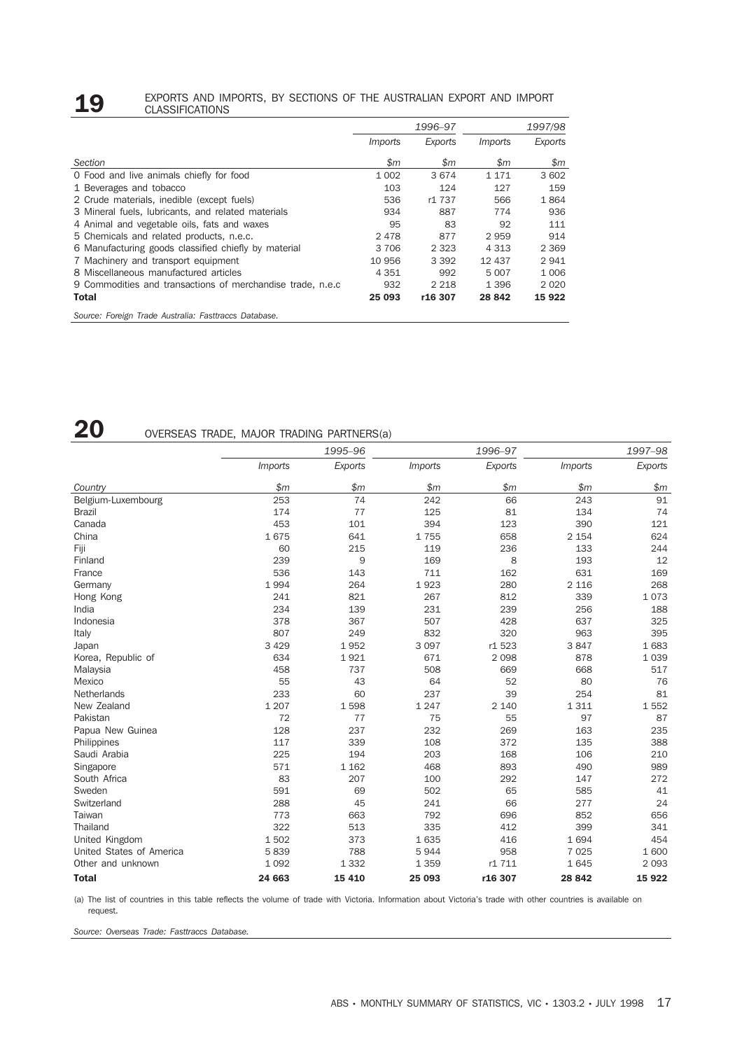#### **19** EXPORTS AND IMPORTS, BY SECTIONS OF THE AUSTRALIAN EXPORT AND IMPORT CLASSIFICATIONS CLASSIFICATIONS

|                                                            |                | 1996-97        |                         | 1997/98      |
|------------------------------------------------------------|----------------|----------------|-------------------------|--------------|
|                                                            | <i>Imports</i> | Exports        | <i>Imports</i>          | Exports      |
| Section                                                    | $\mathfrak{m}$ | $\mathfrak{m}$ | $\mathop{\$m}\nolimits$ | $\mathsf{m}$ |
| O Food and live animals chiefly for food                   | 1 0 0 2        | 3674           | 1 1 7 1                 | 3 602        |
| 1 Beverages and tobacco                                    | 103            | 124            | 127                     | 159          |
| 2 Crude materials, inedible (except fuels)                 | 536            | r1 737         | 566                     | 1864         |
| 3 Mineral fuels, lubricants, and related materials         | 934            | 887            | 774                     | 936          |
| 4 Animal and vegetable oils, fats and waxes                | 95             | 83             | 92                      | 111          |
| 5 Chemicals and related products, n.e.c.                   | 2478           | 877            | 2959                    | 914          |
| 6 Manufacturing goods classified chiefly by material       | 3 706          | 2 3 2 3        | 4 3 1 3                 | 2 3 6 9      |
| 7 Machinery and transport equipment                        | 10 956         | 3 3 9 2        | 12 437                  | 2941         |
| 8 Miscellaneous manufactured articles                      | 4 3 5 1        | 992            | 5 0 0 7                 | 1 0 0 6      |
| 9 Commodities and transactions of merchandise trade, n.e.c | 932            | 2 2 1 8        | 1 3 9 6                 | 2020         |
| Total                                                      | 25 093         | r16 307        | 28 842                  | 15 9 22      |
| Source: Foreign Trade Australia: Fasttraccs Database.      |                |                |                         |              |

## 20 OVERSEAS TRADE, MAJOR TRADING PARTNERS(a)

|                          |                | 1995-96 |                | 1996-97 | 1997-98        |         |  |
|--------------------------|----------------|---------|----------------|---------|----------------|---------|--|
|                          | <i>Imports</i> | Exports | <i>Imports</i> | Exports | <i>Imports</i> | Exports |  |
| Country                  | \$m\$          | \$m     | \$m            | \$m     | \$m            | \$m     |  |
| Belgium-Luxembourg       | 253            | 74      | 242            | 66      | 243            | 91      |  |
| <b>Brazil</b>            | 174            | 77      | 125            | 81      | 134            | 74      |  |
| Canada                   | 453            | 101     | 394            | 123     | 390            | 121     |  |
| China                    | 1675           | 641     | 1755           | 658     | 2 1 5 4        | 624     |  |
| Fiji                     | 60             | 215     | 119            | 236     | 133            | 244     |  |
| Finland                  | 239            | 9       | 169            | 8       | 193            | 12      |  |
| France                   | 536            | 143     | 711            | 162     | 631            | 169     |  |
| Germany                  | 1994           | 264     | 1923           | 280     | 2 1 1 6        | 268     |  |
| Hong Kong                | 241            | 821     | 267            | 812     | 339            | 1073    |  |
| India                    | 234            | 139     | 231            | 239     | 256            | 188     |  |
| Indonesia                | 378            | 367     | 507            | 428     | 637            | 325     |  |
| Italy                    | 807            | 249     | 832            | 320     | 963            | 395     |  |
| Japan                    | 3 4 2 9        | 1952    | 3 0 9 7        | r1 523  | 3847           | 1 683   |  |
| Korea, Republic of       | 634            | 1921    | 671            | 2 0 9 8 | 878            | 1 0 3 9 |  |
| Malaysia                 | 458            | 737     | 508            | 669     | 668            | 517     |  |
| Mexico                   | 55             | 43      | 64             | 52      | 80             | 76      |  |
| <b>Netherlands</b>       | 233            | 60      | 237            | 39      | 254            | 81      |  |
| New Zealand              | 1 2 0 7        | 1598    | 1 2 4 7        | 2 1 4 0 | 1 3 1 1        | 1552    |  |
| Pakistan                 | 72             | 77      | 75             | 55      | 97             | 87      |  |
| Papua New Guinea         | 128            | 237     | 232            | 269     | 163            | 235     |  |
| Philippines              | 117            | 339     | 108            | 372     | 135            | 388     |  |
| Saudi Arabia             | 225            | 194     | 203            | 168     | 106            | 210     |  |
| Singapore                | 571            | 1 1 6 2 | 468            | 893     | 490            | 989     |  |
| South Africa             | 83             | 207     | 100            | 292     | 147            | 272     |  |
| Sweden                   | 591            | 69      | 502            | 65      | 585            | 41      |  |
| Switzerland              | 288            | 45      | 241            | 66      | 277            | 24      |  |
| Taiwan                   | 773            | 663     | 792            | 696     | 852            | 656     |  |
| Thailand                 | 322            | 513     | 335            | 412     | 399            | 341     |  |
| United Kingdom           | 1502           | 373     | 1 6 3 5        | 416     | 1694           | 454     |  |
| United States of America | 5839           | 788     | 5944           | 958     | 7 0 2 5        | 1 600   |  |
| Other and unknown        | 1 0 9 2        | 1 3 3 2 | 1 3 5 9        | r1 711  | 1645           | 2 0 9 3 |  |
| <b>Total</b>             | 24 663         | 15 4 10 | 25 093         | r16 307 | 28 842         | 15 9 22 |  |

(a) The list of countries in this table reflects the volume of trade with Victoria. Information about Victoria's trade with other countries is available on request.

*Source: Overseas Trade: Fasttraccs Database.*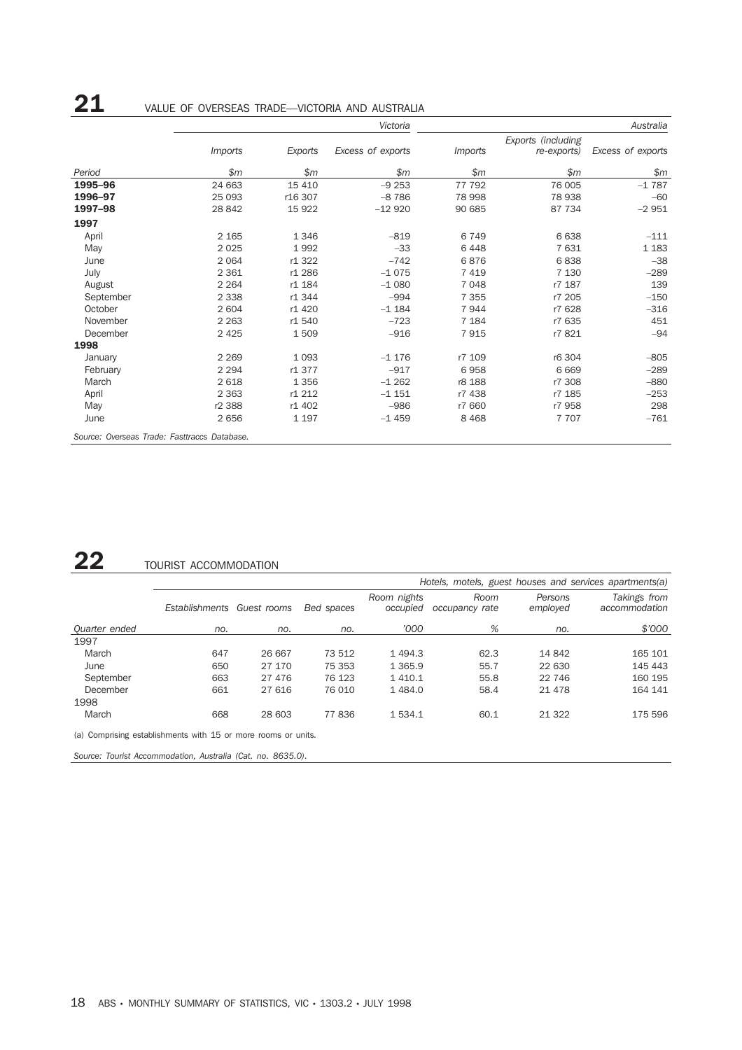|           | Victoria       |         |                   | Australia    |                                   |                   |
|-----------|----------------|---------|-------------------|--------------|-----------------------------------|-------------------|
|           | <i>Imports</i> | Exports | Excess of exports | Imports      | Exports (including<br>re-exports) | Excess of exports |
| Period    | $\mathfrak{m}$ | \$m     | \$m               | $\mathsf{m}$ | \$m                               | \$m               |
| 1995-96   | 24 663         | 15 4 10 | $-9253$           | 77 792       | 76 005                            | $-1787$           |
| 1996-97   | 25 093         | r16 307 | $-8786$           | 78 998       | 78 938                            | $-60$             |
| 1997-98   | 28 842         | 15 922  | $-12920$          | 90 685       | 87 734                            | $-2951$           |
| 1997      |                |         |                   |              |                                   |                   |
| April     | 2 1 6 5        | 1346    | $-819$            | 6749         | 6638                              | $-111$            |
| May       | 2 0 2 5        | 1992    | $-33$             | 6448         | 7631                              | 1 1 8 3           |
| June      | 2 0 6 4        | r1 322  | $-742$            | 6876         | 6838                              | $-38$             |
| July      | 2 3 6 1        | r1 286  | $-1075$           | 7419         | 7 1 3 0                           | $-289$            |
| August    | 2 2 6 4        | r1 184  | $-1080$           | 7048         | r7 187                            | 139               |
| September | 2 3 3 8        | r1 344  | $-994$            | 7 3 5 5      | r7 205                            | $-150$            |
| October   | 2 604          | r1 420  | $-1184$           | 7944         | r7 628                            | $-316$            |
| November  | 2 2 6 3        | r1 540  | $-723$            | 7 1 8 4      | r7 635                            | 451               |
| December  | 2 4 2 5        | 1509    | $-916$            | 7915         | r7821                             | $-94$             |
| 1998      |                |         |                   |              |                                   |                   |
| January   | 2 2 6 9        | 1 0 9 3 | $-1176$           | r7 109       | r6 304                            | $-805$            |
| February  | 2 2 9 4        | r1 377  | $-917$            | 6958         | 6 6 6 9                           | $-289$            |
| March     | 2618           | 1 3 5 6 | $-1262$           | r8 188       | r7 308                            | $-880$            |
| April     | 2 3 6 3        | r1 212  | $-1151$           | r7 438       | r7 185                            | $-253$            |
| May       | r2 388         | r1 402  | $-986$            | r7 660       | r7 958                            | 298               |
| June      | 2656           | 1 1 9 7 | $-1459$           | 8 4 6 8      | 7 7 0 7                           | $-761$            |

# 22 TOURIST ACCOMMODATION

|                                                               | Hotels, motels, guest houses and services apartments(a) |        |            |                         |                        |                     |                               |
|---------------------------------------------------------------|---------------------------------------------------------|--------|------------|-------------------------|------------------------|---------------------|-------------------------------|
|                                                               | Establishments Guest rooms                              |        | Bed spaces | Room nights<br>occupied | Room<br>occupancy rate | Persons<br>employed | Takings from<br>accommodation |
| <b>Ouarter</b> ended                                          | no.                                                     | no.    | no.        | '000                    | %                      | no.                 | \$'000                        |
| 1997                                                          |                                                         |        |            |                         |                        |                     |                               |
| March                                                         | 647                                                     | 26 667 | 73 512     | 1494.3                  | 62.3                   | 14 842              | 165 101                       |
| June                                                          | 650                                                     | 27 170 | 75 353     | 1 3 6 5.9               | 55.7                   | 22 630              | 145 443                       |
| September                                                     | 663                                                     | 27 476 | 76 123     | 1 4 1 0 . 1             | 55.8                   | 22 746              | 160 195                       |
| December                                                      | 661                                                     | 27 616 | 76 010     | 1484.0                  | 58.4                   | 21 4 7 8            | 164 141                       |
| 1998                                                          |                                                         |        |            |                         |                        |                     |                               |
| March                                                         | 668                                                     | 28 603 | 77836      | 1 5 3 4 . 1             | 60.1                   | 21 3 22             | 175 596                       |
| (a) Comprising establishments with 15 or more rooms or units. |                                                         |        |            |                         |                        |                     |                               |

*Source: Tourist Accommodation, Australia (Cat. no. 8635.0).*